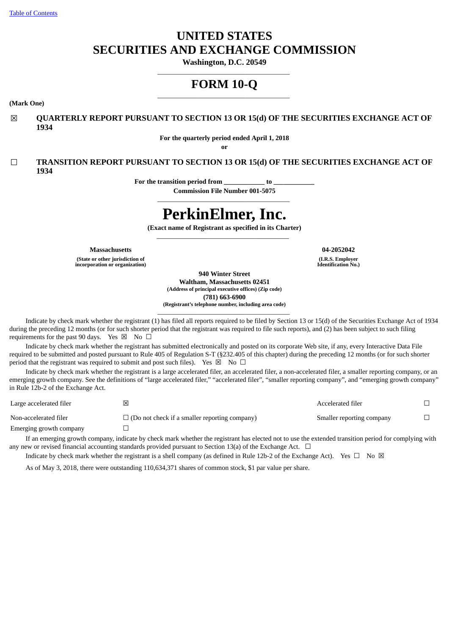# **UNITED STATES SECURITIES AND EXCHANGE COMMISSION**

**Washington, D.C. 20549** \_\_\_\_\_\_\_\_\_\_\_\_\_\_\_\_\_\_\_\_\_\_\_\_\_\_\_\_\_\_\_\_\_\_\_\_\_\_\_

# **FORM 10-Q** \_\_\_\_\_\_\_\_\_\_\_\_\_\_\_\_\_\_\_\_\_\_\_\_\_\_\_\_\_\_\_\_\_\_\_\_\_\_\_

**(Mark One)**

☒ **QUARTERLY REPORT PURSUANT TO SECTION 13 OR 15(d) OF THE SECURITIES EXCHANGE ACT OF 1934**

**For the quarterly period ended April 1, 2018**

**or**

☐ **TRANSITION REPORT PURSUANT TO SECTION 13 OR 15(d) OF THE SECURITIES EXCHANGE ACT OF 1934**

**For the transition period from \_\_\_\_\_\_\_\_\_\_\_\_ to \_\_\_\_\_\_\_\_\_\_\_\_**

**Commission File Number 001-5075** \_\_\_\_\_\_\_\_\_\_\_\_\_\_\_\_\_\_\_\_\_\_\_\_\_\_\_\_\_\_\_\_\_\_\_\_\_\_\_

# **PerkinElmer, Inc.**

**(Exact name of Registrant as specified in its Charter)** \_\_\_\_\_\_\_\_\_\_\_\_\_\_\_\_\_\_\_\_\_\_\_\_\_\_\_\_\_\_\_\_\_\_\_\_\_\_\_

**Massachusetts 04-2052042 (State or other jurisdiction of**

**incorporation or organization)**

**(I.R.S. Employer Identification No.)**

**940 Winter Street Waltham, Massachusetts 02451 (Address of principal executive offices) (Zip code) (781) 663-6900 (Registrant's telephone number, including area code)**

Indicate by check mark whether the registrant (1) has filed all reports required to be filed by Section 13 or 15(d) of the Securities Exchange Act of 1934 during the preceding 12 months (or for such shorter period that the registrant was required to file such reports), and (2) has been subject to such filing requirements for the past 90 days. Yes  $\boxtimes$  No  $\Box$ 

\_\_\_\_\_\_\_\_\_\_\_\_\_\_\_\_\_\_\_\_\_\_\_\_\_\_\_\_\_\_\_\_\_\_\_\_\_\_\_

Indicate by check mark whether the registrant has submitted electronically and posted on its corporate Web site, if any, every Interactive Data File required to be submitted and posted pursuant to Rule 405 of Regulation S-T (§232.405 of this chapter) during the preceding 12 months (or for such shorter period that the registrant was required to submit and post such files). Yes  $\boxtimes$  No  $\Box$ 

Indicate by check mark whether the registrant is a large accelerated filer, an accelerated filer, a non-accelerated filer, a smaller reporting company, or an emerging growth company. See the definitions of "large accelerated filer," "accelerated filer", "smaller reporting company", and "emerging growth company" in Rule 12b-2 of the Exchange Act.

| Large accelerated filer | ⊠                                                    | Accelerated filer         |  |
|-------------------------|------------------------------------------------------|---------------------------|--|
| Non-accelerated filer   | $\Box$ (Do not check if a smaller reporting company) | Smaller reporting company |  |
| Emerging growth company |                                                      |                           |  |

If an emerging growth company, indicate by check mark whether the registrant has elected not to use the extended transition period for complying with any new or revised financial accounting standards provided pursuant to Section 13(a) of the Exchange Act.  $\Box$ 

Indicate by check mark whether the registrant is a shell company (as defined in Rule 12b-2 of the Exchange Act). Yes  $\Box$  No  $\boxtimes$ 

As of May 3, 2018, there were outstanding 110,634,371 shares of common stock, \$1 par value per share.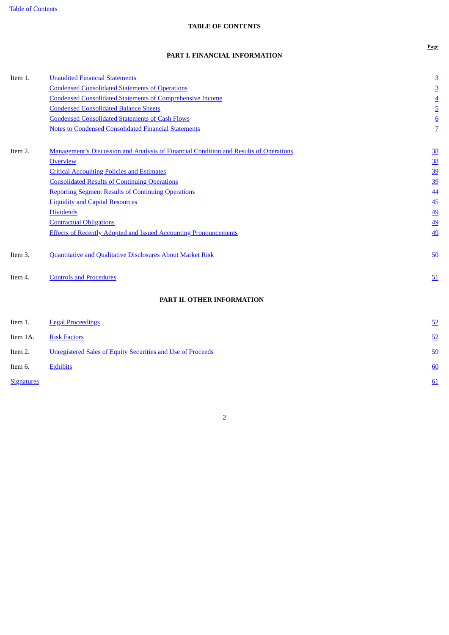# **TABLE OF CONTENTS**

# **PART I. FINANCIAL INFORMATION**

<span id="page-1-0"></span>

| Item 1.  | <b>Unaudited Financial Statements</b>                                                 | $\overline{3}$   |
|----------|---------------------------------------------------------------------------------------|------------------|
|          | <b>Condensed Consolidated Statements of Operations</b>                                | $\overline{3}$   |
|          | <b>Condensed Consolidated Statements of Comprehensive Income</b>                      | $\overline{4}$   |
|          | <b>Condensed Consolidated Balance Sheets</b>                                          | $\overline{5}$   |
|          | <b>Condensed Consolidated Statements of Cash Flows</b>                                | $\overline{6}$   |
|          | <b>Notes to Condensed Consolidated Financial Statements</b>                           | $\overline{Z}$   |
| Item 2.  | Management's Discussion and Analysis of Financial Condition and Results of Operations | 38               |
|          | <b>Overview</b>                                                                       | <u>38</u>        |
|          | <b>Critical Accounting Policies and Estimates</b>                                     | <u>39</u>        |
|          | <b>Consolidated Results of Continuing Operations</b>                                  | $\overline{39}$  |
|          | <b>Reporting Segment Results of Continuing Operations</b>                             | $\overline{44}$  |
|          | <b>Liquidity and Capital Resources</b>                                                | 45               |
|          | <b>Dividends</b>                                                                      | $\underline{49}$ |
|          | <b>Contractual Obligations</b>                                                        | <u>49</u>        |
|          | <b>Effects of Recently Adopted and Issued Accounting Pronouncements</b>               | 49               |
| Item 3.  | <b>Quantitative and Qualitative Disclosures About Market Risk</b>                     | 50               |
| Item 4.  | <b>Controls and Procedures</b>                                                        | 51               |
|          | PART II. OTHER INFORMATION                                                            |                  |
| Item 1.  | <b>Legal Proceedings</b>                                                              | 52               |
| Item 1A. | <b>Risk Factors</b>                                                                   | 52               |
| Item 2.  | <b>Unregistered Sales of Equity Securities and Use of Proceeds</b>                    | 59               |
| Item 6.  | <b>Exhibits</b>                                                                       | 60               |

 $\frac{Signatures}{}$  $\frac{Signatures}{}$  $\frac{Signatures}{}$  [61](#page-61-0)

2

**Page**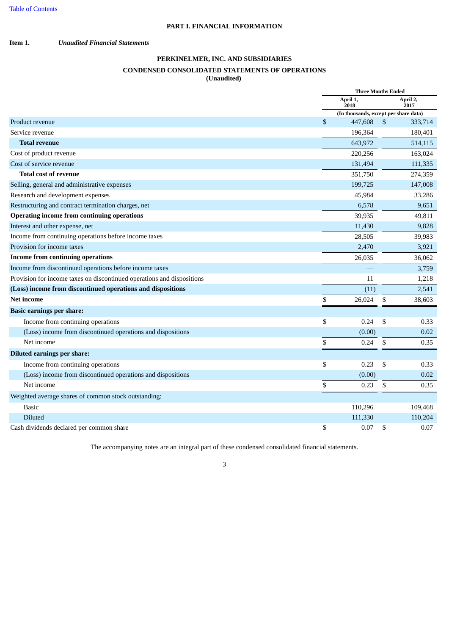# **PART I. FINANCIAL INFORMATION**

<span id="page-2-1"></span><span id="page-2-0"></span>**Item 1.** *Unaudited Financial Statements*

# **PERKINELMER, INC. AND SUBSIDIARIES**

# **CONDENSED CONSOLIDATED STATEMENTS OF OPERATIONS**

**(Unaudited)**

|                                                                        | <b>Three Months Ended</b> |                                       |                  |  |
|------------------------------------------------------------------------|---------------------------|---------------------------------------|------------------|--|
|                                                                        | April 1,<br>2018          |                                       | April 2,<br>2017 |  |
|                                                                        |                           | (In thousands, except per share data) |                  |  |
| Product revenue                                                        | \$<br>447,608             | \$                                    | 333,714          |  |
| Service revenue                                                        | 196,364                   |                                       | 180,401          |  |
| <b>Total revenue</b>                                                   | 643,972                   |                                       | 514,115          |  |
| Cost of product revenue                                                | 220,256                   |                                       | 163,024          |  |
| Cost of service revenue                                                | 131,494                   |                                       | 111,335          |  |
| <b>Total cost of revenue</b>                                           | 351,750                   |                                       | 274,359          |  |
| Selling, general and administrative expenses                           | 199,725                   |                                       | 147,008          |  |
| Research and development expenses                                      | 45,984                    |                                       | 33,286           |  |
| Restructuring and contract termination charges, net                    | 6,578                     |                                       | 9,651            |  |
| <b>Operating income from continuing operations</b>                     | 39,935                    |                                       | 49,811           |  |
| Interest and other expense, net                                        | 11,430                    |                                       | 9,828            |  |
| Income from continuing operations before income taxes                  | 28,505                    |                                       | 39,983           |  |
| Provision for income taxes                                             | 2,470                     |                                       | 3,921            |  |
| <b>Income from continuing operations</b>                               | 26,035                    |                                       | 36,062           |  |
| Income from discontinued operations before income taxes                |                           |                                       | 3,759            |  |
| Provision for income taxes on discontinued operations and dispositions | 11                        |                                       | 1,218            |  |
| (Loss) income from discontinued operations and dispositions            | (11)                      |                                       | 2,541            |  |
| <b>Net income</b>                                                      | \$<br>26,024              | \$                                    | 38,603           |  |
| <b>Basic earnings per share:</b>                                       |                           |                                       |                  |  |
| Income from continuing operations                                      | \$<br>0.24                | \$                                    | 0.33             |  |
| (Loss) income from discontinued operations and dispositions            | (0.00)                    |                                       | 0.02             |  |
| Net income                                                             | \$<br>0.24                | \$                                    | 0.35             |  |
| <b>Diluted earnings per share:</b>                                     |                           |                                       |                  |  |
| Income from continuing operations                                      | \$<br>0.23                | \$                                    | 0.33             |  |
| (Loss) income from discontinued operations and dispositions            | (0.00)                    |                                       | 0.02             |  |
| Net income                                                             | \$<br>0.23                | \$                                    | 0.35             |  |
| Weighted average shares of common stock outstanding:                   |                           |                                       |                  |  |
| <b>Basic</b>                                                           | 110,296                   |                                       | 109,468          |  |
| <b>Diluted</b>                                                         | 111,330                   |                                       | 110,204          |  |
| Cash dividends declared per common share                               | \$<br>0.07                | \$                                    | 0.07             |  |

The accompanying notes are an integral part of these condensed consolidated financial statements.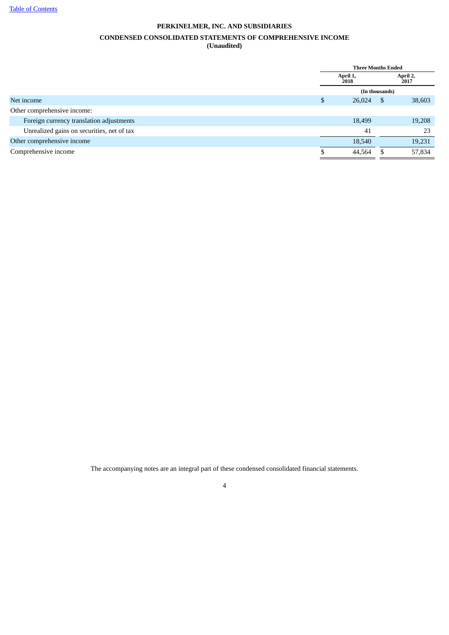# **PERKINELMER, INC. AND SUBSIDIARIES CONDENSED CONSOLIDATED STATEMENTS OF COMPREHENSIVE INCOME (Unaudited)**

<span id="page-3-0"></span>

|                                            | <b>Three Months Ended</b> |                  |                  |        |
|--------------------------------------------|---------------------------|------------------|------------------|--------|
|                                            |                           | April 1,<br>2018 | April 2,<br>2017 |        |
|                                            |                           |                  | (In thousands)   |        |
| Net income                                 | \$                        | 26,024           | - S              | 38,603 |
| Other comprehensive income:                |                           |                  |                  |        |
| Foreign currency translation adjustments   |                           | 18,499           |                  | 19,208 |
| Unrealized gains on securities, net of tax |                           | 41               |                  | 23     |
| Other comprehensive income                 |                           | 18,540           |                  | 19,231 |
| Comprehensive income                       |                           | 44,564           |                  | 57,834 |

The accompanying notes are an integral part of these condensed consolidated financial statements.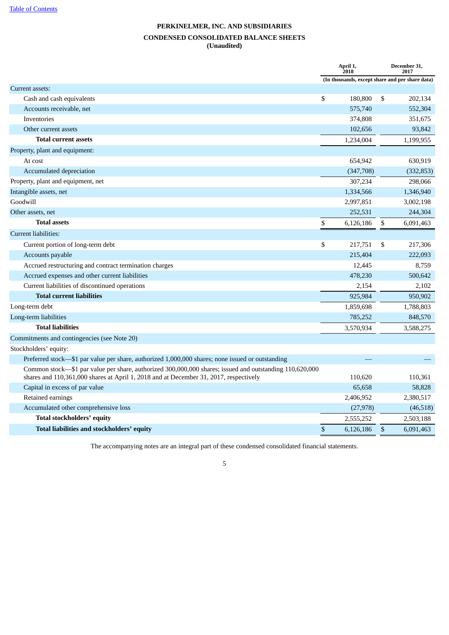# **PERKINELMER, INC. AND SUBSIDIARIES CONDENSED CONSOLIDATED BALANCE SHEETS (Unaudited)**

<span id="page-4-0"></span>

|                                                                                                                                                                                                  | April 1,<br>2018                                |              | December 31,<br>2017 |
|--------------------------------------------------------------------------------------------------------------------------------------------------------------------------------------------------|-------------------------------------------------|--------------|----------------------|
|                                                                                                                                                                                                  | (In thousands, except share and per share data) |              |                      |
| Current assets:                                                                                                                                                                                  |                                                 |              |                      |
| Cash and cash equivalents                                                                                                                                                                        | \$<br>180,800                                   | \$           | 202,134              |
| Accounts receivable, net                                                                                                                                                                         | 575,740                                         |              | 552,304              |
| Inventories                                                                                                                                                                                      | 374,808                                         |              | 351,675              |
| Other current assets                                                                                                                                                                             | 102,656                                         |              | 93,842               |
| <b>Total current assets</b>                                                                                                                                                                      | 1,234,004                                       |              | 1,199,955            |
| Property, plant and equipment:                                                                                                                                                                   |                                                 |              |                      |
| At cost                                                                                                                                                                                          | 654,942                                         |              | 630,919              |
| Accumulated depreciation                                                                                                                                                                         | (347,708)                                       |              | (332, 853)           |
| Property, plant and equipment, net                                                                                                                                                               | 307,234                                         |              | 298,066              |
| Intangible assets, net                                                                                                                                                                           | 1,334,566                                       |              | 1,346,940            |
| Goodwill                                                                                                                                                                                         | 2,997,851                                       |              | 3,002,198            |
| Other assets, net                                                                                                                                                                                | 252,531                                         |              | 244,304              |
| <b>Total assets</b>                                                                                                                                                                              | \$<br>6,126,186                                 | \$           | 6,091,463            |
| <b>Current liabilities:</b>                                                                                                                                                                      |                                                 |              |                      |
| Current portion of long-term debt                                                                                                                                                                | \$<br>217,751                                   | \$           | 217,306              |
| Accounts payable                                                                                                                                                                                 | 215,404                                         |              | 222,093              |
| Accrued restructuring and contract termination charges                                                                                                                                           | 12,445                                          |              | 8,759                |
| Accrued expenses and other current liabilities                                                                                                                                                   | 478,230                                         |              | 500,642              |
| Current liabilities of discontinued operations                                                                                                                                                   | 2,154                                           |              | 2,102                |
| <b>Total current liabilities</b>                                                                                                                                                                 | 925,984                                         |              | 950,902              |
| Long-term debt                                                                                                                                                                                   | 1,859,698                                       |              | 1,788,803            |
| Long-term liabilities                                                                                                                                                                            | 785,252                                         |              | 848,570              |
| <b>Total liabilities</b>                                                                                                                                                                         | 3,570,934                                       |              | 3,588,275            |
| Commitments and contingencies (see Note 20)                                                                                                                                                      |                                                 |              |                      |
| Stockholders' equity:                                                                                                                                                                            |                                                 |              |                      |
| Preferred stock—\$1 par value per share, authorized 1,000,000 shares; none issued or outstanding                                                                                                 |                                                 |              |                      |
| Common stock—\$1 par value per share, authorized 300,000,000 shares; issued and outstanding 110,620,000<br>shares and 110,361,000 shares at April 1, 2018 and at December 31, 2017, respectively | 110,620                                         |              | 110,361              |
| Capital in excess of par value                                                                                                                                                                   | 65,658                                          |              | 58,828               |
| Retained earnings                                                                                                                                                                                | 2,406,952                                       |              | 2,380,517            |
| Accumulated other comprehensive loss                                                                                                                                                             | (27, 978)                                       |              | (46,518)             |
| <b>Total stockholders' equity</b>                                                                                                                                                                | 2,555,252                                       |              | 2,503,188            |
| Total liabilities and stockholders' equity                                                                                                                                                       | \$<br>6,126,186                                 | $\mathbb{S}$ | 6,091,463            |

The accompanying notes are an integral part of these condensed consolidated financial statements.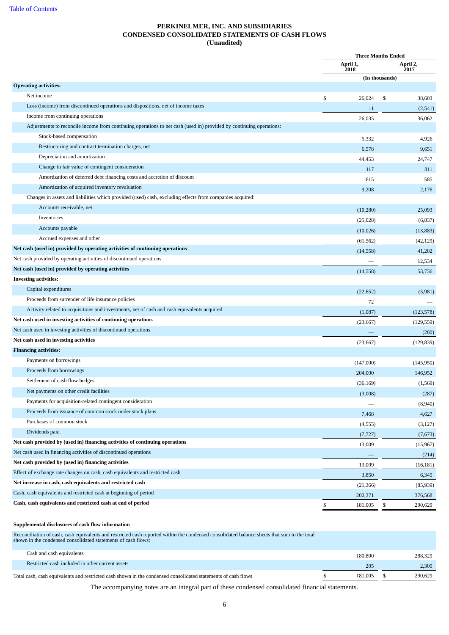# **PERKINELMER, INC. AND SUBSIDIARIES CONDENSED CONSOLIDATED STATEMENTS OF CASH FLOWS (Unaudited)**

<span id="page-5-0"></span>

|                                                                                                                     | <b>Three Months Ended</b> |                  |    |                  |
|---------------------------------------------------------------------------------------------------------------------|---------------------------|------------------|----|------------------|
|                                                                                                                     |                           | April 1,<br>2018 |    | April 2,<br>2017 |
| <b>Operating activities:</b>                                                                                        |                           | (In thousands)   |    |                  |
| Net income                                                                                                          |                           |                  |    |                  |
| Loss (income) from discontinued operations and dispositions, net of income taxes                                    | \$                        | 26,024           | \$ | 38,603           |
| Income from continuing operations                                                                                   |                           | 11               |    | (2,541)          |
| Adjustments to reconcile income from continuing operations to net cash (used in) provided by continuing operations: |                           | 26,035           |    | 36,062           |
| Stock-based compensation                                                                                            |                           |                  |    |                  |
| Restructuring and contract termination charges, net                                                                 |                           | 5,332            |    | 4,926            |
| Depreciation and amortization                                                                                       |                           | 6,578            |    | 9,651            |
| Change in fair value of contingent consideration                                                                    |                           | 44,453           |    | 24,747           |
| Amortization of deferred debt financing costs and accretion of discount                                             |                           | 117              |    | 811              |
| Amortization of acquired inventory revaluation                                                                      |                           | 615              |    | 585              |
| Changes in assets and liabilities which provided (used) cash, excluding effects from companies acquired:            |                           | 9,208            |    | 2,176            |
| Accounts receivable, net                                                                                            |                           |                  |    |                  |
| Inventories                                                                                                         |                           | (10, 280)        |    | 25,093           |
| Accounts payable                                                                                                    |                           | (25,028)         |    | (6,837)          |
| Accrued expenses and other                                                                                          |                           | (10,026)         |    | (13, 883)        |
| Net cash (used in) provided by operating activities of continuing operations                                        |                           | (61, 562)        |    | (42, 129)        |
| Net cash provided by operating activities of discontinued operations                                                |                           | (14, 558)        |    | 41,202           |
| Net cash (used in) provided by operating activities                                                                 |                           |                  |    | 12,534           |
| <b>Investing activities:</b>                                                                                        |                           | (14, 558)        |    | 53,736           |
| Capital expenditures                                                                                                |                           |                  |    |                  |
| Proceeds from surrender of life insurance policies                                                                  |                           | (22, 652)        |    | (5,981)          |
| Activity related to acquisitions and investments, net of cash and cash equivalents acquired                         |                           | 72               |    |                  |
| Net cash used in investing activities of continuing operations                                                      |                           | (1,087)          |    | (123, 578)       |
| Net cash used in investing activities of discontinued operations                                                    |                           | (23, 667)        |    | (129, 559)       |
| Net cash used in investing activities                                                                               |                           |                  |    | (280)            |
| <b>Financing activities:</b>                                                                                        |                           | (23, 667)        |    | (129, 839)       |
| Payments on borrowings                                                                                              |                           |                  |    |                  |
| Proceeds from borrowings                                                                                            |                           | (147,000)        |    | (145, 950)       |
| Settlement of cash flow hedges                                                                                      |                           | 204,000          |    | 146,952          |
| Net payments on other credit facilities                                                                             |                           | (36, 169)        |    | (1,569)          |
| Payments for acquisition-related contingent consideration                                                           |                           | (3,008)          |    | (287)            |
| Proceeds from issuance of common stock under stock plans                                                            |                           |                  |    | (8,940)          |
| Purchases of common stock                                                                                           |                           | 7,468            |    | 4,627            |
| Dividends paid                                                                                                      |                           | (4,555)          |    | (3, 127)         |
| Net cash provided by (used in) financing activities of continuing operations                                        |                           | (7, 727)         |    | (7,673)          |
| Net cash used in financing activities of discontinued operations                                                    |                           | 13,009           |    | (15,967)         |
| Net cash provided by (used in) financing activities                                                                 |                           |                  |    | (214)            |
| Effect of exchange rate changes on cash, cash equivalents and restricted cash                                       |                           | 13,009           |    | (16, 181)        |
| Net increase in cash, cash equivalents and restricted cash                                                          |                           | 3,850            |    | 6,345            |
| Cash, cash equivalents and restricted cash at beginning of period                                                   |                           | (21, 366)        |    | (85, 939)        |
| Cash, cash equivalents and restricted cash at end of period                                                         |                           | 202,371          |    | 376,568          |
|                                                                                                                     | \$                        | 181,005          | \$ | 290,629          |

#### **Supplemental disclosures of cash flow information**

Reconciliation of cash, cash equivalents and restricted cash reported within the condensed consolidated balance sheets that sum to the total shown in the condensed consolidated statements of cash flows: Cash and cash equivalents 180,800 288,329 Restricted cash included in other current assets <sup>205</sup> 2,300

Total cash, cash equivalents and restricted cash shown in the condensed consolidated statements of cash flows \$ 181,005 \$ 290,629

The accompanying notes are an integral part of these condensed consolidated financial statements.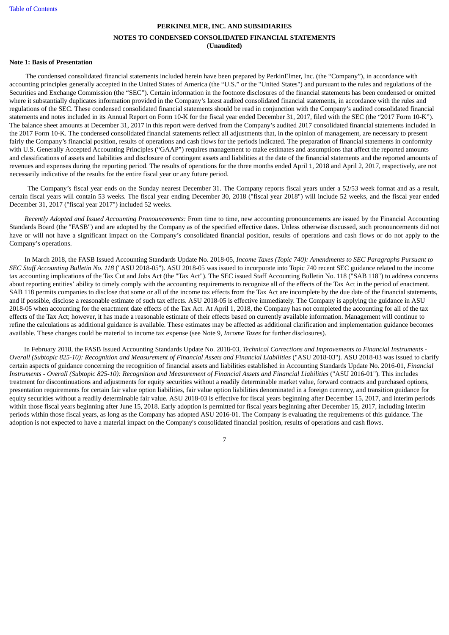# **PERKINELMER, INC. AND SUBSIDIARIES NOTES TO CONDENSED CONSOLIDATED FINANCIAL STATEMENTS (Unaudited)**

## <span id="page-6-0"></span>**Note 1: Basis of Presentation**

The condensed consolidated financial statements included herein have been prepared by PerkinElmer, Inc. (the "Company"), in accordance with accounting principles generally accepted in the United States of America (the "U.S." or the "United States") and pursuant to the rules and regulations of the Securities and Exchange Commission (the "SEC"). Certain information in the footnote disclosures of the financial statements has been condensed or omitted where it substantially duplicates information provided in the Company's latest audited consolidated financial statements, in accordance with the rules and regulations of the SEC. These condensed consolidated financial statements should be read in conjunction with the Company's audited consolidated financial statements and notes included in its Annual Report on Form 10-K for the fiscal year ended December 31, 2017, filed with the SEC (the "2017 Form 10-K"). The balance sheet amounts at December 31, 2017 in this report were derived from the Company's audited 2017 consolidated financial statements included in the 2017 Form 10-K. The condensed consolidated financial statements reflect all adjustments that, in the opinion of management, are necessary to present fairly the Company's financial position, results of operations and cash flows for the periods indicated. The preparation of financial statements in conformity with U.S. Generally Accepted Accounting Principles ("GAAP") requires management to make estimates and assumptions that affect the reported amounts and classifications of assets and liabilities and disclosure of contingent assets and liabilities at the date of the financial statements and the reported amounts of revenues and expenses during the reporting period. The results of operations for the three months ended April 1, 2018 and April 2, 2017, respectively, are not necessarily indicative of the results for the entire fiscal year or any future period.

The Company's fiscal year ends on the Sunday nearest December 31. The Company reports fiscal years under a 52/53 week format and as a result, certain fiscal years will contain 53 weeks. The fiscal year ending December 30, 2018 ("fiscal year 2018") will include 52 weeks, and the fiscal year ended December 31, 2017 ("fiscal year 2017") included 52 weeks.

*Recently Adopted and Issued Accounting Pronouncements:* From time to time, new accounting pronouncements are issued by the Financial Accounting Standards Board (the "FASB") and are adopted by the Company as of the specified effective dates. Unless otherwise discussed, such pronouncements did not have or will not have a significant impact on the Company's consolidated financial position, results of operations and cash flows or do not apply to the Company's operations.

In March 2018, the FASB Issued Accounting Standards Update No. 2018-05, *Income Taxes (Topic 740): Amendments to SEC Paragraphs Pursuant to SEC Staff Accounting Bulletin No. 118* ("ASU 2018-05"). ASU 2018-05 was issued to incorporate into Topic 740 recent SEC guidance related to the income tax accounting implications of the Tax Cut and Jobs Act (the "Tax Act"). The SEC issued Staff Accounting Bulletin No. 118 ("SAB 118") to address concerns about reporting entities' ability to timely comply with the accounting requirements to recognize all of the effects of the Tax Act in the period of enactment. SAB 118 permits companies to disclose that some or all of the income tax effects from the Tax Act are incomplete by the due date of the financial statements, and if possible, disclose a reasonable estimate of such tax effects. ASU 2018-05 is effective immediately. The Company is applying the guidance in ASU 2018-05 when accounting for the enactment date effects of the Tax Act. At April 1, 2018, the Company has not completed the accounting for all of the tax effects of the Tax Act; however, it has made a reasonable estimate of their effects based on currently available information. Management will continue to refine the calculations as additional guidance is available. These estimates may be affected as additional clarification and implementation guidance becomes available. These changes could be material to income tax expense (see Note 9, *Income Taxes* for further disclosures).

In February 2018, the FASB Issued Accounting Standards Update No. 2018-03, *Technical Corrections and Improvements to Financial Instruments -* Overall (Subtopic 825-10): Recognition and Measurement of Financial Assets and Financial Liabilities ("ASU 2018-03"). ASU 2018-03 was issued to clarify certain aspects of guidance concerning the recognition of financial assets and liabilities established in Accounting Standards Update No. 2016-01, *Financial* Instruments - Overall (Subtopic 825-10): Recognition and Measurement of Financial Assets and Financial Liabilities ("ASU 2016-01"). This includes treatment for discontinuations and adjustments for equity securities without a readily determinable market value, forward contracts and purchased options, presentation requirements for certain fair value option liabilities, fair value option liabilities denominated in a foreign currency, and transition guidance for equity securities without a readily determinable fair value. ASU 2018-03 is effective for fiscal years beginning after December 15, 2017, and interim periods within those fiscal years beginning after June 15, 2018. Early adoption is permitted for fiscal years beginning after December 15, 2017, including interim periods within those fiscal years, as long as the Company has adopted ASU 2016-01. The Company is evaluating the requirements of this guidance. The adoption is not expected to have a material impact on the Company's consolidated financial position, results of operations and cash flows.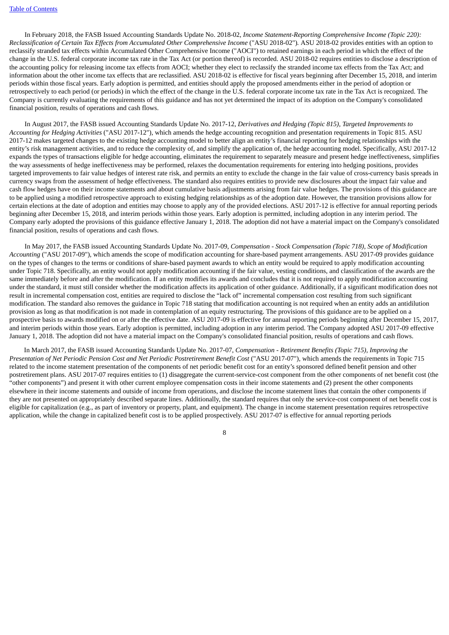In February 2018, the FASB Issued Accounting Standards Update No. 2018-02, *Income Statement-Reporting Comprehensive Income (Topic 220):* Reclassification of Certain Tax Effects from Accumulated Other Comprehensive Income ("ASU 2018-02"). ASU 2018-02 provides entities with an option to reclassify stranded tax effects within Accumulated Other Comprehensive Income ("AOCI") to retained earnings in each period in which the effect of the change in the U.S. federal corporate income tax rate in the Tax Act (or portion thereof) is recorded. ASU 2018-02 requires entities to disclose a description of the accounting policy for releasing income tax effects from AOCI; whether they elect to reclassify the stranded income tax effects from the Tax Act; and information about the other income tax effects that are reclassified. ASU 2018-02 is effective for fiscal years beginning after December 15, 2018, and interim periods within those fiscal years. Early adoption is permitted, and entities should apply the proposed amendments either in the period of adoption or retrospectively to each period (or periods) in which the effect of the change in the U.S. federal corporate income tax rate in the Tax Act is recognized. The Company is currently evaluating the requirements of this guidance and has not yet determined the impact of its adoption on the Company's consolidated financial position, results of operations and cash flows.

In August 2017, the FASB issued Accounting Standards Update No. 2017-12, *Derivatives and Hedging (Topic 815), Targeted Improvements to Accounting for Hedging Activities* ("ASU 2017-12")*,* which amends the hedge accounting recognition and presentation requirements in Topic 815. ASU 2017-12 makes targeted changes to the existing hedge accounting model to better align an entity's financial reporting for hedging relationships with the entity's risk management activities, and to reduce the complexity of, and simplify the application of, the hedge accounting model. Specifically, ASU 2017-12 expands the types of transactions eligible for hedge accounting, eliminates the requirement to separately measure and present hedge ineffectiveness, simplifies the way assessments of hedge ineffectiveness may be performed, relaxes the documentation requirements for entering into hedging positions, provides targeted improvements to fair value hedges of interest rate risk, and permits an entity to exclude the change in the fair value of cross-currency basis spreads in currency swaps from the assessment of hedge effectiveness. The standard also requires entities to provide new disclosures about the impact fair value and cash flow hedges have on their income statements and about cumulative basis adjustments arising from fair value hedges. The provisions of this guidance are to be applied using a modified retrospective approach to existing hedging relationships as of the adoption date. However, the transition provisions allow for certain elections at the date of adoption and entities may choose to apply any of the provided elections. ASU 2017-12 is effective for annual reporting periods beginning after December 15, 2018, and interim periods within those years. Early adoption is permitted, including adoption in any interim period. The Company early adopted the provisions of this guidance effective January 1, 2018. The adoption did not have a material impact on the Company's consolidated financial position, results of operations and cash flows.

In May 2017, the FASB issued Accounting Standards Update No. 2017-09, *Compensation - Stock Compensation (Topic 718), Scope of Modification Accounting* ("ASU 2017-09")*,* which amends the scope of modification accounting for share-based payment arrangements. ASU 2017-09 provides guidance on the types of changes to the terms or conditions of share-based payment awards to which an entity would be required to apply modification accounting under Topic 718. Specifically, an entity would not apply modification accounting if the fair value, vesting conditions, and classification of the awards are the same immediately before and after the modification. If an entity modifies its awards and concludes that it is not required to apply modification accounting under the standard, it must still consider whether the modification affects its application of other guidance. Additionally, if a significant modification does not result in incremental compensation cost, entities are required to disclose the "lack of" incremental compensation cost resulting from such significant modification. The standard also removes the guidance in Topic 718 stating that modification accounting is not required when an entity adds an antidilution provision as long as that modification is not made in contemplation of an equity restructuring. The provisions of this guidance are to be applied on a prospective basis to awards modified on or after the effective date. ASU 2017-09 is effective for annual reporting periods beginning after December 15, 2017, and interim periods within those years. Early adoption is permitted, including adoption in any interim period. The Company adopted ASU 2017-09 effective January 1, 2018. The adoption did not have a material impact on the Company's consolidated financial position, results of operations and cash flows.

In March 2017, the FASB issued Accounting Standards Update No. 2017-07, *Compensation - Retirement Benefits (Topic 715), Improving the* Presentation of Net Periodic Pension Cost and Net Periodic Postretirement Benefit Cost ("ASU 2017-07"), which amends the requirements in Topic 715 related to the income statement presentation of the components of net periodic benefit cost for an entity's sponsored defined benefit pension and other postretirement plans. ASU 2017-07 requires entities to (1) disaggregate the current-service-cost component from the other components of net benefit cost (the "other components") and present it with other current employee compensation costs in their income statements and (2) present the other components elsewhere in their income statements and outside of income from operations, and disclose the income statement lines that contain the other components if they are not presented on appropriately described separate lines. Additionally, the standard requires that only the service-cost component of net benefit cost is eligible for capitalization (e.g., as part of inventory or property, plant, and equipment). The change in income statement presentation requires retrospective application, while the change in capitalized benefit cost is to be applied prospectively. ASU 2017-07 is effective for annual reporting periods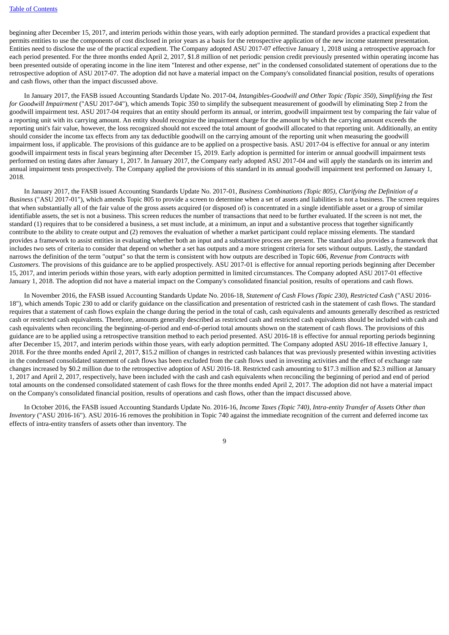beginning after December 15, 2017, and interim periods within those years, with early adoption permitted. The standard provides a practical expedient that permits entities to use the components of cost disclosed in prior years as a basis for the retrospective application of the new income statement presentation. Entities need to disclose the use of the practical expedient. The Company adopted ASU 2017-07 effective January 1, 2018 using a retrospective approach for each period presented. For the three months ended April 2, 2017, \$1.8 million of net periodic pension credit previously presented within operating income has been presented outside of operating income in the line item "Interest and other expense, net" in the condensed consolidated statement of operations due to the retrospective adoption of ASU 2017-07. The adoption did not have a material impact on the Company's consolidated financial position, results of operations and cash flows, other than the impact discussed above.

In January 2017, the FASB issued Accounting Standards Update No. 2017-04*, Intangibles-Goodwill and Other Topic (Topic 350), Simplifying the Test for Goodwill Impairment* ("ASU 2017-04")*,* which amends Topic 350 to simplify the subsequent measurement of goodwill by eliminating Step 2 from the goodwill impairment test. ASU 2017-04 requires that an entity should perform its annual, or interim, goodwill impairment test by comparing the fair value of a reporting unit with its carrying amount. An entity should recognize the impairment charge for the amount by which the carrying amount exceeds the reporting unit's fair value, however, the loss recognized should not exceed the total amount of goodwill allocated to that reporting unit. Additionally, an entity should consider the income tax effects from any tax deductible goodwill on the carrying amount of the reporting unit when measuring the goodwill impairment loss, if applicable. The provisions of this guidance are to be applied on a prospective basis. ASU 2017-04 is effective for annual or any interim goodwill impairment tests in fiscal years beginning after December 15, 2019. Early adoption is permitted for interim or annual goodwill impairment tests performed on testing dates after January 1, 2017. In January 2017, the Company early adopted ASU 2017-04 and will apply the standards on its interim and annual impairment tests prospectively. The Company applied the provisions of this standard in its annual goodwill impairment test performed on January 1, 2018.

In January 2017, the FASB issued Accounting Standards Update No. 2017-01, *Business Combinations (Topic 805), Clarifying the Definition of a Business* ("ASU 2017-01"), which amends Topic 805 to provide a screen to determine when a set of assets and liabilities is not a business. The screen requires that when substantially all of the fair value of the gross assets acquired (or disposed of) is concentrated in a single identifiable asset or a group of similar identifiable assets, the set is not a business. This screen reduces the number of transactions that need to be further evaluated. If the screen is not met, the standard (1) requires that to be considered a business, a set must include, at a minimum, an input and a substantive process that together significantly contribute to the ability to create output and (2) removes the evaluation of whether a market participant could replace missing elements. The standard provides a framework to assist entities in evaluating whether both an input and a substantive process are present. The standard also provides a framework that includes two sets of criteria to consider that depend on whether a set has outputs and a more stringent criteria for sets without outputs. Lastly, the standard narrows the definition of the term "output" so that the term is consistent with how outputs are described in Topic 606, *Revenue from Contracts with Customers*. The provisions of this guidance are to be applied prospectively. ASU 2017-01 is effective for annual reporting periods beginning after December 15, 2017, and interim periods within those years, with early adoption permitted in limited circumstances. The Company adopted ASU 2017-01 effective January 1, 2018. The adoption did not have a material impact on the Company's consolidated financial position, results of operations and cash flows.

In November 2016, the FASB issued Accounting Standards Update No. 2016-18, *Statement of Cash Flows (Topic 230), Restricted Cash* ("ASU 2016- 18"), which amends Topic 230 to add or clarify guidance on the classification and presentation of restricted cash in the statement of cash flows. The standard requires that a statement of cash flows explain the change during the period in the total of cash, cash equivalents and amounts generally described as restricted cash or restricted cash equivalents. Therefore, amounts generally described as restricted cash and restricted cash equivalents should be included with cash and cash equivalents when reconciling the beginning-of-period and end-of-period total amounts shown on the statement of cash flows. The provisions of this guidance are to be applied using a retrospective transition method to each period presented. ASU 2016-18 is effective for annual reporting periods beginning after December 15, 2017, and interim periods within those years, with early adoption permitted. The Company adopted ASU 2016-18 effective January 1, 2018. For the three months ended April 2, 2017, \$15.2 million of changes in restricted cash balances that was previously presented within investing activities in the condensed consolidated statement of cash flows has been excluded from the cash flows used in investing activities and the effect of exchange rate changes increased by \$0.2 million due to the retrospective adoption of ASU 2016-18. Restricted cash amounting to \$17.3 million and \$2.3 million at January 1, 2017 and April 2, 2017, respectively, have been included with the cash and cash equivalents when reconciling the beginning of period and end of period total amounts on the condensed consolidated statement of cash flows for the three months ended April 2, 2017. The adoption did not have a material impact on the Company's consolidated financial position, results of operations and cash flows, other than the impact discussed above.

In October 2016, the FASB issued Accounting Standards Update No. 2016-16, *Income Taxes (Topic 740), Intra-entity Transfer of Assets Other than Inventory* ("ASU 2016-16"). ASU 2016-16 removes the prohibition in Topic 740 against the immediate recognition of the current and deferred income tax effects of intra-entity transfers of assets other than inventory. The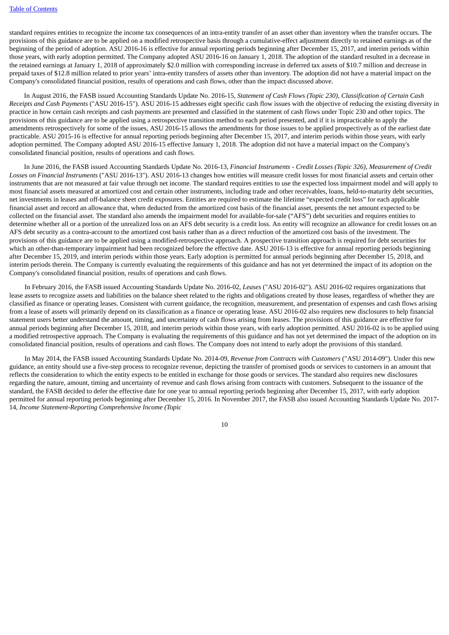standard requires entities to recognize the income tax consequences of an intra-entity transfer of an asset other than inventory when the transfer occurs. The provisions of this guidance are to be applied on a modified retrospective basis through a cumulative-effect adjustment directly to retained earnings as of the beginning of the period of adoption. ASU 2016-16 is effective for annual reporting periods beginning after December 15, 2017, and interim periods within those years, with early adoption permitted. The Company adopted ASU 2016-16 on January 1, 2018. The adoption of the standard resulted in a decrease in the retained earnings at January 1, 2018 of approximately \$2.0 million with corresponding increase in deferred tax assets of \$10.7 million and decrease in prepaid taxes of \$12.8 million related to prior years' intra-entity transfers of assets other than inventory. The adoption did not have a material impact on the Company's consolidated financial position, results of operations and cash flows, other than the impact discussed above.

In August 2016, the FASB issued Accounting Standards Update No. 2016-15, *Statement of Cash Flows (Topic 230), Classification of Certain Cash Receipts and Cash Payments* ("ASU 2016-15"). ASU 2016-15 addresses eight specific cash flow issues with the objective of reducing the existing diversity in practice in how certain cash receipts and cash payments are presented and classified in the statement of cash flows under Topic 230 and other topics. The provisions of this guidance are to be applied using a retrospective transition method to each period presented, and if it is impracticable to apply the amendments retrospectively for some of the issues, ASU 2016-15 allows the amendments for those issues to be applied prospectively as of the earliest date practicable. ASU 2015-16 is effective for annual reporting periods beginning after December 15, 2017, and interim periods within those years, with early adoption permitted. The Company adopted ASU 2016-15 effective January 1, 2018. The adoption did not have a material impact on the Company's consolidated financial position, results of operations and cash flows.

In June 2016, the FASB issued Accounting Standards Update No. 2016-13, *Financial Instruments - Credit Losses (Topic 326), Measurement of Credit Losses on Financial Instruments* ("ASU 2016-13"). ASU 2016-13 changes how entities will measure credit losses for most financial assets and certain other instruments that are not measured at fair value through net income. The standard requires entities to use the expected loss impairment model and will apply to most financial assets measured at amortized cost and certain other instruments, including trade and other receivables, loans, held-to-maturity debt securities, net investments in leases and off-balance sheet credit exposures. Entities are required to estimate the lifetime "expected credit loss" for each applicable financial asset and record an allowance that, when deducted from the amortized cost basis of the financial asset, presents the net amount expected to be collected on the financial asset. The standard also amends the impairment model for available-for-sale ("AFS") debt securities and requires entities to determine whether all or a portion of the unrealized loss on an AFS debt security is a credit loss. An entity will recognize an allowance for credit losses on an AFS debt security as a contra-account to the amortized cost basis rather than as a direct reduction of the amortized cost basis of the investment. The provisions of this guidance are to be applied using a modified-retrospective approach. A prospective transition approach is required for debt securities for which an other-than-temporary impairment had been recognized before the effective date. ASU 2016-13 is effective for annual reporting periods beginning after December 15, 2019, and interim periods within those years. Early adoption is permitted for annual periods beginning after December 15, 2018, and interim periods therein. The Company is currently evaluating the requirements of this guidance and has not yet determined the impact of its adoption on the Company's consolidated financial position, results of operations and cash flows.

In February 2016, the FASB issued Accounting Standards Update No. 2016-02, *Leases* ("ASU 2016-02"). ASU 2016-02 requires organizations that lease assets to recognize assets and liabilities on the balance sheet related to the rights and obligations created by those leases, regardless of whether they are classified as finance or operating leases. Consistent with current guidance, the recognition, measurement, and presentation of expenses and cash flows arising from a lease of assets will primarily depend on its classification as a finance or operating lease. ASU 2016-02 also requires new disclosures to help financial statement users better understand the amount, timing, and uncertainty of cash flows arising from leases. The provisions of this guidance are effective for annual periods beginning after December 15, 2018, and interim periods within those years, with early adoption permitted. ASU 2016-02 is to be applied using a modified retrospective approach. The Company is evaluating the requirements of this guidance and has not yet determined the impact of the adoption on its consolidated financial position, results of operations and cash flows. The Company does not intend to early adopt the provisions of this standard.

In May 2014, the FASB issued Accounting Standards Update No. 2014-09, *Revenue from Contracts with Customers* ("ASU 2014-09"). Under this new guidance, an entity should use a five-step process to recognize revenue, depicting the transfer of promised goods or services to customers in an amount that reflects the consideration to which the entity expects to be entitled in exchange for those goods or services. The standard also requires new disclosures regarding the nature, amount, timing and uncertainty of revenue and cash flows arising from contracts with customers. Subsequent to the issuance of the standard, the FASB decided to defer the effective date for one year to annual reporting periods beginning after December 15, 2017, with early adoption permitted for annual reporting periods beginning after December 15, 2016. In November 2017, the FASB also issued Accounting Standards Update No. 2017- 14, *Income Statement-Reporting Comprehensive Income (Topic*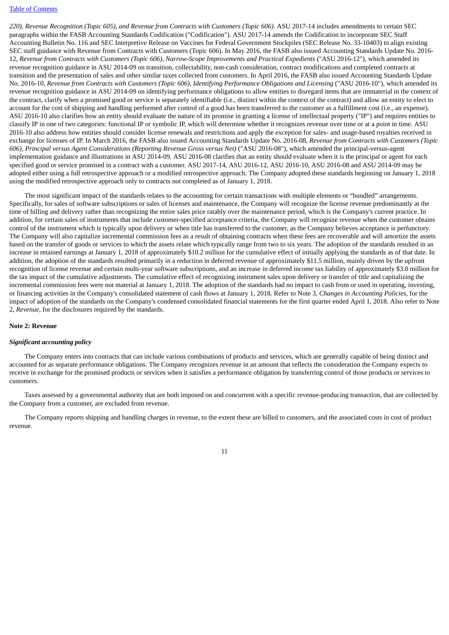220), Revenue Recognition (Topic 605), and Revenue from Contracts with Customers (Topic 606). ASU 2017-14 includes amendments to certain SEC paragraphs within the FASB Accounting Standards Codification ("Codification"). ASU 2017-14 amends the Codification to incorporate SEC Staff Accounting Bulletin No. 116 and SEC Interpretive Release on Vaccines for Federal Government Stockpiles (SEC Release No. 33-10403) to align existing SEC staff guidance with Revenue from Contracts with Customers (Topic 606). In May 2016, the FASB also issued Accounting Standards Update No. 2016- 12, Revenue from Contracts with Customers (Topic 606), Narrow-Scope Improvements and Practical Expedients ("ASU 2016-12"), which amended its revenue recognition guidance in ASU 2014-09 on transition, collectability, non-cash consideration, contract modifications and completed contracts at transition and the presentation of sales and other similar taxes collected from customers. In April 2016, the FASB also issued Accounting Standards Update No. 2016-10, Revenue from Contracts with Customers (Topic 606), Identifying Performance Obligations and Licensing ("ASU 2016-10"), which amended its revenue recognition guidance in ASU 2014-09 on identifying performance obligations to allow entities to disregard items that are immaterial in the context of the contract, clarify when a promised good or service is separately identifiable (i.e., distinct within the context of the contract) and allow an entity to elect to account for the cost of shipping and handling performed after control of a good has been transferred to the customer as a fulfillment cost (i.e., an expense). ASU 2016-10 also clarifies how an entity should evaluate the nature of its promise in granting a license of intellectual property ("IP") and requires entities to classify IP in one of two categories: functional IP or symbolic IP, which will determine whether it recognizes revenue over time or at a point in time. ASU 2016-10 also address how entities should consider license renewals and restrictions and apply the exception for sales- and usage-based royalties received in exchange for licenses of IP. In March 2016, the FASB also issued Accounting Standards Update No. 2016-08, *Revenue from Contracts with Customers (Topic 606), Principal versus Agent Considerations (Reporting Revenue Gross versus Net)* ("ASU 2016-08"), which amended the principal-versus-agent implementation guidance and illustrations in ASU 2014-09. ASU 2016-08 clarifies that an entity should evaluate when it is the principal or agent for each specified good or service promised in a contract with a customer. ASU 2017-14, ASU 2016-12, ASU 2016-10, ASU 2016-08 and ASU 2014-09 may be adopted either using a full retrospective approach or a modified retrospective approach. The Company adopted these standards beginning on January 1, 2018 using the modified retrospective approach only to contracts not completed as of January 1, 2018.

The most significant impact of the standards relates to the accounting for certain transactions with multiple elements or "bundled" arrangements. Specifically, for sales of software subscriptions or sales of licenses and maintenance, the Company will recognize the license revenue predominantly at the time of billing and delivery rather than recognizing the entire sales price ratably over the maintenance period, which is the Company's current practice. In addition, for certain sales of instruments that include customer-specified acceptance criteria, the Company will recognize revenue when the customer obtains control of the instrument which is typically upon delivery or when title has transferred to the customer, as the Company believes acceptance is perfunctory. The Company will also capitalize incremental commission fees as a result of obtaining contracts when these fees are recoverable and will amortize the assets based on the transfer of goods or services to which the assets relate which typically range from two to six years. The adoption of the standards resulted in an increase in retained earnings at January 1, 2018 of approximately \$10.2 million for the cumulative effect of initially applying the standards as of that date. In addition, the adoption of the standards resulted primarily in a reduction in deferred revenue of approximately \$11.5 million, mainly driven by the upfront recognition of license revenue and certain multi-year software subscriptions, and an increase in deferred income tax liability of approximately \$3.0 million for the tax impact of the cumulative adjustments. The cumulative effect of recognizing instrument sales upon delivery or transfer of title and capitalizing the incremental commission fees were not material at January 1, 2018. The adoption of the standards had no impact to cash from or used in operating, investing, or financing activities in the Company's consolidated statement of cash flows at January 1, 2018. Refer to Note 3, *Changes in Accounting Policies,* for the impact of adoption of the standards on the Company's condensed consolidated financial statements for the first quarter ended April 1, 2018. Also refer to Note 2, *Revenue,* for the disclosures required by the standards.

#### **Note 2: Revenue**

#### *Significant accounting policy*

The Company enters into contracts that can include various combinations of products and services, which are generally capable of being distinct and accounted for as separate performance obligations. The Company recognizes revenue in an amount that reflects the consideration the Company expects to receive in exchange for the promised products or services when it satisfies a performance obligation by transferring control of those products or services to customers.

Taxes assessed by a governmental authority that are both imposed on and concurrent with a specific revenue-producing transaction, that are collected by the Company from a customer, are excluded from revenue.

The Company reports shipping and handling charges in revenue, to the extent these are billed to customers, and the associated costs in cost of product revenue.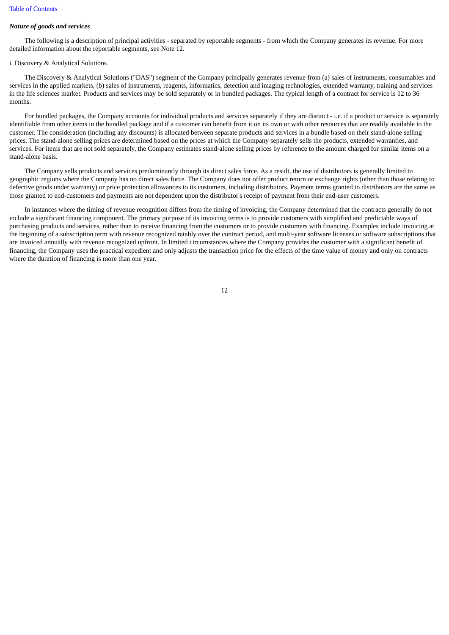# *Nature of goods and services*

The following is a description of principal activities - separated by reportable segments - from which the Company generates its revenue. For more detailed information about the reportable segments, see Note 12.

# i. Discovery & Analytical Solutions

The Discovery & Analytical Solutions ("DAS") segment of the Company principally generates revenue from (a) sales of instruments, consumables and services in the applied markets, (b) sales of instruments, reagents, informatics, detection and imaging technologies, extended warranty, training and services in the life sciences market. Products and services may be sold separately or in bundled packages. The typical length of a contract for service is 12 to 36 months.

For bundled packages, the Company accounts for individual products and services separately if they are distinct - i.e. if a product or service is separately identifiable from other items in the bundled package and if a customer can benefit from it on its own or with other resources that are readily available to the customer. The consideration (including any discounts) is allocated between separate products and services in a bundle based on their stand-alone selling prices. The stand-alone selling prices are determined based on the prices at which the Company separately sells the products, extended warranties, and services. For items that are not sold separately, the Company estimates stand-alone selling prices by reference to the amount charged for similar items on a stand-alone basis.

The Company sells products and services predominantly through its direct sales force. As a result, the use of distributors is generally limited to geographic regions where the Company has no direct sales force. The Company does not offer product return or exchange rights (other than those relating to defective goods under warranty) or price protection allowances to its customers, including distributors. Payment terms granted to distributors are the same as those granted to end-customers and payments are not dependent upon the distributor's receipt of payment from their end-user customers.

In instances where the timing of revenue recognition differs from the timing of invoicing, the Company determined that the contracts generally do not include a significant financing component. The primary purpose of its invoicing terms is to provide customers with simplified and predictable ways of purchasing products and services, rather than to receive financing from the customers or to provide customers with financing. Examples include invoicing at the beginning of a subscription term with revenue recognized ratably over the contract period, and multi-year software licenses or software subscriptions that are invoiced annually with revenue recognized upfront. In limited circumstances where the Company provides the customer with a significant benefit of financing, the Company uses the practical expedient and only adjusts the transaction price for the effects of the time value of money and only on contracts where the duration of financing is more than one year.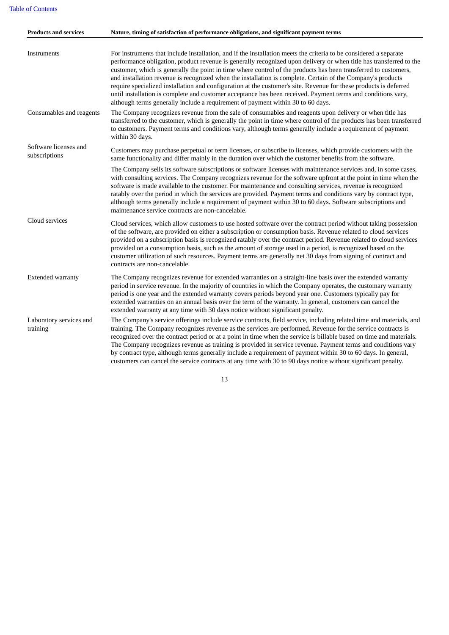| <b>Products and services</b>           | Nature, timing of satisfaction of performance obligations, and significant payment terms                                                                                                                                                                                                                                                                                                                                                                                                                                                                                                                                                                                                                                                                                                          |
|----------------------------------------|---------------------------------------------------------------------------------------------------------------------------------------------------------------------------------------------------------------------------------------------------------------------------------------------------------------------------------------------------------------------------------------------------------------------------------------------------------------------------------------------------------------------------------------------------------------------------------------------------------------------------------------------------------------------------------------------------------------------------------------------------------------------------------------------------|
| Instruments                            | For instruments that include installation, and if the installation meets the criteria to be considered a separate<br>performance obligation, product revenue is generally recognized upon delivery or when title has transferred to the<br>customer, which is generally the point in time where control of the products has been transferred to customers,<br>and installation revenue is recognized when the installation is complete. Certain of the Company's products<br>require specialized installation and configuration at the customer's site. Revenue for these products is deferred<br>until installation is complete and customer acceptance has been received. Payment terms and conditions vary,<br>although terms generally include a requirement of payment within 30 to 60 days. |
| Consumables and reagents               | The Company recognizes revenue from the sale of consumables and reagents upon delivery or when title has<br>transferred to the customer, which is generally the point in time where control of the products has been transferred<br>to customers. Payment terms and conditions vary, although terms generally include a requirement of payment<br>within 30 days.                                                                                                                                                                                                                                                                                                                                                                                                                                 |
| Software licenses and<br>subscriptions | Customers may purchase perpetual or term licenses, or subscribe to licenses, which provide customers with the<br>same functionality and differ mainly in the duration over which the customer benefits from the software.                                                                                                                                                                                                                                                                                                                                                                                                                                                                                                                                                                         |
|                                        | The Company sells its software subscriptions or software licenses with maintenance services and, in some cases,<br>with consulting services. The Company recognizes revenue for the software upfront at the point in time when the<br>software is made available to the customer. For maintenance and consulting services, revenue is recognized<br>ratably over the period in which the services are provided. Payment terms and conditions vary by contract type,<br>although terms generally include a requirement of payment within 30 to 60 days. Software subscriptions and<br>maintenance service contracts are non-cancelable.                                                                                                                                                            |
| Cloud services                         | Cloud services, which allow customers to use hosted software over the contract period without taking possession<br>of the software, are provided on either a subscription or consumption basis. Revenue related to cloud services<br>provided on a subscription basis is recognized ratably over the contract period. Revenue related to cloud services<br>provided on a consumption basis, such as the amount of storage used in a period, is recognized based on the<br>customer utilization of such resources. Payment terms are generally net 30 days from signing of contract and<br>contracts are non-cancelable.                                                                                                                                                                           |
| <b>Extended warranty</b>               | The Company recognizes revenue for extended warranties on a straight-line basis over the extended warranty<br>period in service revenue. In the majority of countries in which the Company operates, the customary warranty<br>period is one year and the extended warranty covers periods beyond year one. Customers typically pay for<br>extended warranties on an annual basis over the term of the warranty. In general, customers can cancel the<br>extended warranty at any time with 30 days notice without significant penalty.                                                                                                                                                                                                                                                           |
| Laboratory services and<br>training    | The Company's service offerings include service contracts, field service, including related time and materials, and<br>training. The Company recognizes revenue as the services are performed. Revenue for the service contracts is<br>recognized over the contract period or at a point in time when the service is billable based on time and materials.<br>The Company recognizes revenue as training is provided in service revenue. Payment terms and conditions vary<br>by contract type, although terms generally include a requirement of payment within 30 to 60 days. In general,<br>customers can cancel the service contracts at any time with 30 to 90 days notice without significant penalty.                                                                                      |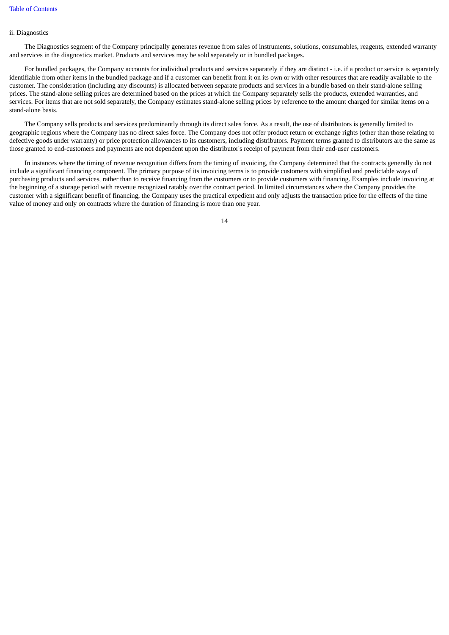## ii. Diagnostics

The Diagnostics segment of the Company principally generates revenue from sales of instruments, solutions, consumables, reagents, extended warranty and services in the diagnostics market. Products and services may be sold separately or in bundled packages.

For bundled packages, the Company accounts for individual products and services separately if they are distinct - i.e. if a product or service is separately identifiable from other items in the bundled package and if a customer can benefit from it on its own or with other resources that are readily available to the customer. The consideration (including any discounts) is allocated between separate products and services in a bundle based on their stand-alone selling prices. The stand-alone selling prices are determined based on the prices at which the Company separately sells the products, extended warranties, and services. For items that are not sold separately, the Company estimates stand-alone selling prices by reference to the amount charged for similar items on a stand-alone basis.

The Company sells products and services predominantly through its direct sales force. As a result, the use of distributors is generally limited to geographic regions where the Company has no direct sales force. The Company does not offer product return or exchange rights (other than those relating to defective goods under warranty) or price protection allowances to its customers, including distributors. Payment terms granted to distributors are the same as those granted to end-customers and payments are not dependent upon the distributor's receipt of payment from their end-user customers.

In instances where the timing of revenue recognition differs from the timing of invoicing, the Company determined that the contracts generally do not include a significant financing component. The primary purpose of its invoicing terms is to provide customers with simplified and predictable ways of purchasing products and services, rather than to receive financing from the customers or to provide customers with financing. Examples include invoicing at the beginning of a storage period with revenue recognized ratably over the contract period. In limited circumstances where the Company provides the customer with a significant benefit of financing, the Company uses the practical expedient and only adjusts the transaction price for the effects of the time value of money and only on contracts where the duration of financing is more than one year.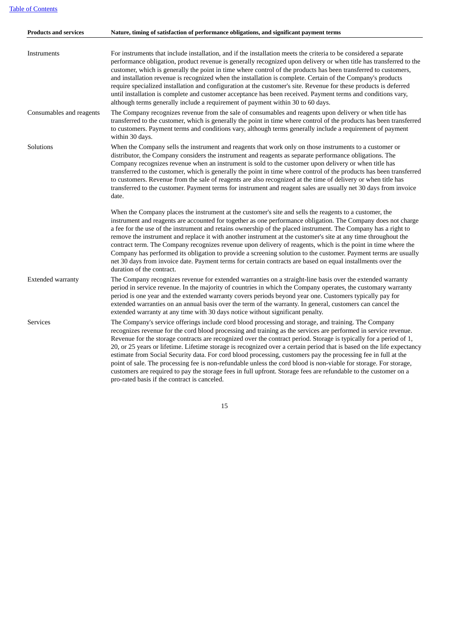| <b>Products and services</b> | Nature, timing of satisfaction of performance obligations, and significant payment terms                                                                                                                                                                                                                                                                                                                                                                                                                                                                                                                                                                                                                                                                                                                                                                                           |
|------------------------------|------------------------------------------------------------------------------------------------------------------------------------------------------------------------------------------------------------------------------------------------------------------------------------------------------------------------------------------------------------------------------------------------------------------------------------------------------------------------------------------------------------------------------------------------------------------------------------------------------------------------------------------------------------------------------------------------------------------------------------------------------------------------------------------------------------------------------------------------------------------------------------|
| Instruments                  | For instruments that include installation, and if the installation meets the criteria to be considered a separate<br>performance obligation, product revenue is generally recognized upon delivery or when title has transferred to the<br>customer, which is generally the point in time where control of the products has been transferred to customers,<br>and installation revenue is recognized when the installation is complete. Certain of the Company's products<br>require specialized installation and configuration at the customer's site. Revenue for these products is deferred<br>until installation is complete and customer acceptance has been received. Payment terms and conditions vary,<br>although terms generally include a requirement of payment within 30 to 60 days.                                                                                  |
| Consumables and reagents     | The Company recognizes revenue from the sale of consumables and reagents upon delivery or when title has<br>transferred to the customer, which is generally the point in time where control of the products has been transferred<br>to customers. Payment terms and conditions vary, although terms generally include a requirement of payment<br>within 30 days.                                                                                                                                                                                                                                                                                                                                                                                                                                                                                                                  |
| Solutions                    | When the Company sells the instrument and reagents that work only on those instruments to a customer or<br>distributor, the Company considers the instrument and reagents as separate performance obligations. The<br>Company recognizes revenue when an instrument is sold to the customer upon delivery or when title has<br>transferred to the customer, which is generally the point in time where control of the products has been transferred<br>to customers. Revenue from the sale of reagents are also recognized at the time of delivery or when title has<br>transferred to the customer. Payment terms for instrument and reagent sales are usually net 30 days from invoice<br>date.                                                                                                                                                                                  |
|                              | When the Company places the instrument at the customer's site and sells the reagents to a customer, the<br>instrument and reagents are accounted for together as one performance obligation. The Company does not charge<br>a fee for the use of the instrument and retains ownership of the placed instrument. The Company has a right to<br>remove the instrument and replace it with another instrument at the customer's site at any time throughout the<br>contract term. The Company recognizes revenue upon delivery of reagents, which is the point in time where the<br>Company has performed its obligation to provide a screening solution to the customer. Payment terms are usually<br>net 30 days from invoice date. Payment terms for certain contracts are based on equal installments over the<br>duration of the contract.                                       |
| <b>Extended warranty</b>     | The Company recognizes revenue for extended warranties on a straight-line basis over the extended warranty<br>period in service revenue. In the majority of countries in which the Company operates, the customary warranty<br>period is one year and the extended warranty covers periods beyond year one. Customers typically pay for<br>extended warranties on an annual basis over the term of the warranty. In general, customers can cancel the<br>extended warranty at any time with 30 days notice without significant penalty.                                                                                                                                                                                                                                                                                                                                            |
| <b>Services</b>              | The Company's service offerings include cord blood processing and storage, and training. The Company<br>recognizes revenue for the cord blood processing and training as the services are performed in service revenue.<br>Revenue for the storage contracts are recognized over the contract period. Storage is typically for a period of 1,<br>20, or 25 years or lifetime. Lifetime storage is recognized over a certain period that is based on the life expectancy<br>estimate from Social Security data. For cord blood processing, customers pay the processing fee in full at the<br>point of sale. The processing fee is non-refundable unless the cord blood is non-viable for storage. For storage,<br>customers are required to pay the storage fees in full upfront. Storage fees are refundable to the customer on a<br>pro-rated basis if the contract is canceled. |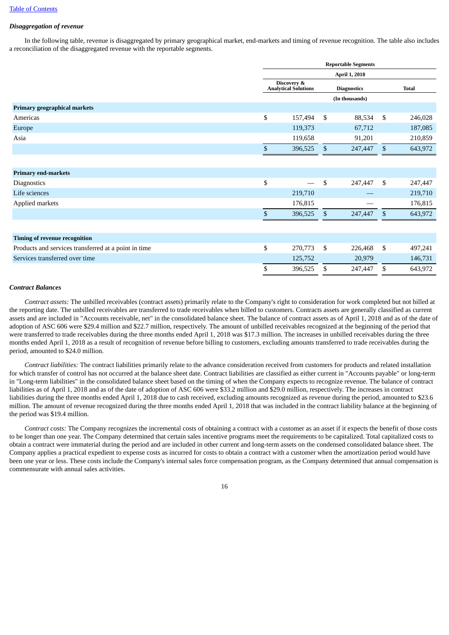## *Disaggregation of revenue*

In the following table, revenue is disaggregated by primary geographical market, end-markets and timing of revenue recognition. The table also includes a reconciliation of the disaggregated revenue with the reportable segments.

|                                                      |                | <b>Reportable Segments</b>                 |                |                    |                |              |
|------------------------------------------------------|----------------|--------------------------------------------|----------------|--------------------|----------------|--------------|
|                                                      |                | April 1, 2018                              |                |                    |                |              |
|                                                      |                | Discovery &<br><b>Analytical Solutions</b> |                | <b>Diagnostics</b> |                | <b>Total</b> |
|                                                      |                |                                            |                | (In thousands)     |                |              |
| Primary geographical markets                         |                |                                            |                |                    |                |              |
| Americas                                             | \$             | 157,494                                    | \$             | 88,534             | \$             | 246,028      |
| Europe                                               |                | 119,373                                    |                | 67,712             |                | 187,085      |
| Asia                                                 |                | 119,658                                    |                | 91,201             |                | 210,859      |
|                                                      | $\mathfrak{S}$ | 396,525                                    | $\mathfrak{S}$ | 247,447            | $\mathfrak{s}$ | 643,972      |
|                                                      |                |                                            |                |                    |                |              |
| <b>Primary end-markets</b>                           |                |                                            |                |                    |                |              |
| Diagnostics                                          | \$             |                                            | \$             | 247,447            | \$             | 247,447      |
| Life sciences                                        |                | 219,710                                    |                |                    |                | 219,710      |
| Applied markets                                      |                | 176,815                                    |                |                    |                | 176,815      |
|                                                      | \$             | 396,525                                    | $\mathfrak{s}$ | 247,447            | $\mathfrak{s}$ | 643,972      |
|                                                      |                |                                            |                |                    |                |              |
| Timing of revenue recognition                        |                |                                            |                |                    |                |              |
| Products and services transferred at a point in time | \$             | 270,773                                    | \$             | 226,468            | \$             | 497,241      |
| Services transferred over time                       |                | 125,752                                    |                | 20,979             |                | 146,731      |
|                                                      | \$             | 396,525                                    | \$             | 247,447            | \$             | 643,972      |

# *Contract Balances*

*Contract assets:* The unbilled receivables (contract assets) primarily relate to the Company's right to consideration for work completed but not billed at the reporting date. The unbilled receivables are transferred to trade receivables when billed to customers. Contracts assets are generally classified as current assets and are included in "Accounts receivable, net" in the consolidated balance sheet. The balance of contract assets as of April 1, 2018 and as of the date of adoption of ASC 606 were \$29.4 million and \$22.7 million, respectively. The amount of unbilled receivables recognized at the beginning of the period that were transferred to trade receivables during the three months ended April 1, 2018 was \$17.3 million. The increases in unbilled receivables during the three months ended April 1, 2018 as a result of recognition of revenue before billing to customers, excluding amounts transferred to trade receivables during the period, amounted to \$24.0 million.

*Contract liabilities:* The contract liabilities primarily relate to the advance consideration received from customers for products and related installation for which transfer of control has not occurred at the balance sheet date. Contract liabilities are classified as either current in "Accounts payable" or long-term in "Long-term liabilities" in the consolidated balance sheet based on the timing of when the Company expects to recognize revenue. The balance of contract liabilities as of April 1, 2018 and as of the date of adoption of ASC 606 were \$33.2 million and \$29.0 million, respectively. The increases in contract liabilities during the three months ended April 1, 2018 due to cash received, excluding amounts recognized as revenue during the period, amounted to \$23.6 million. The amount of revenue recognized during the three months ended April 1, 2018 that was included in the contract liability balance at the beginning of the period was \$19.4 million.

*Contract costs:* The Company recognizes the incremental costs of obtaining a contract with a customer as an asset if it expects the benefit of those costs to be longer than one year. The Company determined that certain sales incentive programs meet the requirements to be capitalized. Total capitalized costs to obtain a contract were immaterial during the period and are included in other current and long-term assets on the condensed consolidated balance sheet. The Company applies a practical expedient to expense costs as incurred for costs to obtain a contract with a customer when the amortization period would have been one year or less. These costs include the Company's internal sales force compensation program, as the Company determined that annual compensation is commensurate with annual sales activities.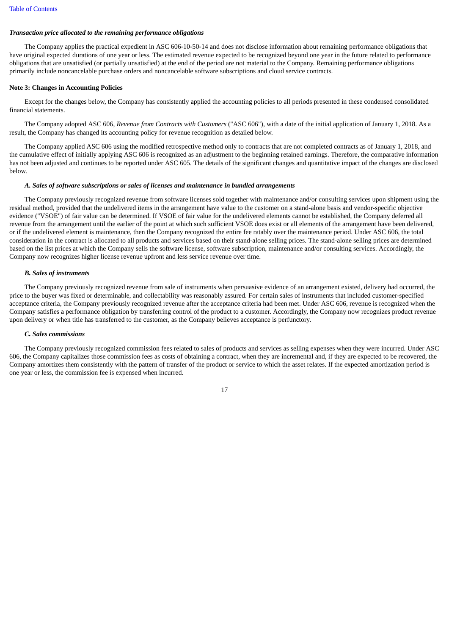# *Transaction price allocated to the remaining performance obligations*

The Company applies the practical expedient in ASC 606-10-50-14 and does not disclose information about remaining performance obligations that have original expected durations of one year or less. The estimated revenue expected to be recognized beyond one year in the future related to performance obligations that are unsatisfied (or partially unsatisfied) at the end of the period are not material to the Company. Remaining performance obligations primarily include noncancelable purchase orders and noncancelable software subscriptions and cloud service contracts.

#### **Note 3: Changes in Accounting Policies**

Except for the changes below, the Company has consistently applied the accounting policies to all periods presented in these condensed consolidated financial statements.

The Company adopted ASC 606, *Revenue from Contracts with Customers* ("ASC 606"), with a date of the initial application of January 1, 2018. As a result, the Company has changed its accounting policy for revenue recognition as detailed below.

The Company applied ASC 606 using the modified retrospective method only to contracts that are not completed contracts as of January 1, 2018, and the cumulative effect of initially applying ASC 606 is recognized as an adjustment to the beginning retained earnings. Therefore, the comparative information has not been adjusted and continues to be reported under ASC 605. The details of the significant changes and quantitative impact of the changes are disclosed below.

#### *A. Sales of software subscriptions or sales of licenses and maintenance in bundled arrangements*

The Company previously recognized revenue from software licenses sold together with maintenance and/or consulting services upon shipment using the residual method, provided that the undelivered items in the arrangement have value to the customer on a stand-alone basis and vendor-specific objective evidence ("VSOE") of fair value can be determined. If VSOE of fair value for the undelivered elements cannot be established, the Company deferred all revenue from the arrangement until the earlier of the point at which such sufficient VSOE does exist or all elements of the arrangement have been delivered, or if the undelivered element is maintenance, then the Company recognized the entire fee ratably over the maintenance period. Under ASC 606, the total consideration in the contract is allocated to all products and services based on their stand-alone selling prices. The stand-alone selling prices are determined based on the list prices at which the Company sells the software license, software subscription, maintenance and/or consulting services. Accordingly, the Company now recognizes higher license revenue upfront and less service revenue over time.

#### *B. Sales of instruments*

The Company previously recognized revenue from sale of instruments when persuasive evidence of an arrangement existed, delivery had occurred, the price to the buyer was fixed or determinable, and collectability was reasonably assured. For certain sales of instruments that included customer-specified acceptance criteria, the Company previously recognized revenue after the acceptance criteria had been met. Under ASC 606, revenue is recognized when the Company satisfies a performance obligation by transferring control of the product to a customer. Accordingly, the Company now recognizes product revenue upon delivery or when title has transferred to the customer, as the Company believes acceptance is perfunctory.

## *C. Sales commissions*

The Company previously recognized commission fees related to sales of products and services as selling expenses when they were incurred. Under ASC 606, the Company capitalizes those commission fees as costs of obtaining a contract, when they are incremental and, if they are expected to be recovered, the Company amortizes them consistently with the pattern of transfer of the product or service to which the asset relates. If the expected amortization period is one year or less, the commission fee is expensed when incurred.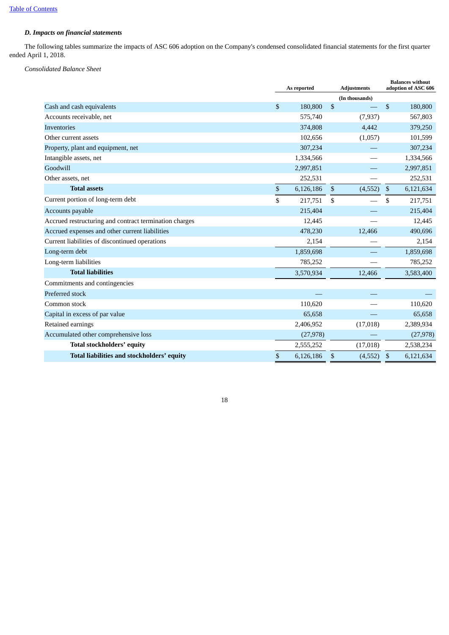# *D. Impacts on financial statements*

The following tables summarize the impacts of ASC 606 adoption on the Company's condensed consolidated financial statements for the first quarter ended April 1, 2018.

# *Consolidated Balance Sheet*

|                                                        |              | As reported | <b>Adjustments</b> |                | <b>Balances without</b><br>adoption of ASC 606 |
|--------------------------------------------------------|--------------|-------------|--------------------|----------------|------------------------------------------------|
|                                                        |              |             | (In thousands)     |                |                                                |
| Cash and cash equivalents                              | $\mathbb{S}$ | 180,800     | \$                 | \$             | 180,800                                        |
| Accounts receivable, net                               |              | 575,740     | (7, 937)           |                | 567,803                                        |
| Inventories                                            |              | 374,808     | 4,442              |                | 379,250                                        |
| Other current assets                                   |              | 102,656     | (1,057)            |                | 101,599                                        |
| Property, plant and equipment, net                     |              | 307,234     |                    |                | 307,234                                        |
| Intangible assets, net                                 |              | 1,334,566   |                    |                | 1,334,566                                      |
| Goodwill                                               |              | 2,997,851   |                    |                | 2,997,851                                      |
| Other assets, net                                      |              | 252,531     |                    |                | 252,531                                        |
| <b>Total assets</b>                                    | \$           | 6,126,186   | \$<br>(4, 552)     | $\mathfrak{S}$ | 6,121,634                                      |
| Current portion of long-term debt                      | \$           | 217,751     | \$                 | \$             | 217,751                                        |
| Accounts payable                                       |              | 215,404     |                    |                | 215,404                                        |
| Accrued restructuring and contract termination charges |              | 12,445      |                    |                | 12,445                                         |
| Accrued expenses and other current liabilities         |              | 478,230     | 12,466             |                | 490,696                                        |
| Current liabilities of discontinued operations         |              | 2,154       |                    |                | 2,154                                          |
| Long-term debt                                         |              | 1,859,698   |                    |                | 1,859,698                                      |
| Long-term liabilities                                  |              | 785,252     |                    |                | 785,252                                        |
| <b>Total liabilities</b>                               |              | 3,570,934   | 12,466             |                | 3,583,400                                      |
| Commitments and contingencies                          |              |             |                    |                |                                                |
| Preferred stock                                        |              |             |                    |                |                                                |
| Common stock                                           |              | 110,620     |                    |                | 110,620                                        |
| Capital in excess of par value                         |              | 65,658      |                    |                | 65,658                                         |
| Retained earnings                                      |              | 2,406,952   | (17,018)           |                | 2,389,934                                      |
| Accumulated other comprehensive loss                   |              | (27, 978)   |                    |                | (27, 978)                                      |
| <b>Total stockholders' equity</b>                      |              | 2,555,252   | (17,018)           |                | 2,538,234                                      |
| Total liabilities and stockholders' equity             | \$           | 6,126,186   | \$<br>(4,552)      | $\mathfrak{S}$ | 6,121,634                                      |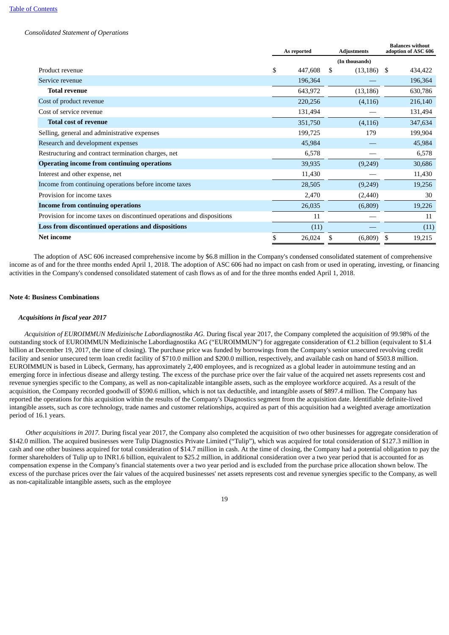## *Consolidated Statement of Operations*

|                                                                        | As reported   |   | <b>Adjustments</b> |    | <b>Balances without</b><br>adoption of ASC 606 |
|------------------------------------------------------------------------|---------------|---|--------------------|----|------------------------------------------------|
|                                                                        |               |   | (In thousands)     |    |                                                |
| Product revenue                                                        | \$<br>447,608 | S | (13, 186)          | -S | 434,422                                        |
| Service revenue                                                        | 196,364       |   |                    |    | 196,364                                        |
| <b>Total revenue</b>                                                   | 643,972       |   | (13, 186)          |    | 630,786                                        |
| Cost of product revenue                                                | 220,256       |   | (4,116)            |    | 216,140                                        |
| Cost of service revenue                                                | 131,494       |   |                    |    | 131,494                                        |
| <b>Total cost of revenue</b>                                           | 351,750       |   | (4, 116)           |    | 347,634                                        |
| Selling, general and administrative expenses                           | 199,725       |   | 179                |    | 199,904                                        |
| Research and development expenses                                      | 45,984        |   |                    |    | 45,984                                         |
| Restructuring and contract termination charges, net                    | 6,578         |   |                    |    | 6,578                                          |
| <b>Operating income from continuing operations</b>                     | 39,935        |   | (9,249)            |    | 30,686                                         |
| Interest and other expense, net                                        | 11,430        |   |                    |    | 11,430                                         |
| Income from continuing operations before income taxes                  | 28,505        |   | (9,249)            |    | 19,256                                         |
| Provision for income taxes                                             | 2,470         |   | (2, 440)           |    | 30                                             |
| <b>Income from continuing operations</b>                               | 26,035        |   | (6,809)            |    | 19,226                                         |
| Provision for income taxes on discontinued operations and dispositions | 11            |   |                    |    | 11                                             |
| Loss from discontinued operations and dispositions                     | (11)          |   |                    |    | (11)                                           |
| <b>Net income</b>                                                      | \$<br>26,024  | S | (6,809)            | S  | 19,215                                         |

The adoption of ASC 606 increased comprehensive income by \$6.8 million in the Company's condensed consolidated statement of comprehensive income as of and for the three months ended April 1, 2018. The adoption of ASC 606 had no impact on cash from or used in operating, investing, or financing activities in the Company's condensed consolidated statement of cash flows as of and for the three months ended April 1, 2018.

# **Note 4: Business Combinations**

# *Acquisitions in fiscal year 2017*

*Acquisition of EUROIMMUN Medizinische Labordiagnostika AG.* During fiscal year 2017, the Company completed the acquisition of 99.98% of the outstanding stock of EUROIMMUN Medizinische Labordiagnostika AG ("EUROIMMUN") for aggregate consideration of €1.2 billion (equivalent to \$1.4 billion at December 19, 2017, the time of closing). The purchase price was funded by borrowings from the Company's senior unsecured revolving credit facility and senior unsecured term loan credit facility of \$710.0 million and \$200.0 million, respectively, and available cash on hand of \$503.8 million. EUROIMMUN is based in Lübeck, Germany, has approximately 2,400 employees, and is recognized as a global leader in autoimmune testing and an emerging force in infectious disease and allergy testing. The excess of the purchase price over the fair value of the acquired net assets represents cost and revenue synergies specific to the Company, as well as non-capitalizable intangible assets, such as the employee workforce acquired. As a result of the acquisition, the Company recorded goodwill of \$590.6 million, which is not tax deductible, and intangible assets of \$897.4 million. The Company has reported the operations for this acquisition within the results of the Company's Diagnostics segment from the acquisition date. Identifiable definite-lived intangible assets, such as core technology, trade names and customer relationships, acquired as part of this acquisition had a weighted average amortization period of 16.1 years.

*Other acquisitions in 2017.* During fiscal year 2017, the Company also completed the acquisition of two other businesses for aggregate consideration of \$142.0 million. The acquired businesses were Tulip Diagnostics Private Limited ("Tulip"), which was acquired for total consideration of \$127.3 million in cash and one other business acquired for total consideration of \$14.7 million in cash. At the time of closing, the Company had a potential obligation to pay the former shareholders of Tulip up to INR1.6 billion, equivalent to \$25.2 million, in additional consideration over a two year period that is accounted for as compensation expense in the Company's financial statements over a two year period and is excluded from the purchase price allocation shown below. The excess of the purchase prices over the fair values of the acquired businesses' net assets represents cost and revenue synergies specific to the Company, as well as non-capitalizable intangible assets, such as the employee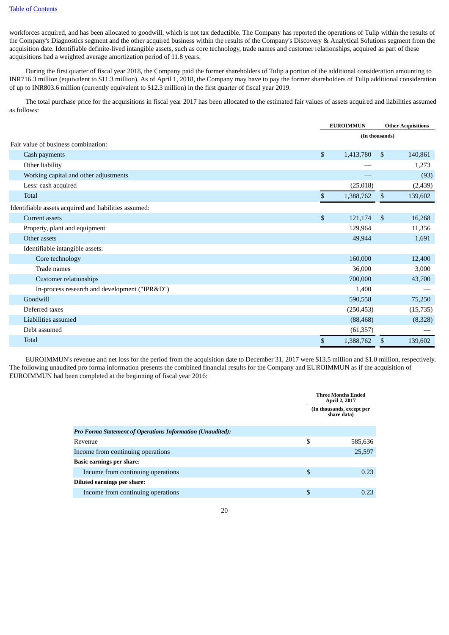workforces acquired, and has been allocated to goodwill, which is not tax deductible. The Company has reported the operations of Tulip within the results of the Company's Diagnostics segment and the other acquired business within the results of the Company's Discovery & Analytical Solutions segment from the acquisition date. Identifiable definite-lived intangible assets, such as core technology, trade names and customer relationships, acquired as part of these acquisitions had a weighted average amortization period of 11.8 years.

During the first quarter of fiscal year 2018, the Company paid the former shareholders of Tulip a portion of the additional consideration amounting to INR716.3 million (equivalent to \$11.3 million). As of April 1, 2018, the Company may have to pay the former shareholders of Tulip additional consideration of up to INR803.6 million (currently equivalent to \$12.3 million) in the first quarter of fiscal year 2019.

The total purchase price for the acquisitions in fiscal year 2017 has been allocated to the estimated fair values of assets acquired and liabilities assumed as follows:

|              |                                                       |     | <b>EUROIMMUN</b> |               | <b>Other Acquisitions</b> |  |
|--------------|-------------------------------------------------------|-----|------------------|---------------|---------------------------|--|
|              |                                                       |     | (In thousands)   |               |                           |  |
|              | Fair value of business combination:                   |     |                  |               |                           |  |
|              | Cash payments                                         | \$  | 1,413,780        | <sup>\$</sup> | 140,861                   |  |
|              | Other liability                                       |     |                  |               | 1,273                     |  |
|              | Working capital and other adjustments                 |     |                  |               | (93)                      |  |
|              | Less: cash acquired                                   |     | (25, 018)        |               | (2, 439)                  |  |
| <b>Total</b> |                                                       | \$. | 1,388,762        | <sup>\$</sup> | 139,602                   |  |
|              | Identifiable assets acquired and liabilities assumed: |     |                  |               |                           |  |
|              | <b>Current assets</b>                                 | \$  | 121,174          | -\$           | 16,268                    |  |
|              | Property, plant and equipment                         |     | 129,964          |               | 11,356                    |  |
|              | Other assets                                          |     | 49,944           |               | 1,691                     |  |
|              | Identifiable intangible assets:                       |     |                  |               |                           |  |
|              | Core technology                                       |     | 160,000          |               | 12,400                    |  |
|              | Trade names                                           |     | 36,000           |               | 3,000                     |  |
|              | <b>Customer relationships</b>                         |     | 700,000          |               | 43,700                    |  |
|              | In-process research and development ("IPR&D")         |     | 1,400            |               |                           |  |
|              | Goodwill                                              |     | 590,558          |               | 75,250                    |  |
|              | Deferred taxes                                        |     | (250, 453)       |               | (15, 735)                 |  |
|              | Liabilities assumed                                   |     | (88, 468)        |               | (8,328)                   |  |
|              | Debt assumed                                          |     | (61, 357)        |               |                           |  |
| <b>Total</b> |                                                       | \$  | 1,388,762        | \$            | 139,602                   |  |

EUROIMMUN's revenue and net loss for the period from the acquisition date to December 31, 2017 were \$13.5 million and \$1.0 million, respectively. The following unaudited pro forma information presents the combined financial results for the Company and EUROIMMUN as if the acquisition of EUROIMMUN had been completed at the beginning of fiscal year 2016:

| <b>Three Months Ended</b><br><b>April 2, 2017</b><br>(In thousands, except per<br>share data) |         |  |
|-----------------------------------------------------------------------------------------------|---------|--|
|                                                                                               |         |  |
| \$                                                                                            | 585,636 |  |
|                                                                                               | 25,597  |  |
|                                                                                               |         |  |
| \$                                                                                            | 0.23    |  |
|                                                                                               |         |  |
| \$                                                                                            | 0.23    |  |
|                                                                                               |         |  |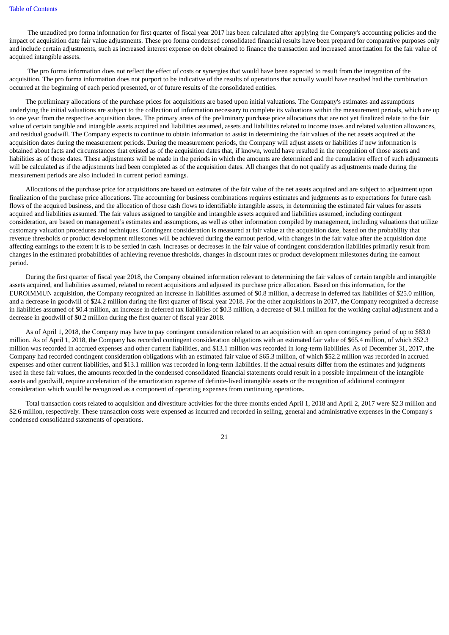The unaudited pro forma information for first quarter of fiscal year 2017 has been calculated after applying the Company's accounting policies and the impact of acquisition date fair value adjustments. These pro forma condensed consolidated financial results have been prepared for comparative purposes only and include certain adjustments, such as increased interest expense on debt obtained to finance the transaction and increased amortization for the fair value of acquired intangible assets.

The pro forma information does not reflect the effect of costs or synergies that would have been expected to result from the integration of the acquisition. The pro forma information does not purport to be indicative of the results of operations that actually would have resulted had the combination occurred at the beginning of each period presented, or of future results of the consolidated entities.

The preliminary allocations of the purchase prices for acquisitions are based upon initial valuations. The Company's estimates and assumptions underlying the initial valuations are subject to the collection of information necessary to complete its valuations within the measurement periods, which are up to one year from the respective acquisition dates. The primary areas of the preliminary purchase price allocations that are not yet finalized relate to the fair value of certain tangible and intangible assets acquired and liabilities assumed, assets and liabilities related to income taxes and related valuation allowances, and residual goodwill. The Company expects to continue to obtain information to assist in determining the fair values of the net assets acquired at the acquisition dates during the measurement periods. During the measurement periods, the Company will adjust assets or liabilities if new information is obtained about facts and circumstances that existed as of the acquisition dates that, if known, would have resulted in the recognition of those assets and liabilities as of those dates. These adjustments will be made in the periods in which the amounts are determined and the cumulative effect of such adjustments will be calculated as if the adjustments had been completed as of the acquisition dates. All changes that do not qualify as adjustments made during the measurement periods are also included in current period earnings.

Allocations of the purchase price for acquisitions are based on estimates of the fair value of the net assets acquired and are subject to adjustment upon finalization of the purchase price allocations. The accounting for business combinations requires estimates and judgments as to expectations for future cash flows of the acquired business, and the allocation of those cash flows to identifiable intangible assets, in determining the estimated fair values for assets acquired and liabilities assumed. The fair values assigned to tangible and intangible assets acquired and liabilities assumed, including contingent consideration, are based on management's estimates and assumptions, as well as other information compiled by management, including valuations that utilize customary valuation procedures and techniques. Contingent consideration is measured at fair value at the acquisition date, based on the probability that revenue thresholds or product development milestones will be achieved during the earnout period, with changes in the fair value after the acquisition date affecting earnings to the extent it is to be settled in cash. Increases or decreases in the fair value of contingent consideration liabilities primarily result from changes in the estimated probabilities of achieving revenue thresholds, changes in discount rates or product development milestones during the earnout period.

During the first quarter of fiscal year 2018, the Company obtained information relevant to determining the fair values of certain tangible and intangible assets acquired, and liabilities assumed, related to recent acquisitions and adjusted its purchase price allocation. Based on this information, for the EUROIMMUN acquisition, the Company recognized an increase in liabilities assumed of \$0.8 million, a decrease in deferred tax liabilities of \$25.0 million, and a decrease in goodwill of \$24.2 million during the first quarter of fiscal year 2018. For the other acquisitions in 2017, the Company recognized a decrease in liabilities assumed of \$0.4 million, an increase in deferred tax liabilities of \$0.3 million, a decrease of \$0.1 million for the working capital adjustment and a decrease in goodwill of \$0.2 million during the first quarter of fiscal year 2018.

As of April 1, 2018, the Company may have to pay contingent consideration related to an acquisition with an open contingency period of up to \$83.0 million. As of April 1, 2018, the Company has recorded contingent consideration obligations with an estimated fair value of \$65.4 million, of which \$52.3 million was recorded in accrued expenses and other current liabilities, and \$13.1 million was recorded in long-term liabilities. As of December 31, 2017, the Company had recorded contingent consideration obligations with an estimated fair value of \$65.3 million, of which \$52.2 million was recorded in accrued expenses and other current liabilities, and \$13.1 million was recorded in long-term liabilities. If the actual results differ from the estimates and judgments used in these fair values, the amounts recorded in the condensed consolidated financial statements could result in a possible impairment of the intangible assets and goodwill, require acceleration of the amortization expense of definite-lived intangible assets or the recognition of additional contingent consideration which would be recognized as a component of operating expenses from continuing operations.

Total transaction costs related to acquisition and divestiture activities for the three months ended April 1, 2018 and April 2, 2017 were \$2.3 million and \$2.6 million, respectively. These transaction costs were expensed as incurred and recorded in selling, general and administrative expenses in the Company's condensed consolidated statements of operations.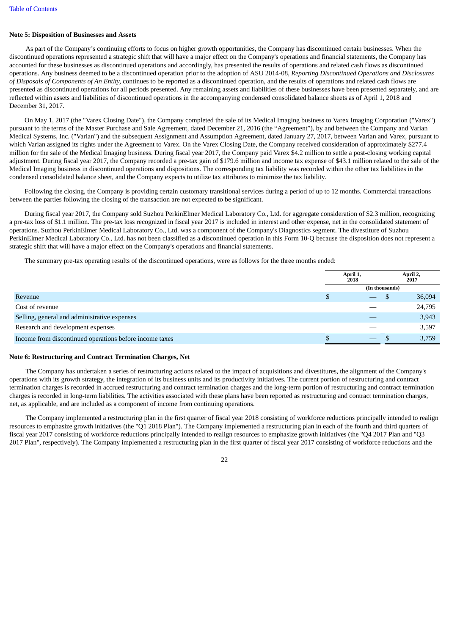# **Note 5: Disposition of Businesses and Assets**

As part of the Company's continuing efforts to focus on higher growth opportunities, the Company has discontinued certain businesses. When the discontinued operations represented a strategic shift that will have a major effect on the Company's operations and financial statements, the Company has accounted for these businesses as discontinued operations and accordingly, has presented the results of operations and related cash flows as discontinued operations. Any business deemed to be a discontinued operation prior to the adoption of ASU 2014-08, *Reporting Discontinued Operations and Disclosures of Disposals of Components of An Entity,* continues to be reported as a discontinued operation, and the results of operations and related cash flows are presented as discontinued operations for all periods presented. Any remaining assets and liabilities of these businesses have been presented separately, and are reflected within assets and liabilities of discontinued operations in the accompanying condensed consolidated balance sheets as of April 1, 2018 and December 31, 2017.

On May 1, 2017 (the "Varex Closing Date"), the Company completed the sale of its Medical Imaging business to Varex Imaging Corporation ("Varex") pursuant to the terms of the Master Purchase and Sale Agreement, dated December 21, 2016 (the "Agreement"), by and between the Company and Varian Medical Systems, Inc. ("Varian") and the subsequent Assignment and Assumption Agreement, dated January 27, 2017, between Varian and Varex, pursuant to which Varian assigned its rights under the Agreement to Varex. On the Varex Closing Date, the Company received consideration of approximately \$277.4 million for the sale of the Medical Imaging business. During fiscal year 2017, the Company paid Varex \$4.2 million to settle a post-closing working capital adjustment. During fiscal year 2017, the Company recorded a pre-tax gain of \$179.6 million and income tax expense of \$43.1 million related to the sale of the Medical Imaging business in discontinued operations and dispositions. The corresponding tax liability was recorded within the other tax liabilities in the condensed consolidated balance sheet, and the Company expects to utilize tax attributes to minimize the tax liability.

Following the closing, the Company is providing certain customary transitional services during a period of up to 12 months. Commercial transactions between the parties following the closing of the transaction are not expected to be significant.

During fiscal year 2017, the Company sold Suzhou PerkinElmer Medical Laboratory Co., Ltd. for aggregate consideration of \$2.3 million, recognizing a pre-tax loss of \$1.1 million. The pre-tax loss recognized in fiscal year 2017 is included in interest and other expense, net in the consolidated statement of operations. Suzhou PerkinElmer Medical Laboratory Co., Ltd. was a component of the Company's Diagnostics segment. The divestiture of Suzhou PerkinElmer Medical Laboratory Co., Ltd. has not been classified as a discontinued operation in this Form 10-Q because the disposition does not represent a strategic shift that will have a major effect on the Company's operations and financial statements.

The summary pre-tax operating results of the discontinued operations, were as follows for the three months ended:

|                                                         | April 1,<br>2018 |                                 |                | April 2,<br>2017 |
|---------------------------------------------------------|------------------|---------------------------------|----------------|------------------|
|                                                         |                  |                                 | (In thousands) |                  |
| Revenue                                                 |                  | $\overbrace{\phantom{12333}}$   | ъ              | 36,094           |
| Cost of revenue                                         |                  |                                 |                | 24,795           |
| Selling, general and administrative expenses            |                  |                                 |                | 3,943            |
| Research and development expenses                       |                  |                                 |                | 3,597            |
| Income from discontinued operations before income taxes |                  | $\hspace{0.1mm}-\hspace{0.1mm}$ |                | 3,759            |

#### **Note 6: Restructuring and Contract Termination Charges, Net**

The Company has undertaken a series of restructuring actions related to the impact of acquisitions and divestitures, the alignment of the Company's operations with its growth strategy, the integration of its business units and its productivity initiatives. The current portion of restructuring and contract termination charges is recorded in accrued restructuring and contract termination charges and the long-term portion of restructuring and contract termination charges is recorded in long-term liabilities. The activities associated with these plans have been reported as restructuring and contract termination charges, net, as applicable, and are included as a component of income from continuing operations.

The Company implemented a restructuring plan in the first quarter of fiscal year 2018 consisting of workforce reductions principally intended to realign resources to emphasize growth initiatives (the "Q1 2018 Plan"). The Company implemented a restructuring plan in each of the fourth and third quarters of fiscal year 2017 consisting of workforce reductions principally intended to realign resources to emphasize growth initiatives (the "Q4 2017 Plan and "Q3 2017 Plan", respectively). The Company implemented a restructuring plan in the first quarter of fiscal year 2017 consisting of workforce reductions and the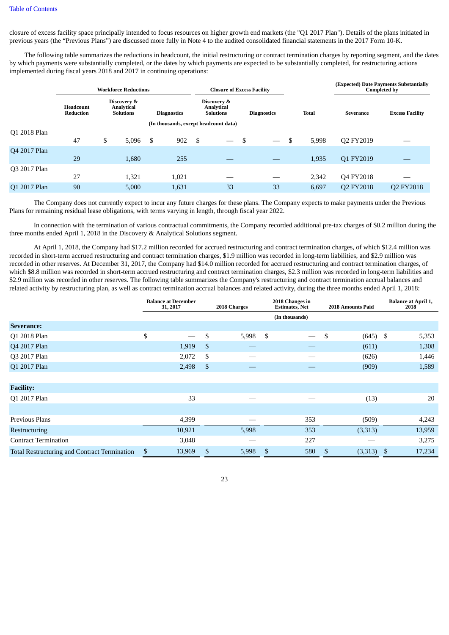closure of excess facility space principally intended to focus resources on higher growth end markets (the "Q1 2017 Plan"). Details of the plans initiated in previous years (the "Previous Plans") are discussed more fully in Note 4 to the audited consolidated financial statements in the 2017 Form 10-K.

The following table summarizes the reductions in headcount, the initial restructuring or contract termination charges by reporting segment, and the dates by which payments were substantially completed, or the dates by which payments are expected to be substantially completed, for restructuring actions implemented during fiscal years 2018 and 2017 in continuing operations:

|              |                        | <b>Workforce Reductions</b>                   |   |                    | <b>Closure of Excess Facility</b>             |      |                          |              |                  | (Expected) Date Payments Substantially<br><b>Completed by</b> |
|--------------|------------------------|-----------------------------------------------|---|--------------------|-----------------------------------------------|------|--------------------------|--------------|------------------|---------------------------------------------------------------|
|              | Headcount<br>Reduction | Discovery &<br>Analytical<br><b>Solutions</b> |   | <b>Diagnostics</b> | Discovery &<br>Analytical<br><b>Solutions</b> |      | <b>Diagnostics</b>       | <b>Total</b> | <b>Severance</b> | <b>Excess Facility</b>                                        |
|              |                        |                                               |   |                    | (In thousands, except headcount data)         |      |                          |              |                  |                                                               |
| Q1 2018 Plan |                        |                                               |   |                    |                                               |      |                          |              |                  |                                                               |
|              | 47                     | \$<br>5,096                                   | S | 902                | \$<br>$\overline{\phantom{m}}$                | - \$ | $\overline{\phantom{0}}$ | \$<br>5,998  | Q2 FY2019        |                                                               |
| Q4 2017 Plan |                        |                                               |   |                    |                                               |      |                          |              |                  |                                                               |
|              | 29                     | 1,680                                         |   | 255                |                                               |      |                          | 1,935        | Q1 FY2019        |                                                               |
| Q3 2017 Plan |                        |                                               |   |                    |                                               |      |                          |              |                  |                                                               |
|              | 27                     | 1,321                                         |   | 1,021              |                                               |      |                          | 2,342        | Q4 FY2018        |                                                               |
| Q1 2017 Plan | 90                     | 5,000                                         |   | 1,631              | 33                                            |      | 33                       | 6,697        | Q2 FY2018        | Q2 FY2018                                                     |

The Company does not currently expect to incur any future charges for these plans. The Company expects to make payments under the Previous Plans for remaining residual lease obligations, with terms varying in length, through fiscal year 2022.

In connection with the termination of various contractual commitments, the Company recorded additional pre-tax charges of \$0.2 million during the three months ended April 1, 2018 in the Discovery & Analytical Solutions segment.

At April 1, 2018, the Company had \$17.2 million recorded for accrued restructuring and contract termination charges, of which \$12.4 million was recorded in short-term accrued restructuring and contract termination charges, \$1.9 million was recorded in long-term liabilities, and \$2.9 million was recorded in other reserves. At December 31, 2017, the Company had \$14.0 million recorded for accrued restructuring and contract termination charges, of which \$8.8 million was recorded in short-term accrued restructuring and contract termination charges, \$2.3 million was recorded in long-term liabilities and \$2.9 million was recorded in other reserves. The following table summarizes the Company's restructuring and contract termination accrual balances and related activity by restructuring plan, as well as contract termination accrual balances and related activity, during the three months ended April 1, 2018:

|                                                     | <b>Balance at December</b><br>31, 2017<br>2018 Charges |        | 2018 Changes in<br><b>Estimates, Net</b> |       |                | <b>2018 Amounts Paid</b> |    | <b>Balance at April 1,</b><br>2018 |  |        |
|-----------------------------------------------------|--------------------------------------------------------|--------|------------------------------------------|-------|----------------|--------------------------|----|------------------------------------|--|--------|
|                                                     |                                                        |        |                                          |       |                | (In thousands)           |    |                                    |  |        |
| <b>Severance:</b>                                   |                                                        |        |                                          |       |                |                          |    |                                    |  |        |
| Q1 2018 Plan                                        | \$                                                     |        | \$                                       | 5,998 | - \$           |                          | \$ | $(645)$ \$                         |  | 5,353  |
| Q4 2017 Plan                                        |                                                        | 1,919  | $\mathfrak{s}$                           |       |                |                          |    | (611)                              |  | 1,308  |
| Q3 2017 Plan                                        |                                                        | 2,072  | \$                                       |       |                |                          |    | (626)                              |  | 1,446  |
| Q1 2017 Plan                                        |                                                        | 2,498  | \$                                       |       |                |                          |    | (909)                              |  | 1,589  |
|                                                     |                                                        |        |                                          |       |                |                          |    |                                    |  |        |
| <b>Facility:</b>                                    |                                                        |        |                                          |       |                |                          |    |                                    |  |        |
| Q1 2017 Plan                                        |                                                        | 33     |                                          |       |                |                          |    | (13)                               |  | 20     |
|                                                     |                                                        |        |                                          |       |                |                          |    |                                    |  |        |
| Previous Plans                                      |                                                        | 4,399  |                                          |       |                | 353                      |    | (509)                              |  | 4,243  |
| Restructuring                                       |                                                        | 10,921 |                                          | 5,998 |                | 353                      |    | (3,313)                            |  | 13,959 |
| <b>Contract Termination</b>                         |                                                        | 3,048  |                                          |       |                | 227                      |    |                                    |  | 3,275  |
| <b>Total Restructuring and Contract Termination</b> | \$                                                     | 13,969 | $\mathfrak{s}$                           | 5,998 | $\mathfrak{s}$ | 580                      | \$ | $(3,313)$ \$                       |  | 17,234 |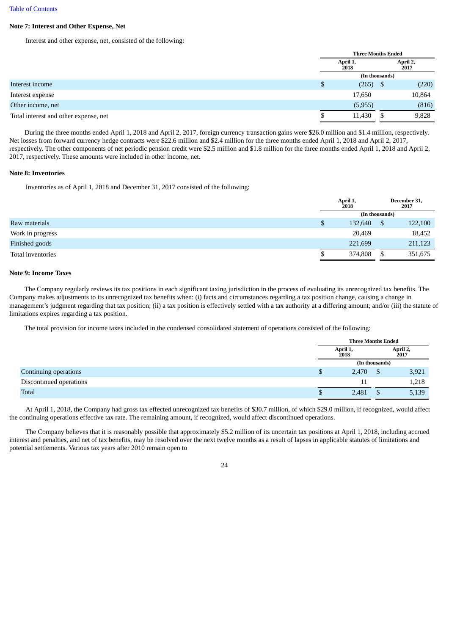# **Note 7: Interest and Other Expense, Net**

Interest and other expense, net, consisted of the following:

| <b>Three Months Ended</b>                       |                  |
|-------------------------------------------------|------------------|
| April 1,<br>2018                                | April 2,<br>2017 |
| (In thousands)                                  |                  |
| (265)<br>Interest income<br>- \$<br>S           | (220)            |
| 17,650<br>Interest expense                      | 10,864           |
| Other income, net<br>(5,955)                    | (816)            |
| 11,430<br>Total interest and other expense, net | 9,828<br>S       |

During the three months ended April 1, 2018 and April 2, 2017, foreign currency transaction gains were \$26.0 million and \$1.4 million, respectively. Net losses from forward currency hedge contracts were \$22.6 million and \$2.4 million for the three months ended April 1, 2018 and April 2, 2017, respectively. The other components of net periodic pension credit were \$2.5 million and \$1.8 million for the three months ended April 1, 2018 and April 2, 2017, respectively. These amounts were included in other income, net.

# **Note 8: Inventories**

Inventories as of April 1, 2018 and December 31, 2017 consisted of the following:

|                   | April 1,<br><b>2018</b> |                | December 31,<br>2017 |
|-------------------|-------------------------|----------------|----------------------|
|                   |                         | (In thousands) |                      |
| Raw materials     | \$<br>132,640           | -S             | 122,100              |
| Work in progress  | 20,469                  |                | 18,452               |
| Finished goods    | 221,699                 |                | 211,123              |
| Total inventories | 374,808                 | \$             | 351,675              |

## **Note 9: Income Taxes**

The Company regularly reviews its tax positions in each significant taxing jurisdiction in the process of evaluating its unrecognized tax benefits. The Company makes adjustments to its unrecognized tax benefits when: (i) facts and circumstances regarding a tax position change, causing a change in management's judgment regarding that tax position; (ii) a tax position is effectively settled with a tax authority at a differing amount; and/or (iii) the statute of limitations expires regarding a tax position.

The total provision for income taxes included in the condensed consolidated statement of operations consisted of the following:

|                              | <b>Three Months Ended</b> |              |                  |  |
|------------------------------|---------------------------|--------------|------------------|--|
|                              | April 1,<br>2018          |              | April 2,<br>2017 |  |
|                              | (In thousands)            |              |                  |  |
| <b>Continuing operations</b> | 2,470                     | <sup>S</sup> | 3,921            |  |
| Discontinued operations      | 11                        |              | 1,218            |  |
| Total                        | 2,481                     |              | 5,139            |  |

At April 1, 2018, the Company had gross tax effected unrecognized tax benefits of \$30.7 million, of which \$29.0 million, if recognized, would affect the continuing operations effective tax rate. The remaining amount, if recognized, would affect discontinued operations.

The Company believes that it is reasonably possible that approximately \$5.2 million of its uncertain tax positions at April 1, 2018, including accrued interest and penalties, and net of tax benefits, may be resolved over the next twelve months as a result of lapses in applicable statutes of limitations and potential settlements. Various tax years after 2010 remain open to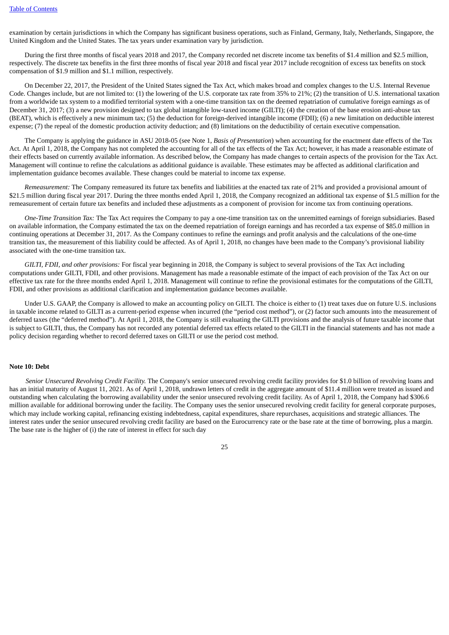examination by certain jurisdictions in which the Company has significant business operations, such as Finland, Germany, Italy, Netherlands, Singapore, the United Kingdom and the United States. The tax years under examination vary by jurisdiction.

During the first three months of fiscal years 2018 and 2017, the Company recorded net discrete income tax benefits of \$1.4 million and \$2.5 million, respectively. The discrete tax benefits in the first three months of fiscal year 2018 and fiscal year 2017 include recognition of excess tax benefits on stock compensation of \$1.9 million and \$1.1 million, respectively.

On December 22, 2017, the President of the United States signed the Tax Act, which makes broad and complex changes to the U.S. Internal Revenue Code. Changes include, but are not limited to: (1) the lowering of the U.S. corporate tax rate from 35% to 21%; (2) the transition of U.S. international taxation from a worldwide tax system to a modified territorial system with a one-time transition tax on the deemed repatriation of cumulative foreign earnings as of December 31, 2017; (3) a new provision designed to tax global intangible low-taxed income (GILTI); (4) the creation of the base erosion anti-abuse tax (BEAT), which is effectively a new minimum tax; (5) the deduction for foreign-derived intangible income (FDII); (6) a new limitation on deductible interest expense; (7) the repeal of the domestic production activity deduction; and (8) limitations on the deductibility of certain executive compensation.

The Company is applying the guidance in ASU 2018-05 (see Note 1, *Basis of Presentation*) when accounting for the enactment date effects of the Tax Act. At April 1, 2018, the Company has not completed the accounting for all of the tax effects of the Tax Act; however, it has made a reasonable estimate of their effects based on currently available information. As described below, the Company has made changes to certain aspects of the provision for the Tax Act. Management will continue to refine the calculations as additional guidance is available. These estimates may be affected as additional clarification and implementation guidance becomes available. These changes could be material to income tax expense.

*Remeasurement:* The Company remeasured its future tax benefits and liabilities at the enacted tax rate of 21% and provided a provisional amount of \$21.5 million during fiscal year 2017. During the three months ended April 1, 2018, the Company recognized an additional tax expense of \$1.5 million for the remeasurement of certain future tax benefits and included these adjustments as a component of provision for income tax from continuing operations.

*One-Time Transition Tax:* The Tax Act requires the Company to pay a one-time transition tax on the unremitted earnings of foreign subsidiaries. Based on available information, the Company estimated the tax on the deemed repatriation of foreign earnings and has recorded a tax expense of \$85.0 million in continuing operations at December 31, 2017. As the Company continues to refine the earnings and profit analysis and the calculations of the one-time transition tax, the measurement of this liability could be affected. As of April 1, 2018, no changes have been made to the Company's provisional liability associated with the one-time transition tax.

*GILTI, FDII, and other provisions:* For fiscal year beginning in 2018, the Company is subject to several provisions of the Tax Act including computations under GILTI, FDII, and other provisions. Management has made a reasonable estimate of the impact of each provision of the Tax Act on our effective tax rate for the three months ended April 1, 2018. Management will continue to refine the provisional estimates for the computations of the GILTI, FDII, and other provisions as additional clarification and implementation guidance becomes available.

Under U.S. GAAP, the Company is allowed to make an accounting policy on GILTI. The choice is either to (1) treat taxes due on future U.S. inclusions in taxable income related to GILTI as a current-period expense when incurred (the "period cost method"), or (2) factor such amounts into the measurement of deferred taxes (the "deferred method"). At April 1, 2018, the Company is still evaluating the GILTI provisions and the analysis of future taxable income that is subject to GILTI, thus, the Company has not recorded any potential deferred tax effects related to the GILTI in the financial statements and has not made a policy decision regarding whether to record deferred taxes on GILTI or use the period cost method.

## **Note 10: Debt**

*Senior Unsecured Revolving Credit Facility.* The Company's senior unsecured revolving credit facility provides for \$1.0 billion of revolving loans and has an initial maturity of August 11, 2021. As of April 1, 2018, undrawn letters of credit in the aggregate amount of \$11.4 million were treated as issued and outstanding when calculating the borrowing availability under the senior unsecured revolving credit facility. As of April 1, 2018, the Company had \$306.6 million available for additional borrowing under the facility. The Company uses the senior unsecured revolving credit facility for general corporate purposes, which may include working capital, refinancing existing indebtedness, capital expenditures, share repurchases, acquisitions and strategic alliances. The interest rates under the senior unsecured revolving credit facility are based on the Eurocurrency rate or the base rate at the time of borrowing, plus a margin. The base rate is the higher of (i) the rate of interest in effect for such day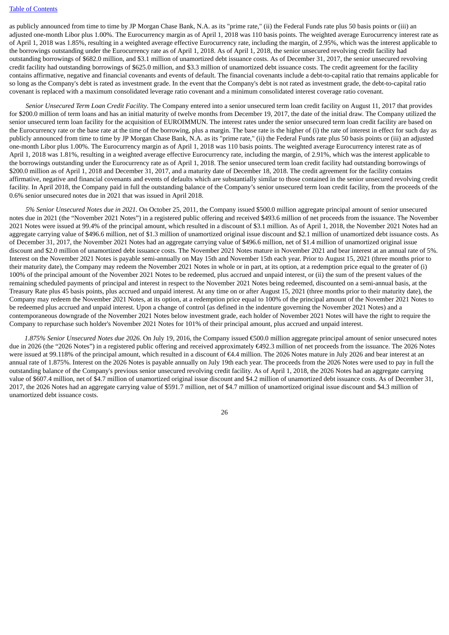as publicly announced from time to time by JP Morgan Chase Bank, N.A. as its "prime rate," (ii) the Federal Funds rate plus 50 basis points or (iii) an adjusted one-month Libor plus 1.00%. The Eurocurrency margin as of April 1, 2018 was 110 basis points. The weighted average Eurocurrency interest rate as of April 1, 2018 was 1.85%, resulting in a weighted average effective Eurocurrency rate, including the margin, of 2.95%, which was the interest applicable to the borrowings outstanding under the Eurocurrency rate as of April 1, 2018. As of April 1, 2018, the senior unsecured revolving credit facility had outstanding borrowings of \$682.0 million, and \$3.1 million of unamortized debt issuance costs. As of December 31, 2017, the senior unsecured revolving credit facility had outstanding borrowings of \$625.0 million, and \$3.3 million of unamortized debt issuance costs. The credit agreement for the facility contains affirmative, negative and financial covenants and events of default. The financial covenants include a debt-to-capital ratio that remains applicable for so long as the Company's debt is rated as investment grade. In the event that the Company's debt is not rated as investment grade, the debt-to-capital ratio covenant is replaced with a maximum consolidated leverage ratio covenant and a minimum consolidated interest coverage ratio covenant.

*Senior Unsecured Term Loan Credit Facility*. The Company entered into a senior unsecured term loan credit facility on August 11, 2017 that provides for \$200.0 million of term loans and has an initial maturity of twelve months from December 19, 2017, the date of the initial draw. The Company utilized the senior unsecured term loan facility for the acquisition of EUROIMMUN. The interest rates under the senior unsecured term loan credit facility are based on the Eurocurrency rate or the base rate at the time of the borrowing, plus a margin. The base rate is the higher of (i) the rate of interest in effect for such day as publicly announced from time to time by JP Morgan Chase Bank, N.A. as its "prime rate," (ii) the Federal Funds rate plus 50 basis points or (iii) an adjusted one-month Libor plus 1.00%. The Eurocurrency margin as of April 1, 2018 was 110 basis points. The weighted average Eurocurrency interest rate as of April 1, 2018 was 1.81%, resulting in a weighted average effective Eurocurrency rate, including the margin, of 2.91%, which was the interest applicable to the borrowings outstanding under the Eurocurrency rate as of April 1, 2018. The senior unsecured term loan credit facility had outstanding borrowings of \$200.0 million as of April 1, 2018 and December 31, 2017, and a maturity date of December 18, 2018. The credit agreement for the facility contains affirmative, negative and financial covenants and events of defaults which are substantially similar to those contained in the senior unsecured revolving credit facility. In April 2018, the Company paid in full the outstanding balance of the Company's senior unsecured term loan credit facility, from the proceeds of the 0.6% senior unsecured notes due in 2021 that was issued in April 2018.

*5% Senior Unsecured Notes due in 2021.* On October 25, 2011, the Company issued \$500.0 million aggregate principal amount of senior unsecured notes due in 2021 (the "November 2021 Notes") in a registered public offering and received \$493.6 million of net proceeds from the issuance. The November 2021 Notes were issued at 99.4% of the principal amount, which resulted in a discount of \$3.1 million. As of April 1, 2018, the November 2021 Notes had an aggregate carrying value of \$496.6 million, net of \$1.3 million of unamortized original issue discount and \$2.1 million of unamortized debt issuance costs. As of December 31, 2017, the November 2021 Notes had an aggregate carrying value of \$496.6 million, net of \$1.4 million of unamortized original issue discount and \$2.0 million of unamortized debt issuance costs. The November 2021 Notes mature in November 2021 and bear interest at an annual rate of 5%. Interest on the November 2021 Notes is payable semi-annually on May 15th and November 15th each year. Prior to August 15, 2021 (three months prior to their maturity date), the Company may redeem the November 2021 Notes in whole or in part, at its option, at a redemption price equal to the greater of (i) 100% of the principal amount of the November 2021 Notes to be redeemed, plus accrued and unpaid interest, or (ii) the sum of the present values of the remaining scheduled payments of principal and interest in respect to the November 2021 Notes being redeemed, discounted on a semi-annual basis, at the Treasury Rate plus 45 basis points, plus accrued and unpaid interest. At any time on or after August 15, 2021 (three months prior to their maturity date), the Company may redeem the November 2021 Notes, at its option, at a redemption price equal to 100% of the principal amount of the November 2021 Notes to be redeemed plus accrued and unpaid interest. Upon a change of control (as defined in the indenture governing the November 2021 Notes) and a contemporaneous downgrade of the November 2021 Notes below investment grade, each holder of November 2021 Notes will have the right to require the Company to repurchase such holder's November 2021 Notes for 101% of their principal amount, plus accrued and unpaid interest.

*1.875% Senior Unsecured Notes due 2026.* On July 19, 2016, the Company issued €500.0 million aggregate principal amount of senior unsecured notes due in 2026 (the "2026 Notes") in a registered public offering and received approximately €492.3 million of net proceeds from the issuance. The 2026 Notes were issued at 99.118% of the principal amount, which resulted in a discount of €4.4 million. The 2026 Notes mature in July 2026 and bear interest at an annual rate of 1.875%. Interest on the 2026 Notes is payable annually on July 19th each year. The proceeds from the 2026 Notes were used to pay in full the outstanding balance of the Company's previous senior unsecured revolving credit facility. As of April 1, 2018, the 2026 Notes had an aggregate carrying value of \$607.4 million, net of \$4.7 million of unamortized original issue discount and \$4.2 million of unamortized debt issuance costs. As of December 31, 2017, the 2026 Notes had an aggregate carrying value of \$591.7 million, net of \$4.7 million of unamortized original issue discount and \$4.3 million of unamortized debt issuance costs.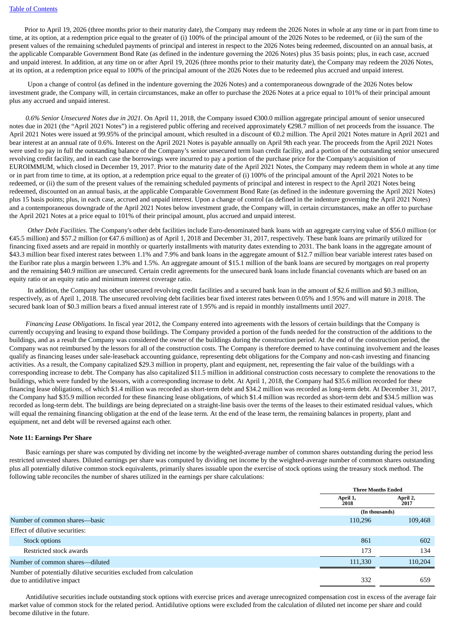Prior to April 19, 2026 (three months prior to their maturity date), the Company may redeem the 2026 Notes in whole at any time or in part from time to time, at its option, at a redemption price equal to the greater of (i) 100% of the principal amount of the 2026 Notes to be redeemed, or (ii) the sum of the present values of the remaining scheduled payments of principal and interest in respect to the 2026 Notes being redeemed, discounted on an annual basis, at the applicable Comparable Government Bond Rate (as defined in the indenture governing the 2026 Notes) plus 35 basis points; plus, in each case, accrued and unpaid interest. In addition, at any time on or after April 19, 2026 (three months prior to their maturity date), the Company may redeem the 2026 Notes, at its option, at a redemption price equal to 100% of the principal amount of the 2026 Notes due to be redeemed plus accrued and unpaid interest.

Upon a change of control (as defined in the indenture governing the 2026 Notes) and a contemporaneous downgrade of the 2026 Notes below investment grade, the Company will, in certain circumstances, make an offer to purchase the 2026 Notes at a price equal to 101% of their principal amount plus any accrued and unpaid interest.

*0.6% Senior Unsecured Notes due in 2021.* On April 11, 2018, the Company issued €300.0 million aggregate principal amount of senior unsecured notes due in 2021 (the "April 2021 Notes") in a registered public offering and received approximately €298.7 million of net proceeds from the issuance. The April 2021 Notes were issued at 99.95% of the principal amount, which resulted in a discount of €0.2 million. The April 2021 Notes mature in April 2021 and bear interest at an annual rate of 0.6%. Interest on the April 2021 Notes is payable annually on April 9th each year. The proceeds from the April 2021 Notes were used to pay in full the outstanding balance of the Company's senior unsecured term loan credit facility, and a portion of the outstanding senior unsecured revolving credit facility, and in each case the borrowings were incurred to pay a portion of the purchase price for the Company's acquisition of EUROIMMUM, which closed in December 19, 2017. Prior to the maturity date of the April 2021 Notes, the Company may redeem them in whole at any time or in part from time to time, at its option, at a redemption price equal to the greater of (i) 100% of the principal amount of the April 2021 Notes to be redeemed, or (ii) the sum of the present values of the remaining scheduled payments of principal and interest in respect to the April 2021 Notes being redeemed, discounted on an annual basis, at the applicable Comparable Government Bond Rate (as defined in the indenture governing the April 2021 Notes) plus 15 basis points; plus, in each case, accrued and unpaid interest. Upon a change of control (as defined in the indenture governing the April 2021 Notes) and a contemporaneous downgrade of the April 2021 Notes below investment grade, the Company will, in certain circumstances, make an offer to purchase the April 2021 Notes at a price equal to 101% of their principal amount, plus accrued and unpaid interest.

*Other Debt Facilities.* The Company's other debt facilities include Euro-denominated bank loans with an aggregate carrying value of \$56.0 million (or €45.5 million) and \$57.2 million (or €47.6 million) as of April 1, 2018 and December 31, 2017, respectively. These bank loans are primarily utilized for financing fixed assets and are repaid in monthly or quarterly installments with maturity dates extending to 2031. The bank loans in the aggregate amount of \$43.3 million bear fixed interest rates between 1.1% and 7.9% and bank loans in the aggregate amount of \$12.7 million bear variable interest rates based on the Euribor rate plus a margin between 1.3% and 1.5%. An aggregate amount of \$15.1 million of the bank loans are secured by mortgages on real property and the remaining \$40.9 million are unsecured. Certain credit agreements for the unsecured bank loans include financial covenants which are based on an equity ratio or an equity ratio and minimum interest coverage ratio.

In addition, the Company has other unsecured revolving credit facilities and a secured bank loan in the amount of \$2.6 million and \$0.3 million, respectively, as of April 1, 2018. The unsecured revolving debt facilities bear fixed interest rates between 0.05% and 1.95% and will mature in 2018. The secured bank loan of \$0.3 million bears a fixed annual interest rate of 1.95% and is repaid in monthly installments until 2027.

*Financing Lease Obligations.* In fiscal year 2012, the Company entered into agreements with the lessors of certain buildings that the Company is currently occupying and leasing to expand those buildings. The Company provided a portion of the funds needed for the construction of the additions to the buildings, and as a result the Company was considered the owner of the buildings during the construction period. At the end of the construction period, the Company was not reimbursed by the lessors for all of the construction costs. The Company is therefore deemed to have continuing involvement and the leases qualify as financing leases under sale-leaseback accounting guidance, representing debt obligations for the Company and non-cash investing and financing activities. As a result, the Company capitalized \$29.3 million in property, plant and equipment, net, representing the fair value of the buildings with a corresponding increase to debt. The Company has also capitalized \$11.5 million in additional construction costs necessary to complete the renovations to the buildings, which were funded by the lessors, with a corresponding increase to debt. At April 1, 2018, the Company had \$35.6 million recorded for these financing lease obligations, of which \$1.4 million was recorded as short-term debt and \$34.2 million was recorded as long-term debt. At December 31, 2017, the Company had \$35.9 million recorded for these financing lease obligations, of which \$1.4 million was recorded as short-term debt and \$34.5 million was recorded as long-term debt. The buildings are being depreciated on a straight-line basis over the terms of the leases to their estimated residual values, which will equal the remaining financing obligation at the end of the lease term. At the end of the lease term, the remaining balances in property, plant and equipment, net and debt will be reversed against each other.

# **Note 11: Earnings Per Share**

Basic earnings per share was computed by dividing net income by the weighted-average number of common shares outstanding during the period less restricted unvested shares. Diluted earnings per share was computed by dividing net income by the weighted-average number of common shares outstanding plus all potentially dilutive common stock equivalents, primarily shares issuable upon the exercise of stock options using the treasury stock method. The following table reconciles the number of shares utilized in the earnings per share calculations:

|                                                                     |                  | <b>Three Months Ended</b> |
|---------------------------------------------------------------------|------------------|---------------------------|
|                                                                     | April 1,<br>2018 | April 2,<br>2017          |
|                                                                     |                  | (In thousands)            |
| Number of common shares—basic                                       | 110,296          | 109,468                   |
| Effect of dilutive securities:                                      |                  |                           |
| Stock options                                                       | 861              | 602                       |
| Restricted stock awards                                             | 173              | 134                       |
| Number of common shares—diluted                                     | 111,330          | 110.204                   |
| Number of potentially dilutive securities excluded from calculation |                  |                           |
| due to antidilutive impact                                          | 332              | 659                       |

Antidilutive securities include outstanding stock options with exercise prices and average unrecognized compensation cost in excess of the average fair market value of common stock for the related period. Antidilutive options were excluded from the calculation of diluted net income per share and could become dilutive in the future.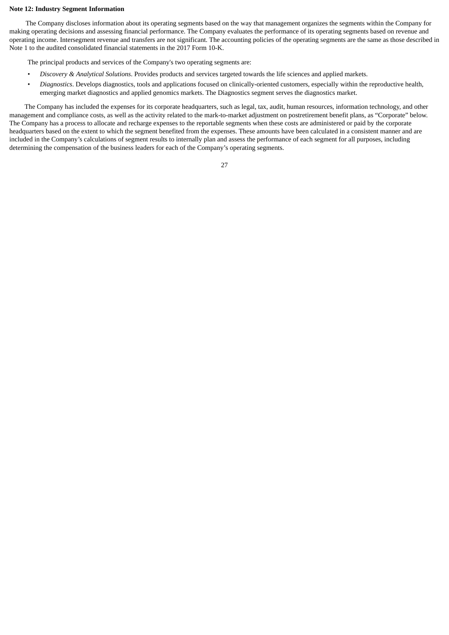#### **Note 12: Industry Segment Information**

The Company discloses information about its operating segments based on the way that management organizes the segments within the Company for making operating decisions and assessing financial performance. The Company evaluates the performance of its operating segments based on revenue and operating income. Intersegment revenue and transfers are not significant. The accounting policies of the operating segments are the same as those described in Note 1 to the audited consolidated financial statements in the 2017 Form 10-K.

The principal products and services of the Company's two operating segments are:

- *Discovery & Analytical Solutions*. Provides products and services targeted towards the life sciences and applied markets.
- *Diagnostics*. Develops diagnostics, tools and applications focused on clinically-oriented customers, especially within the reproductive health, emerging market diagnostics and applied genomics markets. The Diagnostics segment serves the diagnostics market.

The Company has included the expenses for its corporate headquarters, such as legal, tax, audit, human resources, information technology, and other management and compliance costs, as well as the activity related to the mark-to-market adjustment on postretirement benefit plans, as "Corporate" below. The Company has a process to allocate and recharge expenses to the reportable segments when these costs are administered or paid by the corporate headquarters based on the extent to which the segment benefited from the expenses. These amounts have been calculated in a consistent manner and are included in the Company's calculations of segment results to internally plan and assess the performance of each segment for all purposes, including determining the compensation of the business leaders for each of the Company's operating segments.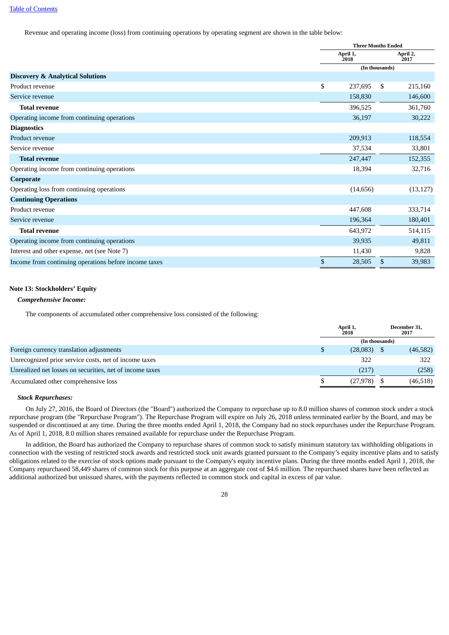Revenue and operating income (loss) from continuing operations by operating segment are shown in the table below:

|                                                       | <b>Three Months Ended</b> |                |                  |  |
|-------------------------------------------------------|---------------------------|----------------|------------------|--|
|                                                       | April 1,<br>2018          |                | April 2,<br>2017 |  |
|                                                       | (In thousands)            |                |                  |  |
| <b>Discovery &amp; Analytical Solutions</b>           |                           |                |                  |  |
| Product revenue                                       | \$<br>237,695             | \$             | 215,160          |  |
| Service revenue                                       | 158,830                   |                | 146,600          |  |
| <b>Total revenue</b>                                  | 396,525                   |                | 361,760          |  |
| Operating income from continuing operations           | 36,197                    |                | 30,222           |  |
| <b>Diagnostics</b>                                    |                           |                |                  |  |
| Product revenue                                       | 209,913                   |                | 118,554          |  |
| Service revenue                                       | 37,534                    |                | 33,801           |  |
| <b>Total revenue</b>                                  | 247,447                   |                | 152,355          |  |
| Operating income from continuing operations           | 18,394                    |                | 32,716           |  |
| Corporate                                             |                           |                |                  |  |
| Operating loss from continuing operations             | (14, 656)                 |                | (13, 127)        |  |
| <b>Continuing Operations</b>                          |                           |                |                  |  |
| Product revenue                                       | 447,608                   |                | 333,714          |  |
| Service revenue                                       | 196,364                   |                | 180,401          |  |
| <b>Total revenue</b>                                  | 643,972                   |                | 514,115          |  |
| Operating income from continuing operations           | 39,935                    |                | 49,811           |  |
| Interest and other expense, net (see Note 7)          | 11,430                    |                | 9,828            |  |
| Income from continuing operations before income taxes | \$<br>28,505              | $\mathfrak{S}$ | 39,983           |  |

# **Note 13: Stockholders' Equity**

## *Comprehensive Income:*

The components of accumulated other comprehensive loss consisted of the following:

|                                                          | April 1,<br>2018 |  | December 31,<br>2017 |
|----------------------------------------------------------|------------------|--|----------------------|
|                                                          | (In thousands)   |  |                      |
| Foreign currency translation adjustments                 | $(28,083)$ \$    |  | (46, 582)            |
| Unrecognized prior service costs, net of income taxes    | 322              |  | 322                  |
| Unrealized net losses on securities, net of income taxes | (217)            |  | (258)                |
| Accumulated other comprehensive loss                     | (27, 978)        |  | (46, 518)            |

## *Stock Repurchases:*

On July 27, 2016, the Board of Directors (the "Board") authorized the Company to repurchase up to 8.0 million shares of common stock under a stock repurchase program (the "Repurchase Program"). The Repurchase Program will expire on July 26, 2018 unless terminated earlier by the Board, and may be suspended or discontinued at any time. During the three months ended April 1, 2018, the Company had no stock repurchases under the Repurchase Program. As of April 1, 2018, 8.0 million shares remained available for repurchase under the Repurchase Program.

In addition, the Board has authorized the Company to repurchase shares of common stock to satisfy minimum statutory tax withholding obligations in connection with the vesting of restricted stock awards and restricted stock unit awards granted pursuant to the Company's equity incentive plans and to satisfy obligations related to the exercise of stock options made pursuant to the Company's equity incentive plans. During the three months ended April 1, 2018, the Company repurchased 58,449 shares of common stock for this purpose at an aggregate cost of \$4.6 million. The repurchased shares have been reflected as additional authorized but unissued shares, with the payments reflected in common stock and capital in excess of par value.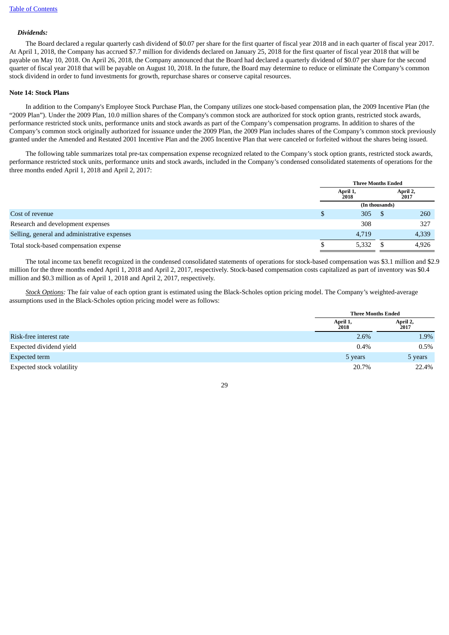## *Dividends:*

The Board declared a regular quarterly cash dividend of \$0.07 per share for the first quarter of fiscal year 2018 and in each quarter of fiscal year 2017. At April 1, 2018, the Company has accrued \$7.7 million for dividends declared on January 25, 2018 for the first quarter of fiscal year 2018 that will be payable on May 10, 2018. On April 26, 2018, the Company announced that the Board had declared a quarterly dividend of \$0.07 per share for the second quarter of fiscal year 2018 that will be payable on August 10, 2018. In the future, the Board may determine to reduce or eliminate the Company's common stock dividend in order to fund investments for growth, repurchase shares or conserve capital resources.

## **Note 14: Stock Plans**

In addition to the Company's Employee Stock Purchase Plan, the Company utilizes one stock-based compensation plan, the 2009 Incentive Plan (the "2009 Plan"). Under the 2009 Plan, 10.0 million shares of the Company's common stock are authorized for stock option grants, restricted stock awards, performance restricted stock units, performance units and stock awards as part of the Company's compensation programs. In addition to shares of the Company's common stock originally authorized for issuance under the 2009 Plan, the 2009 Plan includes shares of the Company's common stock previously granted under the Amended and Restated 2001 Incentive Plan and the 2005 Incentive Plan that were canceled or forfeited without the shares being issued.

The following table summarizes total pre-tax compensation expense recognized related to the Company's stock option grants, restricted stock awards, performance restricted stock units, performance units and stock awards, included in the Company's condensed consolidated statements of operations for the three months ended April 1, 2018 and April 2, 2017:

|                                              | <b>Three Months Ended</b> |  |                  |  |
|----------------------------------------------|---------------------------|--|------------------|--|
|                                              | April 1,<br>2018          |  | April 2,<br>2017 |  |
|                                              | (In thousands)            |  |                  |  |
| Cost of revenue                              | 305                       |  | 260              |  |
| Research and development expenses            | 308                       |  | 327              |  |
| Selling, general and administrative expenses | 4.719                     |  | 4,339            |  |
| Total stock-based compensation expense       | 5,332                     |  | 4,926            |  |

The total income tax benefit recognized in the condensed consolidated statements of operations for stock-based compensation was \$3.1 million and \$2.9 million for the three months ended April 1, 2018 and April 2, 2017, respectively. Stock-based compensation costs capitalized as part of inventory was \$0.4 million and \$0.3 million as of April 1, 2018 and April 2, 2017, respectively.

*Stock Options:* The fair value of each option grant is estimated using the Black-Scholes option pricing model. The Company's weighted-average assumptions used in the Black-Scholes option pricing model were as follows:

|                                  | <b>Three Months Ended</b> |                  |
|----------------------------------|---------------------------|------------------|
|                                  | April 1,<br>2018          | April 2,<br>2017 |
| Risk-free interest rate          | 2.6%                      | 1.9%             |
| Expected dividend yield          | 0.4%                      | 0.5%             |
| Expected term                    | 5 years                   | 5 years          |
| <b>Expected stock volatility</b> | 20.7%                     | 22.4%            |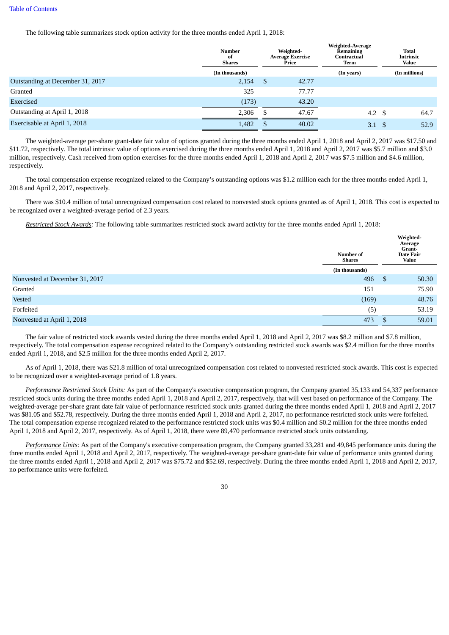The following table summarizes stock option activity for the three months ended April 1, 2018:

|                                  | <b>Number</b><br>of<br><b>Shares</b> |     | Weighted-<br><b>Average Exercise</b><br>Price | Weighted-Average<br>Remaining<br>Contractual<br>Term |                  | <b>Total</b><br><b>Intrinsic</b><br>Value |
|----------------------------------|--------------------------------------|-----|-----------------------------------------------|------------------------------------------------------|------------------|-------------------------------------------|
|                                  | (In thousands)                       |     |                                               | (In years)                                           |                  | (In millions)                             |
| Outstanding at December 31, 2017 | 2,154                                | -\$ | 42.77                                         |                                                      |                  |                                           |
| Granted                          | 325                                  |     | 77.77                                         |                                                      |                  |                                           |
| Exercised                        | (173)                                |     | 43.20                                         |                                                      |                  |                                           |
| Outstanding at April 1, 2018     | 2,306                                |     | 47.67                                         |                                                      | $4.2 \quad $$    | 64.7                                      |
| Exercisable at April 1, 2018     | 1,482                                | -\$ | 40.02                                         |                                                      | 3.1 <sup>5</sup> | 52.9                                      |

The weighted-average per-share grant-date fair value of options granted during the three months ended April 1, 2018 and April 2, 2017 was \$17.50 and \$11.72, respectively. The total intrinsic value of options exercised during the three months ended April 1, 2018 and April 2, 2017 was \$5.7 million and \$3.0 million, respectively. Cash received from option exercises for the three months ended April 1, 2018 and April 2, 2017 was \$7.5 million and \$4.6 million, respectively.

The total compensation expense recognized related to the Company's outstanding options was \$1.2 million each for the three months ended April 1, 2018 and April 2, 2017, respectively.

There was \$10.4 million of total unrecognized compensation cost related to nonvested stock options granted as of April 1, 2018. This cost is expected to be recognized over a weighted-average period of 2.3 years.

*Restricted Stock Awards:* The following table summarizes restricted stock award activity for the three months ended April 1, 2018:

|                                | Number of<br>Shares | Weighted-<br>Average<br>Grant-<br>Date Fair<br><b>Value</b> |
|--------------------------------|---------------------|-------------------------------------------------------------|
|                                | (In thousands)      |                                                             |
| Nonvested at December 31, 2017 | 496                 | \$<br>50.30                                                 |
| Granted                        | 151                 | 75.90                                                       |
| Vested                         | (169)               | 48.76                                                       |
| Forfeited                      | (5)                 | 53.19                                                       |
| Nonvested at April 1, 2018     | 473                 | \$<br>59.01                                                 |

The fair value of restricted stock awards vested during the three months ended April 1, 2018 and April 2, 2017 was \$8.2 million and \$7.8 million, respectively. The total compensation expense recognized related to the Company's outstanding restricted stock awards was \$2.4 million for the three months ended April 1, 2018, and \$2.5 million for the three months ended April 2, 2017.

As of April 1, 2018, there was \$21.8 million of total unrecognized compensation cost related to nonvested restricted stock awards. This cost is expected to be recognized over a weighted-average period of 1.8 years.

*Performance Restricted Stock Units:* As part of the Company's executive compensation program, the Company granted 35,133 and 54,337 performance restricted stock units during the three months ended April 1, 2018 and April 2, 2017, respectively, that will vest based on performance of the Company. The weighted-average per-share grant date fair value of performance restricted stock units granted during the three months ended April 1, 2018 and April 2, 2017 was \$81.05 and \$52.78, respectively. During the three months ended April 1, 2018 and April 2, 2017, no performance restricted stock units were forfeited. The total compensation expense recognized related to the performance restricted stock units was \$0.4 million and \$0.2 million for the three months ended April 1, 2018 and April 2, 2017, respectively. As of April 1, 2018, there were 89,470 performance restricted stock units outstanding.

*Performance Units:* As part of the Company's executive compensation program, the Company granted 33,281 and 49,845 performance units during the three months ended April 1, 2018 and April 2, 2017, respectively. The weighted-average per-share grant-date fair value of performance units granted during the three months ended April 1, 2018 and April 2, 2017 was \$75.72 and \$52.69, respectively. During the three months ended April 1, 2018 and April 2, 2017, no performance units were forfeited.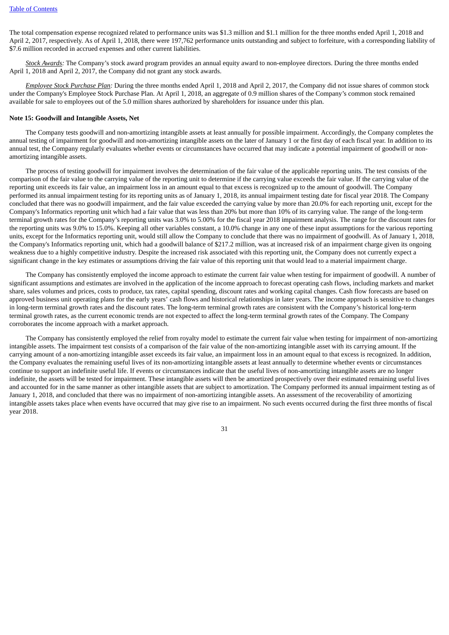The total compensation expense recognized related to performance units was \$1.3 million and \$1.1 million for the three months ended April 1, 2018 and April 2, 2017, respectively. As of April 1, 2018, there were 197,762 performance units outstanding and subject to forfeiture, with a corresponding liability of \$7.6 million recorded in accrued expenses and other current liabilities.

*Stock Awards:* The Company's stock award program provides an annual equity award to non-employee directors. During the three months ended April 1, 2018 and April 2, 2017, the Company did not grant any stock awards.

*Employee Stock Purchase Plan:* During the three months ended April 1, 2018 and April 2, 2017, the Company did not issue shares of common stock under the Company's Employee Stock Purchase Plan. At April 1, 2018, an aggregate of 0.9 million shares of the Company's common stock remained available for sale to employees out of the 5.0 million shares authorized by shareholders for issuance under this plan.

#### **Note 15: Goodwill and Intangible Assets, Net**

The Company tests goodwill and non-amortizing intangible assets at least annually for possible impairment. Accordingly, the Company completes the annual testing of impairment for goodwill and non-amortizing intangible assets on the later of January 1 or the first day of each fiscal year. In addition to its annual test, the Company regularly evaluates whether events or circumstances have occurred that may indicate a potential impairment of goodwill or nonamortizing intangible assets.

The process of testing goodwill for impairment involves the determination of the fair value of the applicable reporting units. The test consists of the comparison of the fair value to the carrying value of the reporting unit to determine if the carrying value exceeds the fair value. If the carrying value of the reporting unit exceeds its fair value, an impairment loss in an amount equal to that excess is recognized up to the amount of goodwill*.* The Company performed its annual impairment testing for its reporting units as of January 1, 2018, its annual impairment testing date for fiscal year 2018. The Company concluded that there was no goodwill impairment, and the fair value exceeded the carrying value by more than 20.0% for each reporting unit, except for the Company's Informatics reporting unit which had a fair value that was less than 20% but more than 10% of its carrying value. The range of the long-term terminal growth rates for the Company's reporting units was 3.0% to 5.00% for the fiscal year 2018 impairment analysis. The range for the discount rates for the reporting units was 9.0% to 15.0%. Keeping all other variables constant, a 10.0% change in any one of these input assumptions for the various reporting units, except for the Informatics reporting unit, would still allow the Company to conclude that there was no impairment of goodwill. As of January 1, 2018, the Company's Informatics reporting unit, which had a goodwill balance of \$217.2 million, was at increased risk of an impairment charge given its ongoing weakness due to a highly competitive industry. Despite the increased risk associated with this reporting unit, the Company does not currently expect a significant change in the key estimates or assumptions driving the fair value of this reporting unit that would lead to a material impairment charge.

The Company has consistently employed the income approach to estimate the current fair value when testing for impairment of goodwill. A number of significant assumptions and estimates are involved in the application of the income approach to forecast operating cash flows, including markets and market share, sales volumes and prices, costs to produce, tax rates, capital spending, discount rates and working capital changes. Cash flow forecasts are based on approved business unit operating plans for the early years' cash flows and historical relationships in later years. The income approach is sensitive to changes in long-term terminal growth rates and the discount rates. The long-term terminal growth rates are consistent with the Company's historical long-term terminal growth rates, as the current economic trends are not expected to affect the long-term terminal growth rates of the Company. The Company corroborates the income approach with a market approach.

The Company has consistently employed the relief from royalty model to estimate the current fair value when testing for impairment of non-amortizing intangible assets. The impairment test consists of a comparison of the fair value of the non-amortizing intangible asset with its carrying amount. If the carrying amount of a non-amortizing intangible asset exceeds its fair value, an impairment loss in an amount equal to that excess is recognized*.* In addition, the Company evaluates the remaining useful lives of its non-amortizing intangible assets at least annually to determine whether events or circumstances continue to support an indefinite useful life. If events or circumstances indicate that the useful lives of non-amortizing intangible assets are no longer indefinite, the assets will be tested for impairment. These intangible assets will then be amortized prospectively over their estimated remaining useful lives and accounted for in the same manner as other intangible assets that are subject to amortization. The Company performed its annual impairment testing as of January 1, 2018, and concluded that there was no impairment of non-amortizing intangible assets. An assessment of the recoverability of amortizing intangible assets takes place when events have occurred that may give rise to an impairment. No such events occurred during the first three months of fiscal year 2018.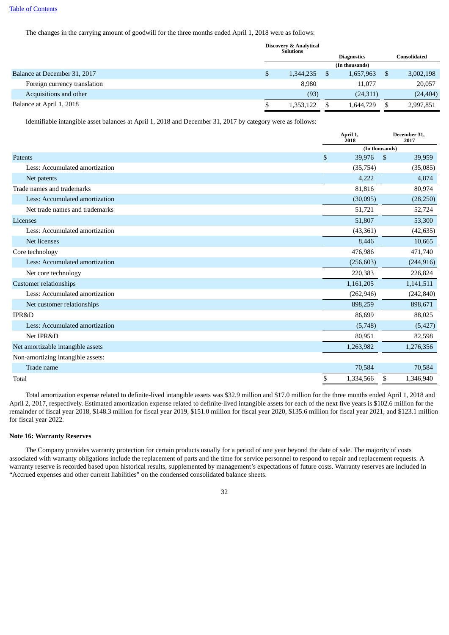The changes in the carrying amount of goodwill for the three months ended April 1, 2018 were as follows:

|                              | <b>Discovery &amp; Analytical</b><br><b>Solutions</b> |           |  |                    |   |              |
|------------------------------|-------------------------------------------------------|-----------|--|--------------------|---|--------------|
|                              |                                                       |           |  | <b>Diagnostics</b> |   | Consolidated |
|                              |                                                       |           |  | (In thousands)     |   |              |
| Balance at December 31, 2017 | \$                                                    | 1,344,235 |  | 1,657,963          | S | 3,002,198    |
| Foreign currency translation |                                                       | 8,980     |  | 11,077             |   | 20,057       |
| Acquisitions and other       |                                                       | (93)      |  | (24,311)           |   | (24, 404)    |
| Balance at April 1, 2018     | ۵D                                                    | 1,353,122 |  | 1,644,729          |   | 2,997,851    |

Identifiable intangible asset balances at April 1, 2018 and December 31, 2017 by category were as follows:

|                                   | April 1,<br>2018 |                | December 31,<br>2017 |  |
|-----------------------------------|------------------|----------------|----------------------|--|
|                                   |                  | (In thousands) |                      |  |
| Patents                           | \$<br>39,976     | $\mathbf{\$}$  | 39,959               |  |
| Less: Accumulated amortization    | (35,754)         |                | (35,085)             |  |
| Net patents                       | 4,222            |                | 4,874                |  |
| Trade names and trademarks        | 81,816           |                | 80,974               |  |
| Less: Accumulated amortization    | (30,095)         |                | (28, 250)            |  |
| Net trade names and trademarks    | 51,721           |                | 52,724               |  |
| <b>Licenses</b>                   | 51,807           |                | 53,300               |  |
| Less: Accumulated amortization    | (43, 361)        |                | (42, 635)            |  |
| Net licenses                      | 8,446            |                | 10,665               |  |
| Core technology                   | 476,986          |                | 471,740              |  |
| Less: Accumulated amortization    | (256, 603)       |                | (244, 916)           |  |
| Net core technology               | 220,383          |                | 226,824              |  |
| <b>Customer relationships</b>     | 1,161,205        |                | 1,141,511            |  |
| Less: Accumulated amortization    | (262, 946)       |                | (242, 840)           |  |
| Net customer relationships        | 898,259          |                | 898,671              |  |
| <b>IPR&amp;D</b>                  | 86,699           |                | 88,025               |  |
| Less: Accumulated amortization    | (5,748)          |                | (5, 427)             |  |
| Net IPR&D                         | 80,951           |                | 82,598               |  |
| Net amortizable intangible assets | 1,263,982        |                | 1,276,356            |  |
| Non-amortizing intangible assets: |                  |                |                      |  |
| Trade name                        | 70,584           |                | 70,584               |  |
| Total                             | \$<br>1,334,566  | \$             | 1,346,940            |  |

Total amortization expense related to definite-lived intangible assets was \$32.9 million and \$17.0 million for the three months ended April 1, 2018 and April 2, 2017, respectively. Estimated amortization expense related to definite-lived intangible assets for each of the next five years is \$102.6 million for the remainder of fiscal year 2018, \$148.3 million for fiscal year 2019, \$151.0 million for fiscal year 2020, \$135.6 million for fiscal year 2021, and \$123.1 million for fiscal year 2022.

#### **Note 16: Warranty Reserves**

The Company provides warranty protection for certain products usually for a period of one year beyond the date of sale. The majority of costs associated with warranty obligations include the replacement of parts and the time for service personnel to respond to repair and replacement requests. A warranty reserve is recorded based upon historical results, supplemented by management's expectations of future costs. Warranty reserves are included in "Accrued expenses and other current liabilities" on the condensed consolidated balance sheets.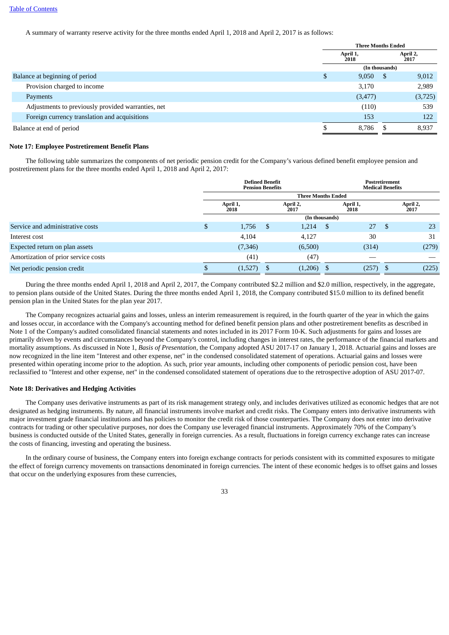A summary of warranty reserve activity for the three months ended April 1, 2018 and April 2, 2017 is as follows:

|                                                    | <b>Three Months Ended</b> |                  |                  |         |  |
|----------------------------------------------------|---------------------------|------------------|------------------|---------|--|
|                                                    |                           | April 1,<br>2018 | April 2,<br>2017 |         |  |
|                                                    |                           |                  | (In thousands)   |         |  |
| Balance at beginning of period                     | Φ                         | 9,050            | - \$             | 9,012   |  |
| Provision charged to income                        |                           | 3,170            |                  | 2,989   |  |
| Payments                                           |                           | (3, 477)         |                  | (3,725) |  |
| Adjustments to previously provided warranties, net |                           | (110)            |                  | 539     |  |
| Foreign currency translation and acquisitions      |                           | 153              |                  | 122     |  |
| Balance at end of period                           |                           | 8,786            |                  | 8,937   |  |

#### **Note 17: Employee Postretirement Benefit Plans**

The following table summarizes the components of net periodic pension credit for the Company's various defined benefit employee pension and postretirement plans for the three months ended April 1, 2018 and April 2, 2017:

|                                     | <b>Defined Benefit</b><br><b>Pension Benefits</b> |                  |    |                           |    | Postretirement<br><b>Medical Benefits</b> |      |                  |  |
|-------------------------------------|---------------------------------------------------|------------------|----|---------------------------|----|-------------------------------------------|------|------------------|--|
|                                     |                                                   |                  |    | <b>Three Months Ended</b> |    |                                           |      |                  |  |
|                                     |                                                   | April 1,<br>2018 |    | April 2,<br>2017          |    | April 1,<br>2018                          |      | April 2,<br>2017 |  |
|                                     | (In thousands)                                    |                  |    |                           |    |                                           |      |                  |  |
| Service and administrative costs    | \$                                                | 1,756            | -S | 1,214                     | -S | 27                                        | - \$ | 23               |  |
| Interest cost                       |                                                   | 4,104            |    | 4,127                     |    | 30                                        |      | 31               |  |
| Expected return on plan assets      |                                                   | (7,346)          |    | (6,500)                   |    | (314)                                     |      | (279)            |  |
| Amortization of prior service costs |                                                   | (41)             |    | (47)                      |    |                                           |      |                  |  |
| Net periodic pension credit         | \$                                                | (1,527)          |    | (1,206)                   |    | (257)                                     | - \$ | (225)            |  |

During the three months ended April 1, 2018 and April 2, 2017, the Company contributed \$2.2 million and \$2.0 million, respectively, in the aggregate, to pension plans outside of the United States. During the three months ended April 1, 2018, the Company contributed \$15.0 million to its defined benefit pension plan in the United States for the plan year 2017.

The Company recognizes actuarial gains and losses, unless an interim remeasurement is required, in the fourth quarter of the year in which the gains and losses occur, in accordance with the Company's accounting method for defined benefit pension plans and other postretirement benefits as described in Note 1 of the Company's audited consolidated financial statements and notes included in its 2017 Form 10-K. Such adjustments for gains and losses are primarily driven by events and circumstances beyond the Company's control, including changes in interest rates, the performance of the financial markets and mortality assumptions. As discussed in Note 1, *Basis of Presentation,* the Company adopted ASU 2017-17 on January 1, 2018. Actuarial gains and losses are now recognized in the line item "Interest and other expense, net" in the condensed consolidated statement of operations. Actuarial gains and losses were presented within operating income prior to the adoption. As such, prior year amounts, including other components of periodic pension cost, have been reclassified to "Interest and other expense, net" in the condensed consolidated statement of operations due to the retrospective adoption of ASU 2017-07.

#### **Note 18: Derivatives and Hedging Activities**

The Company uses derivative instruments as part of its risk management strategy only, and includes derivatives utilized as economic hedges that are not designated as hedging instruments. By nature, all financial instruments involve market and credit risks. The Company enters into derivative instruments with major investment grade financial institutions and has policies to monitor the credit risk of those counterparties. The Company does not enter into derivative contracts for trading or other speculative purposes, nor does the Company use leveraged financial instruments. Approximately 70% of the Company's business is conducted outside of the United States, generally in foreign currencies. As a result, fluctuations in foreign currency exchange rates can increase the costs of financing, investing and operating the business.

In the ordinary course of business, the Company enters into foreign exchange contracts for periods consistent with its committed exposures to mitigate the effect of foreign currency movements on transactions denominated in foreign currencies. The intent of these economic hedges is to offset gains and losses that occur on the underlying exposures from these currencies,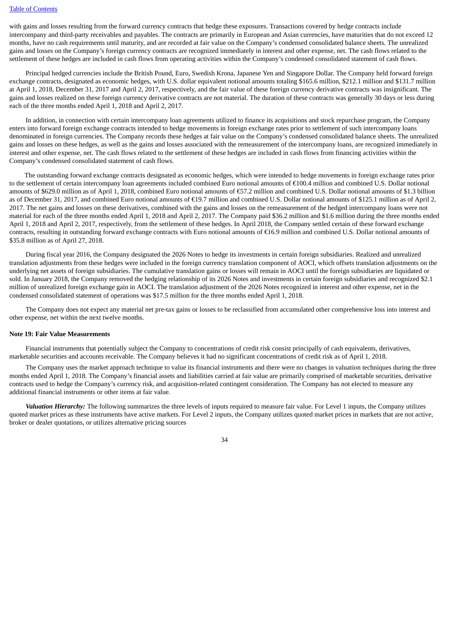with gains and losses resulting from the forward currency contracts that hedge these exposures. Transactions covered by hedge contracts include intercompany and third-party receivables and payables. The contracts are primarily in European and Asian currencies, have maturities that do not exceed 12 months, have no cash requirements until maturity, and are recorded at fair value on the Company's condensed consolidated balance sheets. The unrealized gains and losses on the Company's foreign currency contracts are recognized immediately in interest and other expense, net. The cash flows related to the settlement of these hedges are included in cash flows from operating activities within the Company's condensed consolidated statement of cash flows.

Principal hedged currencies include the British Pound, Euro, Swedish Krona, Japanese Yen and Singapore Dollar. The Company held forward foreign exchange contracts, designated as economic hedges, with U.S. dollar equivalent notional amounts totaling \$165.6 million, \$212.1 million and \$131.7 million at April 1, 2018, December 31, 2017 and April 2, 2017, respectively, and the fair value of these foreign currency derivative contracts was insignificant. The gains and losses realized on these foreign currency derivative contracts are not material. The duration of these contracts was generally 30 days or less during each of the three months ended April 1, 2018 and April 2, 2017.

In addition, in connection with certain intercompany loan agreements utilized to finance its acquisitions and stock repurchase program, the Company enters into forward foreign exchange contracts intended to hedge movements in foreign exchange rates prior to settlement of such intercompany loans denominated in foreign currencies. The Company records these hedges at fair value on the Company's condensed consolidated balance sheets. The unrealized gains and losses on these hedges, as well as the gains and losses associated with the remeasurement of the intercompany loans, are recognized immediately in interest and other expense, net. The cash flows related to the settlement of these hedges are included in cash flows from financing activities within the Company's condensed consolidated statement of cash flows.

The outstanding forward exchange contracts designated as economic hedges, which were intended to hedge movements in foreign exchange rates prior to the settlement of certain intercompany loan agreements included combined Euro notional amounts of €100.4 million and combined U.S. Dollar notional amounts of \$629.0 million as of April 1, 2018, combined Euro notional amounts of €57.2 million and combined U.S. Dollar notional amounts of \$1.3 billion as of December 31, 2017, and combined Euro notional amounts of €19.7 million and combined U.S. Dollar notional amounts of \$125.1 million as of April 2, 2017. The net gains and losses on these derivatives, combined with the gains and losses on the remeasurement of the hedged intercompany loans were not material for each of the three months ended April 1, 2018 and April 2, 2017. The Company paid \$36.2 million and \$1.6 million during the three months ended April 1, 2018 and April 2, 2017, respectively, from the settlement of these hedges. In April 2018, the Company settled certain of these forward exchange contracts, resulting in outstanding forward exchange contracts with Euro notional amounts of €16.9 million and combined U.S. Dollar notional amounts of \$35.8 million as of April 27, 2018.

During fiscal year 2016, the Company designated the 2026 Notes to hedge its investments in certain foreign subsidiaries. Realized and unrealized translation adjustments from these hedges were included in the foreign currency translation component of AOCI, which offsets translation adjustments on the underlying net assets of foreign subsidiaries. The cumulative translation gains or losses will remain in AOCI until the foreign subsidiaries are liquidated or sold. In January 2018, the Company removed the hedging relationship of its 2026 Notes and investments in certain foreign subsidiaries and recognized \$2.1 million of unrealized foreign exchange gain in AOCI. The translation adjustment of the 2026 Notes recognized in interest and other expense, net in the condensed consolidated statement of operations was \$17.5 million for the three months ended April 1, 2018.

The Company does not expect any material net pre-tax gains or losses to be reclassified from accumulated other comprehensive loss into interest and other expense, net within the next twelve months.

## **Note 19: Fair Value Measurements**

Financial instruments that potentially subject the Company to concentrations of credit risk consist principally of cash equivalents, derivatives, marketable securities and accounts receivable. The Company believes it had no significant concentrations of credit risk as of April 1, 2018.

The Company uses the market approach technique to value its financial instruments and there were no changes in valuation techniques during the three months ended April 1, 2018. The Company's financial assets and liabilities carried at fair value are primarily comprised of marketable securities, derivative contracts used to hedge the Company's currency risk, and acquisition-related contingent consideration. The Company has not elected to measure any additional financial instruments or other items at fair value.

*Valuation Hierarchy:* The following summarizes the three levels of inputs required to measure fair value. For Level 1 inputs, the Company utilizes quoted market prices as these instruments have active markets. For Level 2 inputs, the Company utilizes quoted market prices in markets that are not active, broker or dealer quotations, or utilizes alternative pricing sources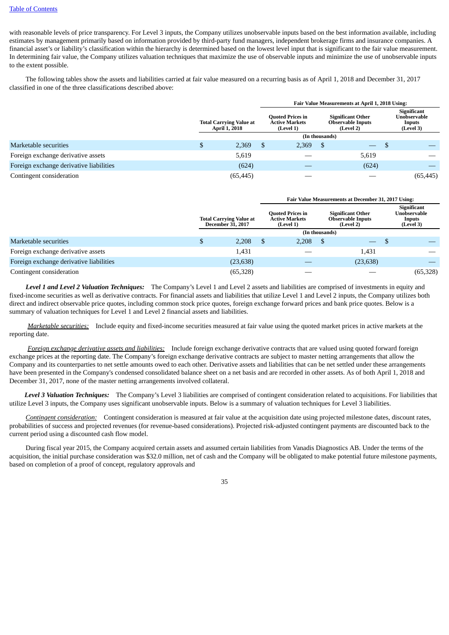with reasonable levels of price transparency. For Level 3 inputs, the Company utilizes unobservable inputs based on the best information available, including estimates by management primarily based on information provided by third-party fund managers, independent brokerage firms and insurance companies. A financial asset's or liability's classification within the hierarchy is determined based on the lowest level input that is significant to the fair value measurement. In determining fair value, the Company utilizes valuation techniques that maximize the use of observable inputs and minimize the use of unobservable inputs to the extent possible.

The following tables show the assets and liabilities carried at fair value measured on a recurring basis as of April 1, 2018 and December 31, 2017 classified in one of the three classifications described above:

|                                         |                                                        |           | Fair Value Measurements at April 1, 2018 Using:                                                                                    |                |      |                                                           |    |           |  |
|-----------------------------------------|--------------------------------------------------------|-----------|------------------------------------------------------------------------------------------------------------------------------------|----------------|------|-----------------------------------------------------------|----|-----------|--|
|                                         | <b>Total Carrying Value at</b><br><b>April 1, 2018</b> |           | <b>Quoted Prices in</b><br><b>Significant Other</b><br><b>Observable Inputs</b><br><b>Active Markets</b><br>(Level 2)<br>(Level 1) |                |      | <b>Significant</b><br>Unobservable<br>Inputs<br>(Level 3) |    |           |  |
|                                         |                                                        |           |                                                                                                                                    | (In thousands) |      |                                                           |    |           |  |
| Marketable securities                   | \$                                                     | 2,369     | \$.                                                                                                                                | 2,369          | - \$ | $\overline{\phantom{0}}$                                  | -S |           |  |
| Foreign exchange derivative assets      |                                                        | 5,619     |                                                                                                                                    |                |      | 5,619                                                     |    |           |  |
| Foreign exchange derivative liabilities |                                                        | (624)     |                                                                                                                                    |                |      | (624)                                                     |    |           |  |
| Contingent consideration                |                                                        | (65, 445) |                                                                                                                                    |                |      |                                                           |    | (65, 445) |  |

|                                         |                                                            | Fair Value Measurements at December 31, 2017 Using: |                                                               |     |                                                                   |              |                                                           |
|-----------------------------------------|------------------------------------------------------------|-----------------------------------------------------|---------------------------------------------------------------|-----|-------------------------------------------------------------------|--------------|-----------------------------------------------------------|
|                                         | <b>Total Carrying Value at</b><br><b>December 31, 2017</b> |                                                     | <b>Quoted Prices in</b><br><b>Active Markets</b><br>(Level 1) |     | <b>Significant Other</b><br><b>Observable Inputs</b><br>(Level 2) |              | <b>Significant</b><br>Unobservable<br>Inputs<br>(Level 3) |
|                                         |                                                            | (In thousands)                                      |                                                               |     |                                                                   |              |                                                           |
| Marketable securities                   | \$<br>2,208                                                | S                                                   | 2.208                                                         | - 5 |                                                                   | $\mathbf{S}$ |                                                           |
| Foreign exchange derivative assets      | 1,431                                                      |                                                     |                                                               |     | 1,431                                                             |              |                                                           |
| Foreign exchange derivative liabilities | (23, 638)                                                  |                                                     |                                                               |     | (23, 638)                                                         |              |                                                           |
| Contingent consideration                | (65, 328)                                                  |                                                     |                                                               |     |                                                                   |              | (65, 328)                                                 |

*Level 1 and Level 2 Valuation Techniques:* The Company's Level 1 and Level 2 assets and liabilities are comprised of investments in equity and fixed-income securities as well as derivative contracts. For financial assets and liabilities that utilize Level 1 and Level 2 inputs, the Company utilizes both direct and indirect observable price quotes, including common stock price quotes, foreign exchange forward prices and bank price quotes. Below is a summary of valuation techniques for Level 1 and Level 2 financial assets and liabilities.

*Marketable securities:* Include equity and fixed-income securities measured at fair value using the quoted market prices in active markets at the reporting date.

*Foreign exchange derivative assets and liabilities:* Include foreign exchange derivative contracts that are valued using quoted forward foreign exchange prices at the reporting date. The Company's foreign exchange derivative contracts are subject to master netting arrangements that allow the Company and its counterparties to net settle amounts owed to each other. Derivative assets and liabilities that can be net settled under these arrangements have been presented in the Company's condensed consolidated balance sheet on a net basis and are recorded in other assets. As of both April 1, 2018 and December 31, 2017, none of the master netting arrangements involved collateral.

*Level 3 Valuation Techniques:* The Company's Level 3 liabilities are comprised of contingent consideration related to acquisitions. For liabilities that utilize Level 3 inputs, the Company uses significant unobservable inputs. Below is a summary of valuation techniques for Level 3 liabilities.

*Contingent consideration:* Contingent consideration is measured at fair value at the acquisition date using projected milestone dates, discount rates, probabilities of success and projected revenues (for revenue-based considerations). Projected risk-adjusted contingent payments are discounted back to the current period using a discounted cash flow model.

During fiscal year 2015, the Company acquired certain assets and assumed certain liabilities from Vanadis Diagnostics AB. Under the terms of the acquisition, the initial purchase consideration was \$32.0 million, net of cash and the Company will be obligated to make potential future milestone payments, based on completion of a proof of concept, regulatory approvals and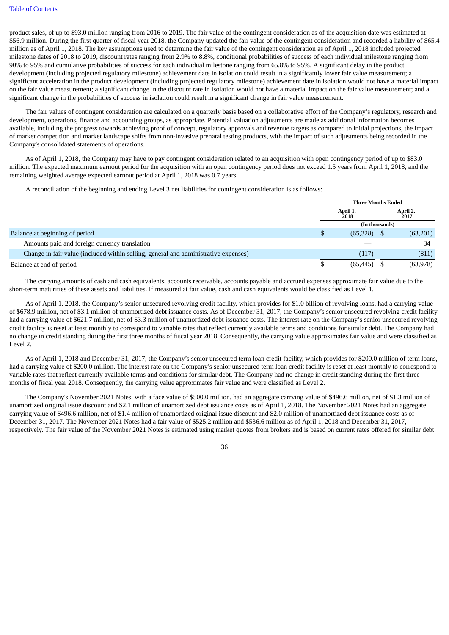product sales, of up to \$93.0 million ranging from 2016 to 2019. The fair value of the contingent consideration as of the acquisition date was estimated at \$56.9 million. During the first quarter of fiscal year 2018, the Company updated the fair value of the contingent consideration and recorded a liability of \$65.4 million as of April 1, 2018. The key assumptions used to determine the fair value of the contingent consideration as of April 1, 2018 included projected milestone dates of 2018 to 2019, discount rates ranging from 2.9% to 8.8%, conditional probabilities of success of each individual milestone ranging from 90% to 95% and cumulative probabilities of success for each individual milestone ranging from 65.8% to 95%. A significant delay in the product development (including projected regulatory milestone) achievement date in isolation could result in a significantly lower fair value measurement; a significant acceleration in the product development (including projected regulatory milestone) achievement date in isolation would not have a material impact on the fair value measurement; a significant change in the discount rate in isolation would not have a material impact on the fair value measurement; and a significant change in the probabilities of success in isolation could result in a significant change in fair value measurement.

The fair values of contingent consideration are calculated on a quarterly basis based on a collaborative effort of the Company's regulatory, research and development, operations, finance and accounting groups, as appropriate. Potential valuation adjustments are made as additional information becomes available, including the progress towards achieving proof of concept, regulatory approvals and revenue targets as compared to initial projections, the impact of market competition and market landscape shifts from non-invasive prenatal testing products, with the impact of such adjustments being recorded in the Company's consolidated statements of operations.

As of April 1, 2018, the Company may have to pay contingent consideration related to an acquisition with open contingency period of up to \$83.0 million. The expected maximum earnout period for the acquisition with an open contingency period does not exceed 1.5 years from April 1, 2018, and the remaining weighted average expected earnout period at April 1, 2018 was 0.7 years.

A reconciliation of the beginning and ending Level 3 net liabilities for contingent consideration is as follows:

|                                                                                     | <b>Three Months Ended</b> |                  |  |                  |
|-------------------------------------------------------------------------------------|---------------------------|------------------|--|------------------|
|                                                                                     |                           | April 1,<br>2018 |  | April 2,<br>2017 |
|                                                                                     |                           | (In thousands)   |  |                  |
| Balance at beginning of period                                                      |                           | (65,328)         |  | (63,201)         |
| Amounts paid and foreign currency translation                                       |                           |                  |  | 34               |
| Change in fair value (included within selling, general and administrative expenses) |                           | (117)            |  | (811)            |
| Balance at end of period                                                            |                           | (65, 445)        |  | (63,978)         |

The carrying amounts of cash and cash equivalents, accounts receivable, accounts payable and accrued expenses approximate fair value due to the short-term maturities of these assets and liabilities. If measured at fair value, cash and cash equivalents would be classified as Level 1.

As of April 1, 2018, the Company's senior unsecured revolving credit facility, which provides for \$1.0 billion of revolving loans, had a carrying value of \$678.9 million, net of \$3.1 million of unamortized debt issuance costs. As of December 31, 2017, the Company's senior unsecured revolving credit facility had a carrying value of \$621.7 million, net of \$3.3 million of unamortized debt issuance costs. The interest rate on the Company's senior unsecured revolving credit facility is reset at least monthly to correspond to variable rates that reflect currently available terms and conditions for similar debt. The Company had no change in credit standing during the first three months of fiscal year 2018. Consequently, the carrying value approximates fair value and were classified as Level 2.

As of April 1, 2018 and December 31, 2017, the Company's senior unsecured term loan credit facility, which provides for \$200.0 million of term loans, had a carrying value of \$200.0 million. The interest rate on the Company's senior unsecured term loan credit facility is reset at least monthly to correspond to variable rates that reflect currently available terms and conditions for similar debt. The Company had no change in credit standing during the first three months of fiscal year 2018. Consequently, the carrying value approximates fair value and were classified as Level 2.

The Company's November 2021 Notes, with a face value of \$500.0 million, had an aggregate carrying value of \$496.6 million, net of \$1.3 million of unamortized original issue discount and \$2.1 million of unamortized debt issuance costs as of April 1, 2018. The November 2021 Notes had an aggregate carrying value of \$496.6 million, net of \$1.4 million of unamortized original issue discount and \$2.0 million of unamortized debt issuance costs as of December 31, 2017. The November 2021 Notes had a fair value of \$525.2 million and \$536.6 million as of April 1, 2018 and December 31, 2017, respectively. The fair value of the November 2021 Notes is estimated using market quotes from brokers and is based on current rates offered for similar debt.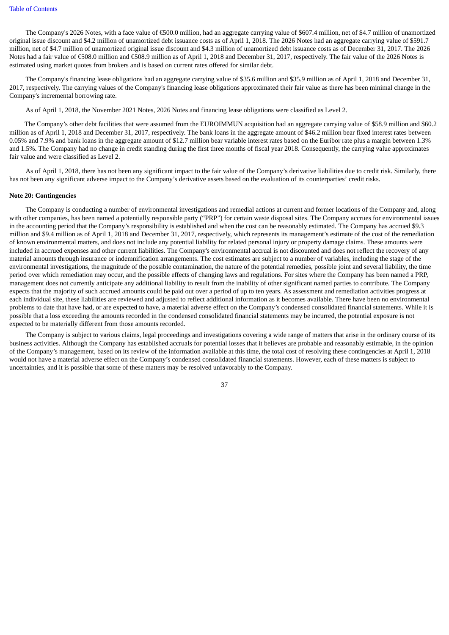The Company's 2026 Notes, with a face value of €500.0 million, had an aggregate carrying value of \$607.4 million, net of \$4.7 million of unamortized original issue discount and \$4.2 million of unamortized debt issuance costs as of April 1, 2018. The 2026 Notes had an aggregate carrying value of \$591.7 million, net of \$4.7 million of unamortized original issue discount and \$4.3 million of unamortized debt issuance costs as of December 31, 2017. The 2026 Notes had a fair value of €508.0 million and €508.9 million as of April 1, 2018 and December 31, 2017, respectively. The fair value of the 2026 Notes is estimated using market quotes from brokers and is based on current rates offered for similar debt.

The Company's financing lease obligations had an aggregate carrying value of \$35.6 million and \$35.9 million as of April 1, 2018 and December 31, 2017, respectively. The carrying values of the Company's financing lease obligations approximated their fair value as there has been minimal change in the Company's incremental borrowing rate.

As of April 1, 2018, the November 2021 Notes, 2026 Notes and financing lease obligations were classified as Level 2.

The Company's other debt facilities that were assumed from the EUROIMMUN acquisition had an aggregate carrying value of \$58.9 million and \$60.2 million as of April 1, 2018 and December 31, 2017, respectively. The bank loans in the aggregate amount of \$46.2 million bear fixed interest rates between 0.05% and 7.9% and bank loans in the aggregate amount of \$12.7 million bear variable interest rates based on the Euribor rate plus a margin between 1.3% and 1.5%. The Company had no change in credit standing during the first three months of fiscal year 2018. Consequently, the carrying value approximates fair value and were classified as Level 2.

As of April 1, 2018, there has not been any significant impact to the fair value of the Company's derivative liabilities due to credit risk. Similarly, there has not been any significant adverse impact to the Company's derivative assets based on the evaluation of its counterparties' credit risks.

### **Note 20: Contingencies**

The Company is conducting a number of environmental investigations and remedial actions at current and former locations of the Company and, along with other companies, has been named a potentially responsible party ("PRP") for certain waste disposal sites. The Company accrues for environmental issues in the accounting period that the Company's responsibility is established and when the cost can be reasonably estimated. The Company has accrued \$9.3 million and \$9.4 million as of April 1, 2018 and December 31, 2017, respectively, which represents its management's estimate of the cost of the remediation of known environmental matters, and does not include any potential liability for related personal injury or property damage claims. These amounts were included in accrued expenses and other current liabilities. The Company's environmental accrual is not discounted and does not reflect the recovery of any material amounts through insurance or indemnification arrangements. The cost estimates are subject to a number of variables, including the stage of the environmental investigations, the magnitude of the possible contamination, the nature of the potential remedies, possible joint and several liability, the time period over which remediation may occur, and the possible effects of changing laws and regulations. For sites where the Company has been named a PRP, management does not currently anticipate any additional liability to result from the inability of other significant named parties to contribute. The Company expects that the majority of such accrued amounts could be paid out over a period of up to ten years. As assessment and remediation activities progress at each individual site, these liabilities are reviewed and adjusted to reflect additional information as it becomes available. There have been no environmental problems to date that have had, or are expected to have, a material adverse effect on the Company's condensed consolidated financial statements. While it is possible that a loss exceeding the amounts recorded in the condensed consolidated financial statements may be incurred, the potential exposure is not expected to be materially different from those amounts recorded.

The Company is subject to various claims, legal proceedings and investigations covering a wide range of matters that arise in the ordinary course of its business activities. Although the Company has established accruals for potential losses that it believes are probable and reasonably estimable, in the opinion of the Company's management, based on its review of the information available at this time, the total cost of resolving these contingencies at April 1, 2018 would not have a material adverse effect on the Company's condensed consolidated financial statements. However, each of these matters is subject to uncertainties, and it is possible that some of these matters may be resolved unfavorably to the Company.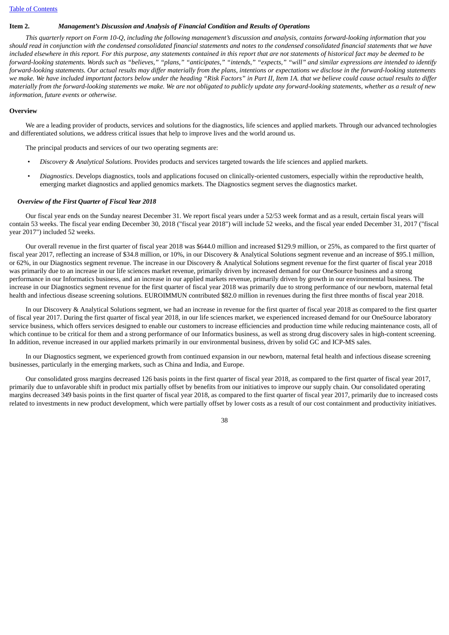# **Item 2.** *Management's Discussion and Analysis of Financial Condition and Results of Operations*

This quarterly report on Form 10-Q, including the following management's discussion and analysis, contains forward-looking information that you should read in conjunction with the condensed consolidated financial statements and notes to the condensed consolidated financial statements that we have included elsewhere in this report. For this purpose, any statements contained in this report that are not statements of historical fact may be deemed to be forward-looking statements. Words such as "believes," "plans," "anticipates," "intends," "expects," "will" and similar expressions are intended to identify forward-looking statements. Our actual results may differ materially from the plans, intentions or expectations we disclose in the forward-looking statements we make. We have included important factors below under the heading "Risk Factors" in Part II, Item 1A. that we believe could cause actual results to differ materially from the forward-looking statements we make. We are not obligated to publicly update any forward-looking statements, whether as a result of new *information, future events or otherwise.*

## **Overview**

We are a leading provider of products, services and solutions for the diagnostics, life sciences and applied markets. Through our advanced technologies and differentiated solutions, we address critical issues that help to improve lives and the world around us.

The principal products and services of our two operating segments are:

- *Discovery & Analytical Solutions*. Provides products and services targeted towards the life sciences and applied markets.
- *Diagnostics*. Develops diagnostics, tools and applications focused on clinically-oriented customers, especially within the reproductive health, emerging market diagnostics and applied genomics markets. The Diagnostics segment serves the diagnostics market.

## *Overview of the First Quarter of Fiscal Year 2018*

Our fiscal year ends on the Sunday nearest December 31. We report fiscal years under a 52/53 week format and as a result, certain fiscal years will contain 53 weeks. The fiscal year ending December 30, 2018 ("fiscal year 2018") will include 52 weeks, and the fiscal year ended December 31, 2017 ("fiscal year 2017") included 52 weeks.

Our overall revenue in the first quarter of fiscal year 2018 was \$644.0 million and increased \$129.9 million, or 25%, as compared to the first quarter of fiscal year 2017, reflecting an increase of \$34.8 million, or 10%, in our Discovery & Analytical Solutions segment revenue and an increase of \$95.1 million, or 62%, in our Diagnostics segment revenue. The increase in our Discovery & Analytical Solutions segment revenue for the first quarter of fiscal year 2018 was primarily due to an increase in our life sciences market revenue, primarily driven by increased demand for our OneSource business and a strong performance in our Informatics business, and an increase in our applied markets revenue, primarily driven by growth in our environmental business. The increase in our Diagnostics segment revenue for the first quarter of fiscal year 2018 was primarily due to strong performance of our newborn, maternal fetal health and infectious disease screening solutions. EUROIMMUN contributed \$82.0 million in revenues during the first three months of fiscal year 2018.

In our Discovery & Analytical Solutions segment, we had an increase in revenue for the first quarter of fiscal year 2018 as compared to the first quarter of fiscal year 2017. During the first quarter of fiscal year 2018, in our life sciences market, we experienced increased demand for our OneSource laboratory service business, which offers services designed to enable our customers to increase efficiencies and production time while reducing maintenance costs, all of which continue to be critical for them and a strong performance of our Informatics business, as well as strong drug discovery sales in high-content screening. In addition, revenue increased in our applied markets primarily in our environmental business, driven by solid GC and ICP-MS sales.

In our Diagnostics segment, we experienced growth from continued expansion in our newborn, maternal fetal health and infectious disease screening businesses, particularly in the emerging markets, such as China and India, and Europe.

Our consolidated gross margins decreased 126 basis points in the first quarter of fiscal year 2018, as compared to the first quarter of fiscal year 2017, primarily due to unfavorable shift in product mix partially offset by benefits from our initiatives to improve our supply chain. Our consolidated operating margins decreased 349 basis points in the first quarter of fiscal year 2018, as compared to the first quarter of fiscal year 2017, primarily due to increased costs related to investments in new product development, which were partially offset by lower costs as a result of our cost containment and productivity initiatives.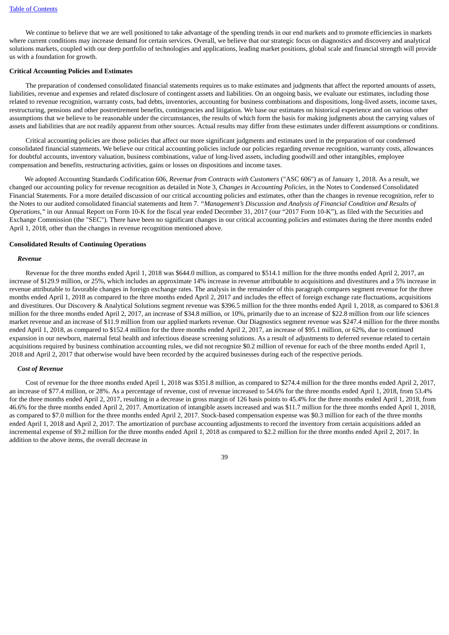We continue to believe that we are well positioned to take advantage of the spending trends in our end markets and to promote efficiencies in markets where current conditions may increase demand for certain services. Overall, we believe that our strategic focus on diagnostics and discovery and analytical solutions markets, coupled with our deep portfolio of technologies and applications, leading market positions, global scale and financial strength will provide us with a foundation for growth.

#### **Critical Accounting Policies and Estimates**

The preparation of condensed consolidated financial statements requires us to make estimates and judgments that affect the reported amounts of assets, liabilities, revenue and expenses and related disclosure of contingent assets and liabilities. On an ongoing basis, we evaluate our estimates, including those related to revenue recognition, warranty costs, bad debts, inventories, accounting for business combinations and dispositions, long-lived assets, income taxes, restructuring, pensions and other postretirement benefits, contingencies and litigation. We base our estimates on historical experience and on various other assumptions that we believe to be reasonable under the circumstances, the results of which form the basis for making judgments about the carrying values of assets and liabilities that are not readily apparent from other sources. Actual results may differ from these estimates under different assumptions or conditions.

Critical accounting policies are those policies that affect our more significant judgments and estimates used in the preparation of our condensed consolidated financial statements. We believe our critical accounting policies include our policies regarding revenue recognition, warranty costs, allowances for doubtful accounts, inventory valuation, business combinations, value of long-lived assets, including goodwill and other intangibles, employee compensation and benefits, restructuring activities, gains or losses on dispositions and income taxes.

We adopted Accounting Standards Codification 606, *Revenue from Contracts with Customers* ("ASC 606") as of January 1, 2018. As a result, we changed our accounting policy for revenue recognition as detailed in Note 3, *Changes in Accounting Policies,* in the Notes to Condensed Consolidated Financial Statements. For a more detailed discussion of our critical accounting policies and estimates, other than the changes in revenue recognition, refer to the Notes to our audited consolidated financial statements and Item 7. *"Management's Discussion and Analysis of Financial Condition and Results of Operations,"* in our Annual Report on Form 10-K for the fiscal year ended December 31, 2017 (our "2017 Form 10-K"), as filed with the Securities and Exchange Commission (the "SEC"). There have been no significant changes in our critical accounting policies and estimates during the three months ended April 1, 2018, other than the changes in revenue recognition mentioned above.

### **Consolidated Results of Continuing Operations**

#### *Revenue*

Revenue for the three months ended April 1, 2018 was \$644.0 million, as compared to \$514.1 million for the three months ended April 2, 2017, an increase of \$129.9 million, or 25%, which includes an approximate 14% increase in revenue attributable to acquisitions and divestitures and a 5% increase in revenue attributable to favorable changes in foreign exchange rates. The analysis in the remainder of this paragraph compares segment revenue for the three months ended April 1, 2018 as compared to the three months ended April 2, 2017 and includes the effect of foreign exchange rate fluctuations, acquisitions and divestitures. Our Discovery & Analytical Solutions segment revenue was \$396.5 million for the three months ended April 1, 2018, as compared to \$361.8 million for the three months ended April 2, 2017, an increase of \$34.8 million, or 10%, primarily due to an increase of \$22.8 million from our life sciences market revenue and an increase of \$11.9 million from our applied markets revenue. Our Diagnostics segment revenue was \$247.4 million for the three months ended April 1, 2018, as compared to \$152.4 million for the three months ended April 2, 2017, an increase of \$95.1 million, or 62%, due to continued expansion in our newborn, maternal fetal health and infectious disease screening solutions. As a result of adjustments to deferred revenue related to certain acquisitions required by business combination accounting rules, we did not recognize \$0.2 million of revenue for each of the three months ended April 1, 2018 and April 2, 2017 that otherwise would have been recorded by the acquired businesses during each of the respective periods.

## *Cost of Revenue*

Cost of revenue for the three months ended April 1, 2018 was \$351.8 million, as compared to \$274.4 million for the three months ended April 2, 2017, an increase of \$77.4 million, or 28%. As a percentage of revenue, cost of revenue increased to 54.6% for the three months ended April 1, 2018, from 53.4% for the three months ended April 2, 2017, resulting in a decrease in gross margin of 126 basis points to 45.4% for the three months ended April 1, 2018, from 46.6% for the three months ended April 2, 2017. Amortization of intangible assets increased and was \$11.7 million for the three months ended April 1, 2018, as compared to \$7.0 million for the three months ended April 2, 2017. Stock-based compensation expense was \$0.3 million for each of the three months ended April 1, 2018 and April 2, 2017. The amortization of purchase accounting adjustments to record the inventory from certain acquisitions added an incremental expense of \$9.2 million for the three months ended April 1, 2018 as compared to \$2.2 million for the three months ended April 2, 2017. In addition to the above items, the overall decrease in

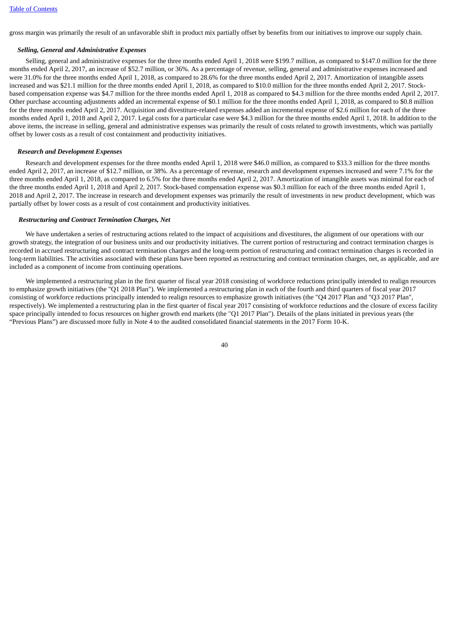gross margin was primarily the result of an unfavorable shift in product mix partially offset by benefits from our initiatives to improve our supply chain.

#### *Selling, General and Administrative Expenses*

Selling, general and administrative expenses for the three months ended April 1, 2018 were \$199.7 million, as compared to \$147.0 million for the three months ended April 2, 2017, an increase of \$52.7 million, or 36%. As a percentage of revenue, selling, general and administrative expenses increased and were 31.0% for the three months ended April 1, 2018, as compared to 28.6% for the three months ended April 2, 2017. Amortization of intangible assets increased and was \$21.1 million for the three months ended April 1, 2018, as compared to \$10.0 million for the three months ended April 2, 2017. Stockbased compensation expense was \$4.7 million for the three months ended April 1, 2018 as compared to \$4.3 million for the three months ended April 2, 2017. Other purchase accounting adjustments added an incremental expense of \$0.1 million for the three months ended April 1, 2018, as compared to \$0.8 million for the three months ended April 2, 2017. Acquisition and divestiture-related expenses added an incremental expense of \$2.6 million for each of the three months ended April 1, 2018 and April 2, 2017. Legal costs for a particular case were \$4.3 million for the three months ended April 1, 2018. In addition to the above items, the increase in selling, general and administrative expenses was primarily the result of costs related to growth investments, which was partially offset by lower costs as a result of cost containment and productivity initiatives.

## *Research and Development Expenses*

Research and development expenses for the three months ended April 1, 2018 were \$46.0 million, as compared to \$33.3 million for the three months ended April 2, 2017, an increase of \$12.7 million, or 38%. As a percentage of revenue, research and development expenses increased and were 7.1% for the three months ended April 1, 2018, as compared to 6.5% for the three months ended April 2, 2017. Amortization of intangible assets was minimal for each of the three months ended April 1, 2018 and April 2, 2017. Stock-based compensation expense was \$0.3 million for each of the three months ended April 1, 2018 and April 2, 2017. The increase in research and development expenses was primarily the result of investments in new product development, which was partially offset by lower costs as a result of cost containment and productivity initiatives.

## *Restructuring and Contract Termination Charges, Net*

We have undertaken a series of restructuring actions related to the impact of acquisitions and divestitures, the alignment of our operations with our growth strategy, the integration of our business units and our productivity initiatives. The current portion of restructuring and contract termination charges is recorded in accrued restructuring and contract termination charges and the long-term portion of restructuring and contract termination charges is recorded in long-term liabilities. The activities associated with these plans have been reported as restructuring and contract termination charges, net, as applicable, and are included as a component of income from continuing operations.

We implemented a restructuring plan in the first quarter of fiscal year 2018 consisting of workforce reductions principally intended to realign resources to emphasize growth initiatives (the "Q1 2018 Plan"). We implemented a restructuring plan in each of the fourth and third quarters of fiscal year 2017 consisting of workforce reductions principally intended to realign resources to emphasize growth initiatives (the "Q4 2017 Plan and "Q3 2017 Plan", respectively). We implemented a restructuring plan in the first quarter of fiscal year 2017 consisting of workforce reductions and the closure of excess facility space principally intended to focus resources on higher growth end markets (the "Q1 2017 Plan"). Details of the plans initiated in previous years (the "Previous Plans") are discussed more fully in Note 4 to the audited consolidated financial statements in the 2017 Form 10-K.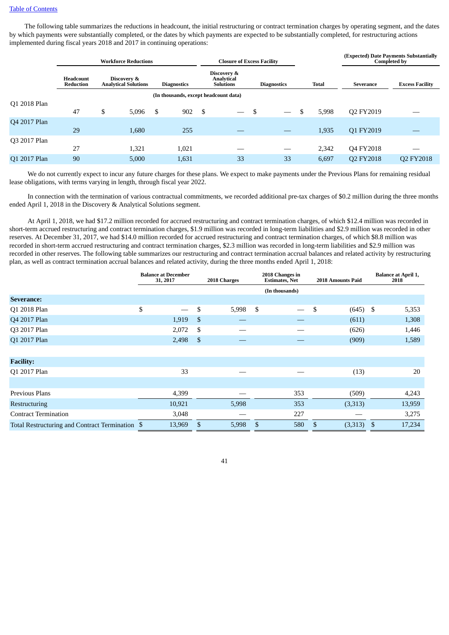The following table summarizes the reductions in headcount, the initial restructuring or contract termination charges by operating segment, and the dates by which payments were substantially completed, or the dates by which payments are expected to be substantially completed, for restructuring actions implemented during fiscal years 2018 and 2017 in continuing operations:

|              | <b>Workforce Reductions</b>   |    |                                            |    | <b>Closure of Excess Facility</b> |      |                                                      |     |                    | (Expected) Date Payments Substantially<br><b>Completed by</b> |              |                  |                        |
|--------------|-------------------------------|----|--------------------------------------------|----|-----------------------------------|------|------------------------------------------------------|-----|--------------------|---------------------------------------------------------------|--------------|------------------|------------------------|
|              | <b>Headcount</b><br>Reduction |    | Discovery &<br><b>Analytical Solutions</b> |    | <b>Diagnostics</b>                |      | Discovery &<br><b>Analytical</b><br><b>Solutions</b> |     | <b>Diagnostics</b> |                                                               | <b>Total</b> | <b>Severance</b> | <b>Excess Facility</b> |
|              |                               |    |                                            |    |                                   |      | (In thousands, except headcount data)                |     |                    |                                                               |              |                  |                        |
| Q1 2018 Plan | 47                            | \$ | 5,096                                      | \$ | 902                               | - \$ | $\overbrace{\phantom{aaaaa}}$                        | -\$ |                    | -S                                                            | 5,998        | Q2 FY2019        |                        |
| Q4 2017 Plan | 29                            |    | 1,680                                      |    | 255                               |      |                                                      |     |                    |                                                               | 1,935        | Q1 FY2019        |                        |
| Q3 2017 Plan | 27                            |    | 1,321                                      |    | 1,021                             |      | __                                                   |     | __                 |                                                               | 2,342        | Q4 FY2018        |                        |
| Q1 2017 Plan | 90                            |    | 5,000                                      |    | 1,631                             |      | 33                                                   |     | 33                 |                                                               | 6,697        | Q2 FY2018        | Q2 FY2018              |

We do not currently expect to incur any future charges for these plans. We expect to make payments under the Previous Plans for remaining residual lease obligations, with terms varying in length, through fiscal year 2022.

In connection with the termination of various contractual commitments, we recorded additional pre-tax charges of \$0.2 million during the three months ended April 1, 2018 in the Discovery & Analytical Solutions segment.

At April 1, 2018, we had \$17.2 million recorded for accrued restructuring and contract termination charges, of which \$12.4 million was recorded in short-term accrued restructuring and contract termination charges, \$1.9 million was recorded in long-term liabilities and \$2.9 million was recorded in other reserves. At December 31, 2017, we had \$14.0 million recorded for accrued restructuring and contract termination charges, of which \$8.8 million was recorded in short-term accrued restructuring and contract termination charges, \$2.3 million was recorded in long-term liabilities and \$2.9 million was recorded in other reserves. The following table summarizes our restructuring and contract termination accrual balances and related activity by restructuring plan, as well as contract termination accrual balances and related activity, during the three months ended April 1, 2018:

|                                                 | <b>Balance at December</b><br>31, 2017 |                           | 2018 Charges |    | 2018 Changes in<br><b>Estimates, Net</b> |    | 2018 Amounts Paid |                | <b>Balance at April 1,</b><br>2018 |  |
|-------------------------------------------------|----------------------------------------|---------------------------|--------------|----|------------------------------------------|----|-------------------|----------------|------------------------------------|--|
|                                                 |                                        |                           |              |    | (In thousands)                           |    |                   |                |                                    |  |
| <b>Severance:</b>                               |                                        |                           |              |    |                                          |    |                   |                |                                    |  |
| Q1 2018 Plan                                    | \$<br>$\hspace{0.05cm}$                | \$                        | 5,998        | \$ |                                          | \$ | (645)             | \$             | 5,353                              |  |
| Q4 2017 Plan                                    | 1,919                                  | \$                        |              |    |                                          |    | (611)             |                | 1,308                              |  |
| Q3 2017 Plan                                    | 2,072                                  | \$                        |              |    |                                          |    | (626)             |                | 1,446                              |  |
| Q1 2017 Plan                                    | 2,498                                  | $\boldsymbol{\mathsf{S}}$ |              |    |                                          |    | (909)             |                | 1,589                              |  |
|                                                 |                                        |                           |              |    |                                          |    |                   |                |                                    |  |
| <b>Facility:</b>                                |                                        |                           |              |    |                                          |    |                   |                |                                    |  |
| Q1 2017 Plan                                    | 33                                     |                           |              |    |                                          |    | (13)              |                | 20                                 |  |
|                                                 |                                        |                           |              |    |                                          |    |                   |                |                                    |  |
| Previous Plans                                  | 4,399                                  |                           |              |    | 353                                      |    | (509)             |                | 4,243                              |  |
| Restructuring                                   | 10,921                                 |                           | 5,998        |    | 353                                      |    | (3,313)           |                | 13,959                             |  |
| <b>Contract Termination</b>                     | 3,048                                  |                           |              |    | 227                                      |    |                   |                | 3,275                              |  |
| Total Restructuring and Contract Termination \$ | 13,969                                 | \$                        | 5,998        | \$ | 580                                      | \$ | (3,313)           | $\mathfrak{S}$ | 17,234                             |  |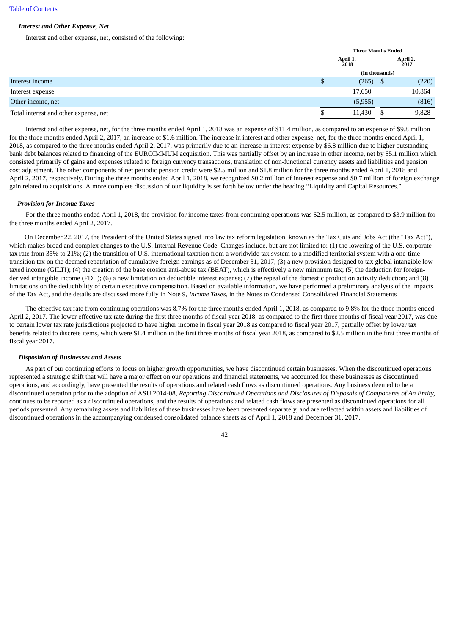## *Interest and Other Expense, Net*

Interest and other expense, net, consisted of the following:

|                                       | <b>Three Months Ended</b> |                  |      |                  |  |
|---------------------------------------|---------------------------|------------------|------|------------------|--|
|                                       |                           | April 1,<br>2018 |      | April 2,<br>2017 |  |
|                                       |                           | (In thousands)   |      |                  |  |
| Interest income                       | \$                        | (265)            | - \$ | (220)            |  |
| Interest expense                      |                           | 17,650           |      | 10,864           |  |
| Other income, net                     |                           | (5,955)          |      | (816)            |  |
| Total interest and other expense, net |                           | 11,430           | S    | 9,828            |  |

Interest and other expense, net, for the three months ended April 1, 2018 was an expense of \$11.4 million, as compared to an expense of \$9.8 million for the three months ended April 2, 2017, an increase of \$1.6 million. The increase in interest and other expense, net, for the three months ended April 1, 2018, as compared to the three months ended April 2, 2017, was primarily due to an increase in interest expense by \$6.8 million due to higher outstanding bank debt balances related to financing of the EUROIMMUM acquisition. This was partially offset by an increase in other income, net by \$5.1 million which consisted primarily of gains and expenses related to foreign currency transactions, translation of non-functional currency assets and liabilities and pension cost adjustment. The other components of net periodic pension credit were \$2.5 million and \$1.8 million for the three months ended April 1, 2018 and April 2, 2017, respectively. During the three months ended April 1, 2018, we recognized \$0.2 million of interest expense and \$0.7 million of foreign exchange gain related to acquisitions. A more complete discussion of our liquidity is set forth below under the heading "Liquidity and Capital Resources."

#### *Provision for Income Taxes*

For the three months ended April 1, 2018, the provision for income taxes from continuing operations was \$2.5 million, as compared to \$3.9 million for the three months ended April 2, 2017.

On December 22, 2017, the President of the United States signed into law tax reform legislation, known as the Tax Cuts and Jobs Act (the "Tax Act"), which makes broad and complex changes to the U.S. Internal Revenue Code. Changes include, but are not limited to: (1) the lowering of the U.S. corporate tax rate from 35% to 21%; (2) the transition of U.S. international taxation from a worldwide tax system to a modified territorial system with a one-time transition tax on the deemed repatriation of cumulative foreign earnings as of December 31, 2017; (3) a new provision designed to tax global intangible lowtaxed income (GILTI); (4) the creation of the base erosion anti-abuse tax (BEAT), which is effectively a new minimum tax; (5) the deduction for foreignderived intangible income (FDII); (6) a new limitation on deductible interest expense; (7) the repeal of the domestic production activity deduction; and (8) limitations on the deductibility of certain executive compensation. Based on available information, we have performed a preliminary analysis of the impacts of the Tax Act, and the details are discussed more fully in Note 9, *Income Taxes,* in the Notes to Condensed Consolidated Financial Statements

The effective tax rate from continuing operations was 8.7% for the three months ended April 1, 2018, as compared to 9.8% for the three months ended April 2, 2017. The lower effective tax rate during the first three months of fiscal year 2018, as compared to the first three months of fiscal year 2017, was due to certain lower tax rate jurisdictions projected to have higher income in fiscal year 2018 as compared to fiscal year 2017, partially offset by lower tax benefits related to discrete items, which were \$1.4 million in the first three months of fiscal year 2018, as compared to \$2.5 million in the first three months of fiscal year 2017.

#### *Disposition of Businesses and Assets*

As part of our continuing efforts to focus on higher growth opportunities, we have discontinued certain businesses. When the discontinued operations represented a strategic shift that will have a major effect on our operations and financial statements, we accounted for these businesses as discontinued operations, and accordingly, have presented the results of operations and related cash flows as discontinued operations. Any business deemed to be a discontinued operation prior to the adoption of ASU 2014-08, Reporting Discontinued Operations and Disclosures of Disposals of Components of An Entity, continues to be reported as a discontinued operations, and the results of operations and related cash flows are presented as discontinued operations for all periods presented. Any remaining assets and liabilities of these businesses have been presented separately, and are reflected within assets and liabilities of discontinued operations in the accompanying condensed consolidated balance sheets as of April 1, 2018 and December 31, 2017.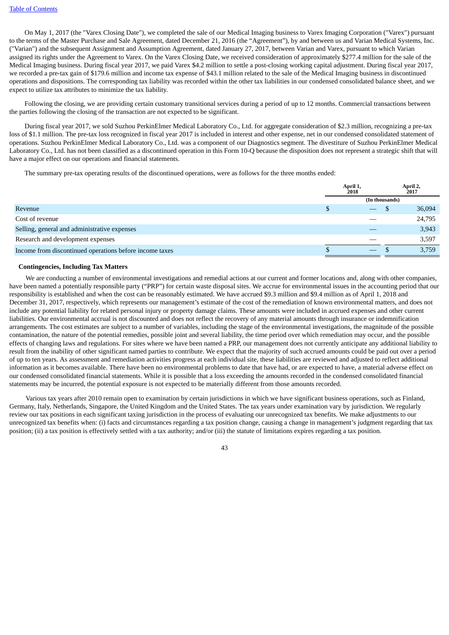On May 1, 2017 (the "Varex Closing Date"), we completed the sale of our Medical Imaging business to Varex Imaging Corporation ("Varex") pursuant to the terms of the Master Purchase and Sale Agreement, dated December 21, 2016 (the "Agreement"), by and between us and Varian Medical Systems, Inc. ("Varian") and the subsequent Assignment and Assumption Agreement, dated January 27, 2017, between Varian and Varex, pursuant to which Varian assigned its rights under the Agreement to Varex. On the Varex Closing Date, we received consideration of approximately \$277.4 million for the sale of the Medical Imaging business. During fiscal year 2017, we paid Varex \$4.2 million to settle a post-closing working capital adjustment. During fiscal year 2017, we recorded a pre-tax gain of \$179.6 million and income tax expense of \$43.1 million related to the sale of the Medical Imaging business in discontinued operations and dispositions. The corresponding tax liability was recorded within the other tax liabilities in our condensed consolidated balance sheet, and we expect to utilize tax attributes to minimize the tax liability.

Following the closing, we are providing certain customary transitional services during a period of up to 12 months. Commercial transactions between the parties following the closing of the transaction are not expected to be significant.

During fiscal year 2017, we sold Suzhou PerkinElmer Medical Laboratory Co., Ltd. for aggregate consideration of \$2.3 million, recognizing a pre-tax loss of \$1.1 million. The pre-tax loss recognized in fiscal year 2017 is included in interest and other expense, net in our condensed consolidated statement of operations. Suzhou PerkinElmer Medical Laboratory Co., Ltd. was a component of our Diagnostics segment. The divestiture of Suzhou PerkinElmer Medical Laboratory Co., Ltd. has not been classified as a discontinued operation in this Form 10-Q because the disposition does not represent a strategic shift that will have a major effect on our operations and financial statements.

The summary pre-tax operating results of the discontinued operations, were as follows for the three months ended:

|                                                         | April 1,<br>2018                | April 2,<br>2017 |
|---------------------------------------------------------|---------------------------------|------------------|
|                                                         | (In thousands)                  |                  |
| Revenue                                                 | - S<br>$\overline{\phantom{0}}$ | 36,094           |
| Cost of revenue                                         |                                 | 24,795           |
| Selling, general and administrative expenses            |                                 | 3,943            |
| Research and development expenses                       |                                 | 3,597            |
| Income from discontinued operations before income taxes |                                 | 3,759            |

## **Contingencies, Including Tax Matters**

We are conducting a number of environmental investigations and remedial actions at our current and former locations and, along with other companies, have been named a potentially responsible party ("PRP") for certain waste disposal sites. We accrue for environmental issues in the accounting period that our responsibility is established and when the cost can be reasonably estimated. We have accrued \$9.3 million and \$9.4 million as of April 1, 2018 and December 31, 2017, respectively, which represents our management's estimate of the cost of the remediation of known environmental matters, and does not include any potential liability for related personal injury or property damage claims. These amounts were included in accrued expenses and other current liabilities. Our environmental accrual is not discounted and does not reflect the recovery of any material amounts through insurance or indemnification arrangements. The cost estimates are subject to a number of variables, including the stage of the environmental investigations, the magnitude of the possible contamination, the nature of the potential remedies, possible joint and several liability, the time period over which remediation may occur, and the possible effects of changing laws and regulations. For sites where we have been named a PRP, our management does not currently anticipate any additional liability to result from the inability of other significant named parties to contribute. We expect that the majority of such accrued amounts could be paid out over a period of up to ten years. As assessment and remediation activities progress at each individual site, these liabilities are reviewed and adjusted to reflect additional information as it becomes available. There have been no environmental problems to date that have had, or are expected to have, a material adverse effect on our condensed consolidated financial statements. While it is possible that a loss exceeding the amounts recorded in the condensed consolidated financial statements may be incurred, the potential exposure is not expected to be materially different from those amounts recorded.

Various tax years after 2010 remain open to examination by certain jurisdictions in which we have significant business operations, such as Finland, Germany, Italy, Netherlands, Singapore, the United Kingdom and the United States. The tax years under examination vary by jurisdiction. We regularly review our tax positions in each significant taxing jurisdiction in the process of evaluating our unrecognized tax benefits. We make adjustments to our unrecognized tax benefits when: (i) facts and circumstances regarding a tax position change, causing a change in management's judgment regarding that tax position; (ii) a tax position is effectively settled with a tax authority; and/or (iii) the statute of limitations expires regarding a tax position.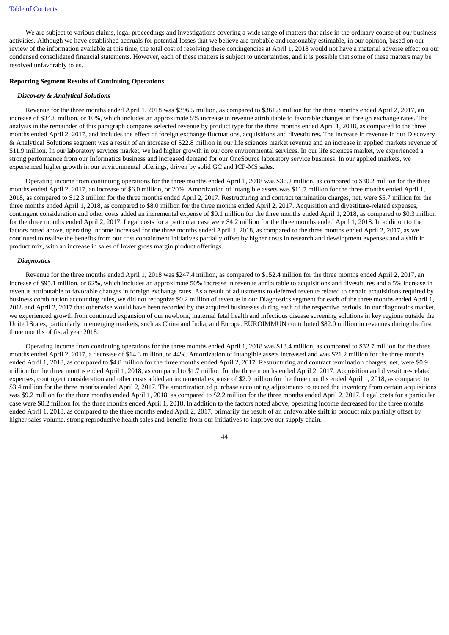We are subject to various claims, legal proceedings and investigations covering a wide range of matters that arise in the ordinary course of our business activities. Although we have established accruals for potential losses that we believe are probable and reasonably estimable, in our opinion, based on our review of the information available at this time, the total cost of resolving these contingencies at April 1, 2018 would not have a material adverse effect on our condensed consolidated financial statements. However, each of these matters is subject to uncertainties, and it is possible that some of these matters may be resolved unfavorably to us.

## **Reporting Segment Results of Continuing Operations**

### *Discovery & Analytical Solutions*

Revenue for the three months ended April 1, 2018 was \$396.5 million, as compared to \$361.8 million for the three months ended April 2, 2017, an increase of \$34.8 million, or 10%, which includes an approximate 5% increase in revenue attributable to favorable changes in foreign exchange rates. The analysis in the remainder of this paragraph compares selected revenue by product type for the three months ended April 1, 2018, as compared to the three months ended April 2, 2017, and includes the effect of foreign exchange fluctuations, acquisitions and divestitures. The increase in revenue in our Discovery & Analytical Solutions segment was a result of an increase of \$22.8 million in our life sciences market revenue and an increase in applied markets revenue of \$11.9 million. In our laboratory services market, we had higher growth in our core environmental services. In our life sciences market, we experienced a strong performance from our Informatics business and increased demand for our OneSource laboratory service business. In our applied markets, we experienced higher growth in our environmental offerings, driven by solid GC and ICP-MS sales.

Operating income from continuing operations for the three months ended April 1, 2018 was \$36.2 million, as compared to \$30.2 million for the three months ended April 2, 2017, an increase of \$6.0 million, or 20%. Amortization of intangible assets was \$11.7 million for the three months ended April 1, 2018, as compared to \$12.3 million for the three months ended April 2, 2017. Restructuring and contract termination charges, net, were \$5.7 million for the three months ended April 1, 2018, as compared to \$8.0 million for the three months ended April 2, 2017. Acquisition and divestiture-related expenses, contingent consideration and other costs added an incremental expense of \$0.1 million for the three months ended April 1, 2018, as compared to \$0.3 million for the three months ended April 2, 2017. Legal costs for a particular case were \$4.2 million for the three months ended April 1, 2018. In addition to the factors noted above, operating income increased for the three months ended April 1, 2018, as compared to the three months ended April 2, 2017, as we continued to realize the benefits from our cost containment initiatives partially offset by higher costs in research and development expenses and a shift in product mix, with an increase in sales of lower gross margin product offerings.

## *Diagnostics*

Revenue for the three months ended April 1, 2018 was \$247.4 million, as compared to \$152.4 million for the three months ended April 2, 2017, an increase of \$95.1 million, or 62%, which includes an approximate 50% increase in revenue attributable to acquisitions and divestitures and a 5% increase in revenue attributable to favorable changes in foreign exchange rates. As a result of adjustments to deferred revenue related to certain acquisitions required by business combination accounting rules, we did not recognize \$0.2 million of revenue in our Diagnostics segment for each of the three months ended April 1, 2018 and April 2, 2017 that otherwise would have been recorded by the acquired businesses during each of the respective periods. In our diagnostics market, we experienced growth from continued expansion of our newborn, maternal fetal health and infectious disease screening solutions in key regions outside the United States, particularly in emerging markets, such as China and India, and Europe. EUROIMMUN contributed \$82.0 million in revenues during the first three months of fiscal year 2018.

Operating income from continuing operations for the three months ended April 1, 2018 was \$18.4 million, as compared to \$32.7 million for the three months ended April 2, 2017, a decrease of \$14.3 million, or 44%. Amortization of intangible assets increased and was \$21.2 million for the three months ended April 1, 2018, as compared to \$4.8 million for the three months ended April 2, 2017. Restructuring and contract termination charges, net, were \$0.9 million for the three months ended April 1, 2018, as compared to \$1.7 million for the three months ended April 2, 2017. Acquisition and divestiture-related expenses, contingent consideration and other costs added an incremental expense of \$2.9 million for the three months ended April 1, 2018, as compared to \$3.4 million for the three months ended April 2, 2017. The amortization of purchase accounting adjustments to record the inventory from certain acquisitions was \$9.2 million for the three months ended April 1, 2018, as compared to \$2.2 million for the three months ended April 2, 2017. Legal costs for a particular case were \$0.2 million for the three months ended April 1, 2018. In addition to the factors noted above, operating income decreased for the three months ended April 1, 2018, as compared to the three months ended April 2, 2017, primarily the result of an unfavorable shift in product mix partially offset by higher sales volume, strong reproductive health sales and benefits from our initiatives to improve our supply chain.

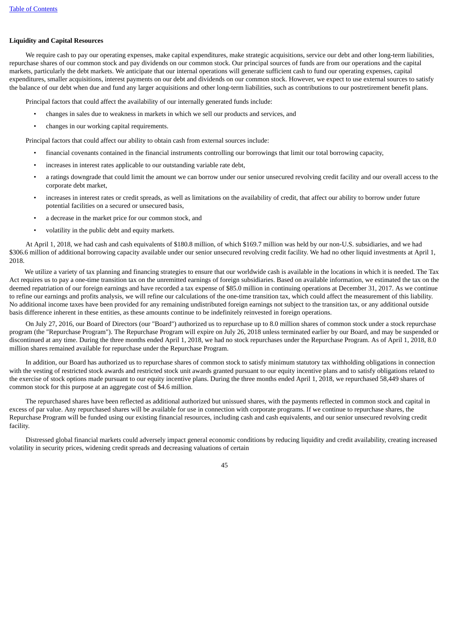## **Liquidity and Capital Resources**

We require cash to pay our operating expenses, make capital expenditures, make strategic acquisitions, service our debt and other long-term liabilities, repurchase shares of our common stock and pay dividends on our common stock. Our principal sources of funds are from our operations and the capital markets, particularly the debt markets. We anticipate that our internal operations will generate sufficient cash to fund our operating expenses, capital expenditures, smaller acquisitions, interest payments on our debt and dividends on our common stock. However, we expect to use external sources to satisfy the balance of our debt when due and fund any larger acquisitions and other long-term liabilities, such as contributions to our postretirement benefit plans.

Principal factors that could affect the availability of our internally generated funds include:

- changes in sales due to weakness in markets in which we sell our products and services, and
- changes in our working capital requirements.

Principal factors that could affect our ability to obtain cash from external sources include:

- financial covenants contained in the financial instruments controlling our borrowings that limit our total borrowing capacity,
- increases in interest rates applicable to our outstanding variable rate debt,
- a ratings downgrade that could limit the amount we can borrow under our senior unsecured revolving credit facility and our overall access to the corporate debt market,
- increases in interest rates or credit spreads, as well as limitations on the availability of credit, that affect our ability to borrow under future potential facilities on a secured or unsecured basis,
- a decrease in the market price for our common stock, and
- volatility in the public debt and equity markets.

At April 1, 2018, we had cash and cash equivalents of \$180.8 million, of which \$169.7 million was held by our non-U.S. subsidiaries, and we had \$306.6 million of additional borrowing capacity available under our senior unsecured revolving credit facility. We had no other liquid investments at April 1, 2018.

We utilize a variety of tax planning and financing strategies to ensure that our worldwide cash is available in the locations in which it is needed. The Tax Act requires us to pay a one-time transition tax on the unremitted earnings of foreign subsidiaries. Based on available information, we estimated the tax on the deemed repatriation of our foreign earnings and have recorded a tax expense of \$85.0 million in continuing operations at December 31, 2017. As we continue to refine our earnings and profits analysis, we will refine our calculations of the one-time transition tax, which could affect the measurement of this liability. No additional income taxes have been provided for any remaining undistributed foreign earnings not subject to the transition tax, or any additional outside basis difference inherent in these entities, as these amounts continue to be indefinitely reinvested in foreign operations.

On July 27, 2016, our Board of Directors (our "Board") authorized us to repurchase up to 8.0 million shares of common stock under a stock repurchase program (the "Repurchase Program"). The Repurchase Program will expire on July 26, 2018 unless terminated earlier by our Board, and may be suspended or discontinued at any time. During the three months ended April 1, 2018, we had no stock repurchases under the Repurchase Program. As of April 1, 2018, 8.0 million shares remained available for repurchase under the Repurchase Program.

In addition, our Board has authorized us to repurchase shares of common stock to satisfy minimum statutory tax withholding obligations in connection with the vesting of restricted stock awards and restricted stock unit awards granted pursuant to our equity incentive plans and to satisfy obligations related to the exercise of stock options made pursuant to our equity incentive plans. During the three months ended April 1, 2018, we repurchased 58,449 shares of common stock for this purpose at an aggregate cost of \$4.6 million.

The repurchased shares have been reflected as additional authorized but unissued shares, with the payments reflected in common stock and capital in excess of par value. Any repurchased shares will be available for use in connection with corporate programs. If we continue to repurchase shares, the Repurchase Program will be funded using our existing financial resources, including cash and cash equivalents, and our senior unsecured revolving credit facility.

Distressed global financial markets could adversely impact general economic conditions by reducing liquidity and credit availability, creating increased volatility in security prices, widening credit spreads and decreasing valuations of certain

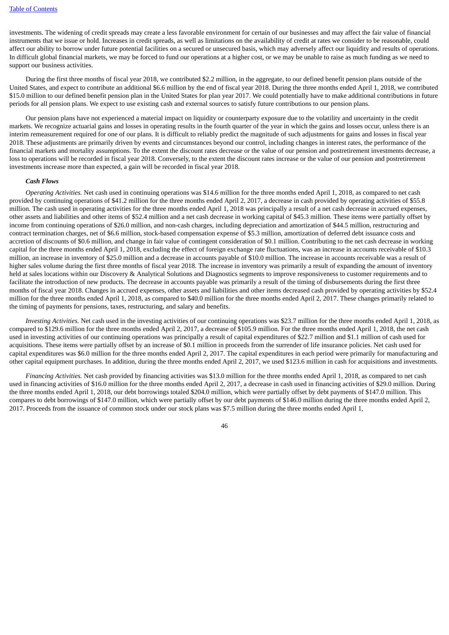investments. The widening of credit spreads may create a less favorable environment for certain of our businesses and may affect the fair value of financial instruments that we issue or hold. Increases in credit spreads, as well as limitations on the availability of credit at rates we consider to be reasonable, could affect our ability to borrow under future potential facilities on a secured or unsecured basis, which may adversely affect our liquidity and results of operations. In difficult global financial markets, we may be forced to fund our operations at a higher cost, or we may be unable to raise as much funding as we need to support our business activities.

During the first three months of fiscal year 2018, we contributed \$2.2 million, in the aggregate, to our defined benefit pension plans outside of the United States, and expect to contribute an additional \$6.6 million by the end of fiscal year 2018. During the three months ended April 1, 2018, we contributed \$15.0 million to our defined benefit pension plan in the United States for plan year 2017. We could potentially have to make additional contributions in future periods for all pension plans. We expect to use existing cash and external sources to satisfy future contributions to our pension plans.

Our pension plans have not experienced a material impact on liquidity or counterparty exposure due to the volatility and uncertainty in the credit markets. We recognize actuarial gains and losses in operating results in the fourth quarter of the year in which the gains and losses occur, unless there is an interim remeasurement required for one of our plans. It is difficult to reliably predict the magnitude of such adjustments for gains and losses in fiscal year 2018. These adjustments are primarily driven by events and circumstances beyond our control, including changes in interest rates, the performance of the financial markets and mortality assumptions. To the extent the discount rates decrease or the value of our pension and postretirement investments decrease, a loss to operations will be recorded in fiscal year 2018. Conversely, to the extent the discount rates increase or the value of our pension and postretirement investments increase more than expected, a gain will be recorded in fiscal year 2018.

#### *Cash Flows*

*Operating Activities.* Net cash used in continuing operations was \$14.6 million for the three months ended April 1, 2018, as compared to net cash provided by continuing operations of \$41.2 million for the three months ended April 2, 2017, a decrease in cash provided by operating activities of \$55.8 million. The cash used in operating activities for the three months ended April 1, 2018 was principally a result of a net cash decrease in accrued expenses, other assets and liabilities and other items of \$52.4 million and a net cash decrease in working capital of \$45.3 million. These items were partially offset by income from continuing operations of \$26.0 million, and non-cash charges, including depreciation and amortization of \$44.5 million, restructuring and contract termination charges, net of \$6.6 million, stock-based compensation expense of \$5.3 million, amortization of deferred debt issuance costs and accretion of discounts of \$0.6 million, and change in fair value of contingent consideration of \$0.1 million. Contributing to the net cash decrease in working capital for the three months ended April 1, 2018, excluding the effect of foreign exchange rate fluctuations, was an increase in accounts receivable of \$10.3 million, an increase in inventory of \$25.0 million and a decrease in accounts payable of \$10.0 million. The increase in accounts receivable was a result of higher sales volume during the first three months of fiscal year 2018. The increase in inventory was primarily a result of expanding the amount of inventory held at sales locations within our Discovery & Analytical Solutions and Diagnostics segments to improve responsiveness to customer requirements and to facilitate the introduction of new products. The decrease in accounts payable was primarily a result of the timing of disbursements during the first three months of fiscal year 2018. Changes in accrued expenses, other assets and liabilities and other items decreased cash provided by operating activities by \$52.4 million for the three months ended April 1, 2018, as compared to \$40.0 million for the three months ended April 2, 2017. These changes primarily related to the timing of payments for pensions, taxes, restructuring, and salary and benefits.

*Investing Activities.* Net cash used in the investing activities of our continuing operations was \$23.7 million for the three months ended April 1, 2018, as compared to \$129.6 million for the three months ended April 2, 2017, a decrease of \$105.9 million. For the three months ended April 1, 2018, the net cash used in investing activities of our continuing operations was principally a result of capital expenditures of \$22.7 million and \$1.1 million of cash used for acquisitions. These items were partially offset by an increase of \$0.1 million in proceeds from the surrender of life insurance policies. Net cash used for capital expenditures was \$6.0 million for the three months ended April 2, 2017. The capital expenditures in each period were primarily for manufacturing and other capital equipment purchases. In addition, during the three months ended April 2, 2017, we used \$123.6 million in cash for acquisitions and investments.

*Financing Activities.* Net cash provided by financing activities was \$13.0 million for the three months ended April 1, 2018, as compared to net cash used in financing activities of \$16.0 million for the three months ended April 2, 2017, a decrease in cash used in financing activities of \$29.0 million. During the three months ended April 1, 2018, our debt borrowings totaled \$204.0 million, which were partially offset by debt payments of \$147.0 million. This compares to debt borrowings of \$147.0 million, which were partially offset by our debt payments of \$146.0 million during the three months ended April 2, 2017. Proceeds from the issuance of common stock under our stock plans was \$7.5 million during the three months ended April 1,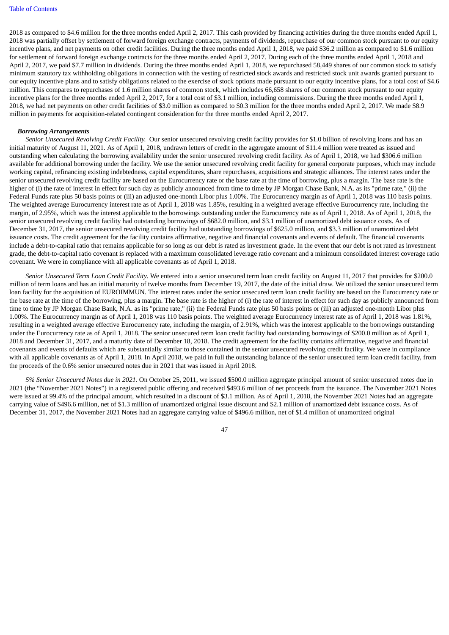2018 as compared to \$4.6 million for the three months ended April 2, 2017. This cash provided by financing activities during the three months ended April 1, 2018 was partially offset by settlement of forward foreign exchange contracts, payments of dividends, repurchase of our common stock pursuant to our equity incentive plans, and net payments on other credit facilities. During the three months ended April 1, 2018, we paid \$36.2 million as compared to \$1.6 million for settlement of forward foreign exchange contracts for the three months ended April 2, 2017. During each of the three months ended April 1, 2018 and April 2, 2017, we paid \$7.7 million in dividends. During the three months ended April 1, 2018, we repurchased 58,449 shares of our common stock to satisfy minimum statutory tax withholding obligations in connection with the vesting of restricted stock awards and restricted stock unit awards granted pursuant to our equity incentive plans and to satisfy obligations related to the exercise of stock options made pursuant to our equity incentive plans, for a total cost of \$4.6 million. This compares to repurchases of 1.6 million shares of common stock, which includes 66,658 shares of our common stock pursuant to our equity incentive plans for the three months ended April 2, 2017, for a total cost of \$3.1 million, including commissions. During the three months ended April 1, 2018, we had net payments on other credit facilities of \$3.0 million as compared to \$0.3 million for the three months ended April 2, 2017. We made \$8.9 million in payments for acquisition-related contingent consideration for the three months ended April 2, 2017.

#### *Borrowing Arrangements*

*Senior Unsecured Revolving Credit Facility.* Our senior unsecured revolving credit facility provides for \$1.0 billion of revolving loans and has an initial maturity of August 11, 2021. As of April 1, 2018, undrawn letters of credit in the aggregate amount of \$11.4 million were treated as issued and outstanding when calculating the borrowing availability under the senior unsecured revolving credit facility. As of April 1, 2018, we had \$306.6 million available for additional borrowing under the facility. We use the senior unsecured revolving credit facility for general corporate purposes, which may include working capital, refinancing existing indebtedness, capital expenditures, share repurchases, acquisitions and strategic alliances. The interest rates under the senior unsecured revolving credit facility are based on the Eurocurrency rate or the base rate at the time of borrowing, plus a margin. The base rate is the higher of (i) the rate of interest in effect for such day as publicly announced from time to time by JP Morgan Chase Bank, N.A. as its "prime rate," (ii) the Federal Funds rate plus 50 basis points or (iii) an adjusted one-month Libor plus 1.00%. The Eurocurrency margin as of April 1, 2018 was 110 basis points. The weighted average Eurocurrency interest rate as of April 1, 2018 was 1.85%, resulting in a weighted average effective Eurocurrency rate, including the margin, of 2.95%, which was the interest applicable to the borrowings outstanding under the Eurocurrency rate as of April 1, 2018. As of April 1, 2018, the senior unsecured revolving credit facility had outstanding borrowings of \$682.0 million, and \$3.1 million of unamortized debt issuance costs. As of December 31, 2017, the senior unsecured revolving credit facility had outstanding borrowings of \$625.0 million, and \$3.3 million of unamortized debt issuance costs. The credit agreement for the facility contains affirmative, negative and financial covenants and events of default. The financial covenants include a debt-to-capital ratio that remains applicable for so long as our debt is rated as investment grade. In the event that our debt is not rated as investment grade, the debt-to-capital ratio covenant is replaced with a maximum consolidated leverage ratio covenant and a minimum consolidated interest coverage ratio covenant. We were in compliance with all applicable covenants as of April 1, 2018.

*Senior Unsecured Term Loan Credit Facility*. We entered into a senior unsecured term loan credit facility on August 11, 2017 that provides for \$200.0 million of term loans and has an initial maturity of twelve months from December 19, 2017, the date of the initial draw. We utilized the senior unsecured term loan facility for the acquisition of EUROIMMUN. The interest rates under the senior unsecured term loan credit facility are based on the Eurocurrency rate or the base rate at the time of the borrowing, plus a margin. The base rate is the higher of (i) the rate of interest in effect for such day as publicly announced from time to time by JP Morgan Chase Bank, N.A. as its "prime rate," (ii) the Federal Funds rate plus 50 basis points or (iii) an adjusted one-month Libor plus 1.00%. The Eurocurrency margin as of April 1, 2018 was 110 basis points. The weighted average Eurocurrency interest rate as of April 1, 2018 was 1.81%, resulting in a weighted average effective Eurocurrency rate, including the margin, of 2.91%, which was the interest applicable to the borrowings outstanding under the Eurocurrency rate as of April 1, 2018. The senior unsecured term loan credit facility had outstanding borrowings of \$200.0 million as of April 1, 2018 and December 31, 2017, and a maturity date of December 18, 2018. The credit agreement for the facility contains affirmative, negative and financial covenants and events of defaults which are substantially similar to those contained in the senior unsecured revolving credit facility. We were in compliance with all applicable covenants as of April 1, 2018. In April 2018, we paid in full the outstanding balance of the senior unsecured term loan credit facility, from the proceeds of the 0.6% senior unsecured notes due in 2021 that was issued in April 2018.

*5% Senior Unsecured Notes due in 2021.* On October 25, 2011, we issued \$500.0 million aggregate principal amount of senior unsecured notes due in 2021 (the "November 2021 Notes") in a registered public offering and received \$493.6 million of net proceeds from the issuance. The November 2021 Notes were issued at 99.4% of the principal amount, which resulted in a discount of \$3.1 million. As of April 1, 2018, the November 2021 Notes had an aggregate carrying value of \$496.6 million, net of \$1.3 million of unamortized original issue discount and \$2.1 million of unamortized debt issuance costs. As of December 31, 2017, the November 2021 Notes had an aggregate carrying value of \$496.6 million, net of \$1.4 million of unamortized original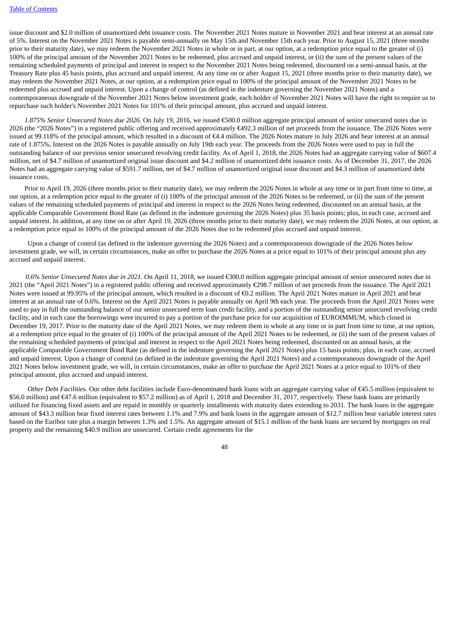issue discount and \$2.0 million of unamortized debt issuance costs. The November 2021 Notes mature in November 2021 and bear interest at an annual rate of 5%. Interest on the November 2021 Notes is payable semi-annually on May 15th and November 15th each year. Prior to August 15, 2021 (three months prior to their maturity date), we may redeem the November 2021 Notes in whole or in part, at our option, at a redemption price equal to the greater of (i) 100% of the principal amount of the November 2021 Notes to be redeemed, plus accrued and unpaid interest, or (ii) the sum of the present values of the remaining scheduled payments of principal and interest in respect to the November 2021 Notes being redeemed, discounted on a semi-annual basis, at the Treasury Rate plus 45 basis points, plus accrued and unpaid interest. At any time on or after August 15, 2021 (three months prior to their maturity date), we may redeem the November 2021 Notes, at our option, at a redemption price equal to 100% of the principal amount of the November 2021 Notes to be redeemed plus accrued and unpaid interest. Upon a change of control (as defined in the indenture governing the November 2021 Notes) and a contemporaneous downgrade of the November 2021 Notes below investment grade, each holder of November 2021 Notes will have the right to require us to repurchase such holder's November 2021 Notes for 101% of their principal amount, plus accrued and unpaid interest.

*1.875% Senior Unsecured Notes due 2026.* On July 19, 2016, we issued €500.0 million aggregate principal amount of senior unsecured notes due in 2026 (the "2026 Notes") in a registered public offering and received approximately €492.3 million of net proceeds from the issuance. The 2026 Notes were issued at 99.118% of the principal amount, which resulted in a discount of €4.4 million. The 2026 Notes mature in July 2026 and bear interest at an annual rate of 1.875%. Interest on the 2026 Notes is payable annually on July 19th each year. The proceeds from the 2026 Notes were used to pay in full the outstanding balance of our previous senior unsecured revolving credit facility. As of April 1, 2018, the 2026 Notes had an aggregate carrying value of \$607.4 million, net of \$4.7 million of unamortized original issue discount and \$4.2 million of unamortized debt issuance costs. As of December 31, 2017, the 2026 Notes had an aggregate carrying value of \$591.7 million, net of \$4.7 million of unamortized original issue discount and \$4.3 million of unamortized debt issuance costs.

Prior to April 19, 2026 (three months prior to their maturity date), we may redeem the 2026 Notes in whole at any time or in part from time to time, at our option, at a redemption price equal to the greater of (i) 100% of the principal amount of the 2026 Notes to be redeemed, or (ii) the sum of the present values of the remaining scheduled payments of principal and interest in respect to the 2026 Notes being redeemed, discounted on an annual basis, at the applicable Comparable Government Bond Rate (as defined in the indenture governing the 2026 Notes) plus 35 basis points; plus, in each case, accrued and unpaid interest. In addition, at any time on or after April 19, 2026 (three months prior to their maturity date), we may redeem the 2026 Notes, at our option, at a redemption price equal to 100% of the principal amount of the 2026 Notes due to be redeemed plus accrued and unpaid interest.

Upon a change of control (as defined in the indenture governing the 2026 Notes) and a contemporaneous downgrade of the 2026 Notes below investment grade, we will, in certain circumstances, make an offer to purchase the 2026 Notes at a price equal to 101% of their principal amount plus any accrued and unpaid interest.

*0.6% Senior Unsecured Notes due in 2021.* On April 11, 2018, we issued €300.0 million aggregate principal amount of senior unsecured notes due in 2021 (the "April 2021 Notes") in a registered public offering and received approximately €298.7 million of net proceeds from the issuance. The April 2021 Notes were issued at 99.95% of the principal amount, which resulted in a discount of €0.2 million. The April 2021 Notes mature in April 2021 and bear interest at an annual rate of 0.6%. Interest on the April 2021 Notes is payable annually on April 9th each year. The proceeds from the April 2021 Notes were used to pay in full the outstanding balance of our senior unsecured term loan credit facility, and a portion of the outstanding senior unsecured revolving credit facility, and in each case the borrowings were incurred to pay a portion of the purchase price for our acquisition of EUROIMMUM, which closed in December 19, 2017. Prior to the maturity date of the April 2021 Notes, we may redeem them in whole at any time or in part from time to time, at our option, at a redemption price equal to the greater of (i) 100% of the principal amount of the April 2021 Notes to be redeemed, or (ii) the sum of the present values of the remaining scheduled payments of principal and interest in respect to the April 2021 Notes being redeemed, discounted on an annual basis, at the applicable Comparable Government Bond Rate (as defined in the indenture governing the April 2021 Notes) plus 15 basis points; plus, in each case, accrued and unpaid interest. Upon a change of control (as defined in the indenture governing the April 2021 Notes) and a contemporaneous downgrade of the April 2021 Notes below investment grade, we will, in certain circumstances, make an offer to purchase the April 2021 Notes at a price equal to 101% of their principal amount, plus accrued and unpaid interest.

*Other Debt Facilities.* Our other debt facilities include Euro-denominated bank loans with an aggregate carrying value of €45.5 million (equivalent to \$56.0 million) and €47.6 million (equivalent to \$57.2 million) as of April 1, 2018 and December 31, 2017, respectively. These bank loans are primarily utilized for financing fixed assets and are repaid in monthly or quarterly installments with maturity dates extending to 2031. The bank loans in the aggregate amount of \$43.3 million bear fixed interest rates between 1.1% and 7.9% and bank loans in the aggregate amount of \$12.7 million bear variable interest rates based on the Euribor rate plus a margin between 1.3% and 1.5%. An aggregate amount of \$15.1 million of the bank loans are secured by mortgages on real property and the remaining \$40.9 million are unsecured. Certain credit agreements for the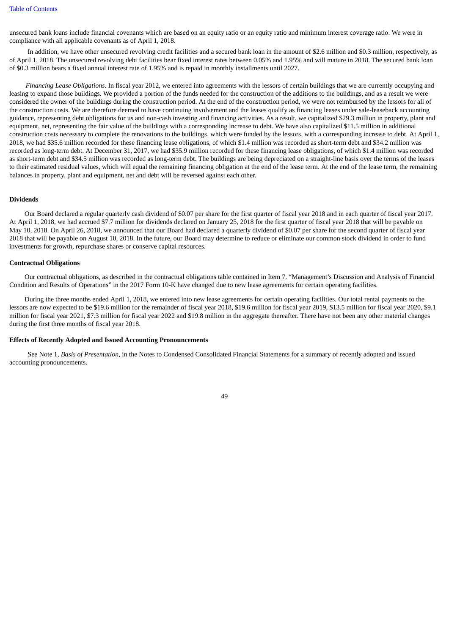unsecured bank loans include financial covenants which are based on an equity ratio or an equity ratio and minimum interest coverage ratio. We were in compliance with all applicable covenants as of April 1, 2018.

In addition, we have other unsecured revolving credit facilities and a secured bank loan in the amount of \$2.6 million and \$0.3 million, respectively, as of April 1, 2018. The unsecured revolving debt facilities bear fixed interest rates between 0.05% and 1.95% and will mature in 2018. The secured bank loan of \$0.3 million bears a fixed annual interest rate of 1.95% and is repaid in monthly installments until 2027.

*Financing Lease Obligations.* In fiscal year 2012, we entered into agreements with the lessors of certain buildings that we are currently occupying and leasing to expand those buildings. We provided a portion of the funds needed for the construction of the additions to the buildings, and as a result we were considered the owner of the buildings during the construction period. At the end of the construction period, we were not reimbursed by the lessors for all of the construction costs. We are therefore deemed to have continuing involvement and the leases qualify as financing leases under sale-leaseback accounting guidance, representing debt obligations for us and non-cash investing and financing activities. As a result, we capitalized \$29.3 million in property, plant and equipment, net, representing the fair value of the buildings with a corresponding increase to debt. We have also capitalized \$11.5 million in additional construction costs necessary to complete the renovations to the buildings, which were funded by the lessors, with a corresponding increase to debt. At April 1, 2018, we had \$35.6 million recorded for these financing lease obligations, of which \$1.4 million was recorded as short-term debt and \$34.2 million was recorded as long-term debt. At December 31, 2017, we had \$35.9 million recorded for these financing lease obligations, of which \$1.4 million was recorded as short-term debt and \$34.5 million was recorded as long-term debt. The buildings are being depreciated on a straight-line basis over the terms of the leases to their estimated residual values, which will equal the remaining financing obligation at the end of the lease term. At the end of the lease term, the remaining balances in property, plant and equipment, net and debt will be reversed against each other.

#### **Dividends**

Our Board declared a regular quarterly cash dividend of \$0.07 per share for the first quarter of fiscal year 2018 and in each quarter of fiscal year 2017. At April 1, 2018, we had accrued \$7.7 million for dividends declared on January 25, 2018 for the first quarter of fiscal year 2018 that will be payable on May 10, 2018. On April 26, 2018, we announced that our Board had declared a quarterly dividend of \$0.07 per share for the second quarter of fiscal year 2018 that will be payable on August 10, 2018. In the future, our Board may determine to reduce or eliminate our common stock dividend in order to fund investments for growth, repurchase shares or conserve capital resources.

## **Contractual Obligations**

Our contractual obligations, as described in the contractual obligations table contained in Item 7. "Management's Discussion and Analysis of Financial Condition and Results of Operations" in the 2017 Form 10-K have changed due to new lease agreements for certain operating facilities.

During the three months ended April 1, 2018, we entered into new lease agreements for certain operating facilities. Our total rental payments to the lessors are now expected to be \$19.6 million for the remainder of fiscal year 2018, \$19.6 million for fiscal year 2019, \$13.5 million for fiscal year 2020, \$9.1 million for fiscal year 2021, \$7.3 million for fiscal year 2022 and \$19.8 million in the aggregate thereafter. There have not been any other material changes during the first three months of fiscal year 2018.

#### **Effects of Recently Adopted and Issued Accounting Pronouncements**

See Note 1, *Basis of Presentation,* in the Notes to Condensed Consolidated Financial Statements for a summary of recently adopted and issued accounting pronouncements.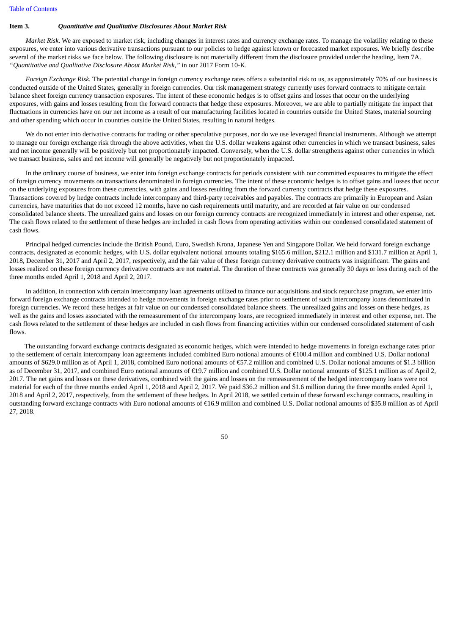# **Item 3.** *Quantitative and Qualitative Disclosures About Market Risk*

*Market Risk.* We are exposed to market risk, including changes in interest rates and currency exchange rates. To manage the volatility relating to these exposures, we enter into various derivative transactions pursuant to our policies to hedge against known or forecasted market exposures. We briefly describe several of the market risks we face below. The following disclosure is not materially different from the disclosure provided under the heading, Item 7A. *"Quantitative and Qualitative Disclosure About Market Risk,"* in our 2017 Form 10-K.

*Foreign Exchange Risk.* The potential change in foreign currency exchange rates offers a substantial risk to us, as approximately 70% of our business is conducted outside of the United States, generally in foreign currencies. Our risk management strategy currently uses forward contracts to mitigate certain balance sheet foreign currency transaction exposures. The intent of these economic hedges is to offset gains and losses that occur on the underlying exposures, with gains and losses resulting from the forward contracts that hedge these exposures. Moreover, we are able to partially mitigate the impact that fluctuations in currencies have on our net income as a result of our manufacturing facilities located in countries outside the United States, material sourcing and other spending which occur in countries outside the United States, resulting in natural hedges.

We do not enter into derivative contracts for trading or other speculative purposes, nor do we use leveraged financial instruments. Although we attempt to manage our foreign exchange risk through the above activities, when the U.S. dollar weakens against other currencies in which we transact business, sales and net income generally will be positively but not proportionately impacted. Conversely, when the U.S. dollar strengthens against other currencies in which we transact business, sales and net income will generally be negatively but not proportionately impacted.

In the ordinary course of business, we enter into foreign exchange contracts for periods consistent with our committed exposures to mitigate the effect of foreign currency movements on transactions denominated in foreign currencies. The intent of these economic hedges is to offset gains and losses that occur on the underlying exposures from these currencies, with gains and losses resulting from the forward currency contracts that hedge these exposures. Transactions covered by hedge contracts include intercompany and third-party receivables and payables. The contracts are primarily in European and Asian currencies, have maturities that do not exceed 12 months, have no cash requirements until maturity, and are recorded at fair value on our condensed consolidated balance sheets. The unrealized gains and losses on our foreign currency contracts are recognized immediately in interest and other expense, net. The cash flows related to the settlement of these hedges are included in cash flows from operating activities within our condensed consolidated statement of cash flows.

Principal hedged currencies include the British Pound, Euro, Swedish Krona, Japanese Yen and Singapore Dollar. We held forward foreign exchange contracts, designated as economic hedges, with U.S. dollar equivalent notional amounts totaling \$165.6 million, \$212.1 million and \$131.7 million at April 1, 2018, December 31, 2017 and April 2, 2017, respectively, and the fair value of these foreign currency derivative contracts was insignificant. The gains and losses realized on these foreign currency derivative contracts are not material. The duration of these contracts was generally 30 days or less during each of the three months ended April 1, 2018 and April 2, 2017.

In addition, in connection with certain intercompany loan agreements utilized to finance our acquisitions and stock repurchase program, we enter into forward foreign exchange contracts intended to hedge movements in foreign exchange rates prior to settlement of such intercompany loans denominated in foreign currencies. We record these hedges at fair value on our condensed consolidated balance sheets. The unrealized gains and losses on these hedges, as well as the gains and losses associated with the remeasurement of the intercompany loans, are recognized immediately in interest and other expense, net. The cash flows related to the settlement of these hedges are included in cash flows from financing activities within our condensed consolidated statement of cash flows.

The outstanding forward exchange contracts designated as economic hedges, which were intended to hedge movements in foreign exchange rates prior to the settlement of certain intercompany loan agreements included combined Euro notional amounts of €100.4 million and combined U.S. Dollar notional amounts of \$629.0 million as of April 1, 2018, combined Euro notional amounts of €57.2 million and combined U.S. Dollar notional amounts of \$1.3 billion as of December 31, 2017, and combined Euro notional amounts of €19.7 million and combined U.S. Dollar notional amounts of \$125.1 million as of April 2, 2017. The net gains and losses on these derivatives, combined with the gains and losses on the remeasurement of the hedged intercompany loans were not material for each of the three months ended April 1, 2018 and April 2, 2017. We paid \$36.2 million and \$1.6 million during the three months ended April 1, 2018 and April 2, 2017, respectively, from the settlement of these hedges. In April 2018, we settled certain of these forward exchange contracts, resulting in outstanding forward exchange contracts with Euro notional amounts of €16.9 million and combined U.S. Dollar notional amounts of \$35.8 million as of April 27, 2018.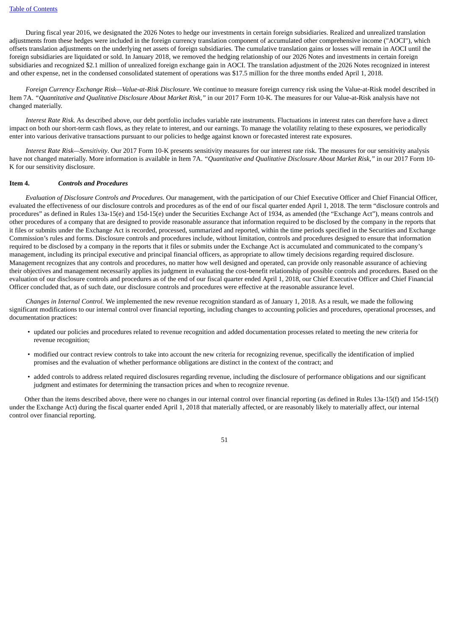During fiscal year 2016, we designated the 2026 Notes to hedge our investments in certain foreign subsidiaries. Realized and unrealized translation adjustments from these hedges were included in the foreign currency translation component of accumulated other comprehensive income ("AOCI"), which offsets translation adjustments on the underlying net assets of foreign subsidiaries. The cumulative translation gains or losses will remain in AOCI until the foreign subsidiaries are liquidated or sold. In January 2018, we removed the hedging relationship of our 2026 Notes and investments in certain foreign subsidiaries and recognized \$2.1 million of unrealized foreign exchange gain in AOCI. The translation adjustment of the 2026 Notes recognized in interest and other expense, net in the condensed consolidated statement of operations was \$17.5 million for the three months ended April 1, 2018.

*Foreign Currency Exchange Risk—Value-at-Risk Disclosure*. We continue to measure foreign currency risk using the Value-at-Risk model described in Item 7A. *"Quantitative and Qualitative Disclosure About Market Risk,"* in our 2017 Form 10-K. The measures for our Value-at-Risk analysis have not changed materially.

*Interest Rate Risk.* As described above, our debt portfolio includes variable rate instruments. Fluctuations in interest rates can therefore have a direct impact on both our short-term cash flows, as they relate to interest, and our earnings. To manage the volatility relating to these exposures, we periodically enter into various derivative transactions pursuant to our policies to hedge against known or forecasted interest rate exposures.

*Interest Rate Risk—Sensitivity*. Our 2017 Form 10-K presents sensitivity measures for our interest rate risk. The measures for our sensitivity analysis have not changed materially. More information is available in Item 7A. *"Quantitative and Qualitative Disclosure About Market Risk,"* in our 2017 Form 10- K for our sensitivity disclosure.

### **Item 4.** *Controls and Procedures*

*Evaluation of Disclosure Controls and Procedures.* Our management, with the participation of our Chief Executive Officer and Chief Financial Officer, evaluated the effectiveness of our disclosure controls and procedures as of the end of our fiscal quarter ended April 1, 2018. The term "disclosure controls and procedures" as defined in Rules 13a-15(e) and 15d-15(e) under the Securities Exchange Act of 1934, as amended (the "Exchange Act"), means controls and other procedures of a company that are designed to provide reasonable assurance that information required to be disclosed by the company in the reports that it files or submits under the Exchange Act is recorded, processed, summarized and reported, within the time periods specified in the Securities and Exchange Commission's rules and forms. Disclosure controls and procedures include, without limitation, controls and procedures designed to ensure that information required to be disclosed by a company in the reports that it files or submits under the Exchange Act is accumulated and communicated to the company's management, including its principal executive and principal financial officers, as appropriate to allow timely decisions regarding required disclosure. Management recognizes that any controls and procedures, no matter how well designed and operated, can provide only reasonable assurance of achieving their objectives and management necessarily applies its judgment in evaluating the cost-benefit relationship of possible controls and procedures. Based on the evaluation of our disclosure controls and procedures as of the end of our fiscal quarter ended April 1, 2018, our Chief Executive Officer and Chief Financial Officer concluded that, as of such date, our disclosure controls and procedures were effective at the reasonable assurance level.

*Changes in Internal Control.* We implemented the new revenue recognition standard as of January 1, 2018. As a result, we made the following significant modifications to our internal control over financial reporting, including changes to accounting policies and procedures, operational processes, and documentation practices:

- updated our policies and procedures related to revenue recognition and added documentation processes related to meeting the new criteria for revenue recognition;
- modified our contract review controls to take into account the new criteria for recognizing revenue, specifically the identification of implied promises and the evaluation of whether performance obligations are distinct in the context of the contract; and
- added controls to address related required disclosures regarding revenue, including the disclosure of performance obligations and our significant judgment and estimates for determining the transaction prices and when to recognize revenue.

Other than the items described above, there were no changes in our internal control over financial reporting (as defined in Rules 13a-15(f) and 15d-15(f) under the Exchange Act) during the fiscal quarter ended April 1, 2018 that materially affected, or are reasonably likely to materially affect, our internal control over financial reporting.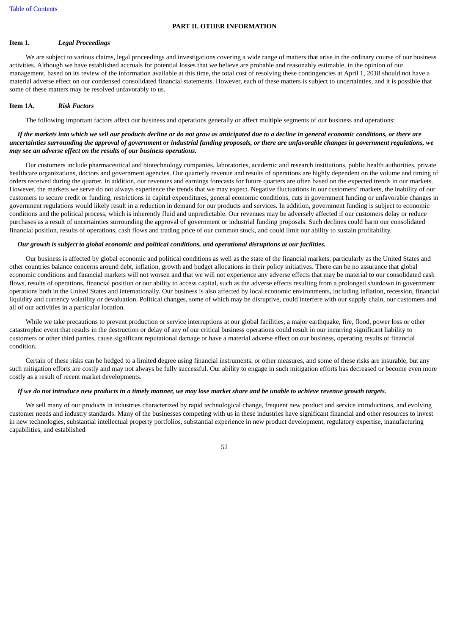## **PART II. OTHER INFORMATION**

## **Item 1.** *Legal Proceedings*

We are subject to various claims, legal proceedings and investigations covering a wide range of matters that arise in the ordinary course of our business activities. Although we have established accruals for potential losses that we believe are probable and reasonably estimable, in the opinion of our management, based on its review of the information available at this time, the total cost of resolving these contingencies at April 1, 2018 should not have a material adverse effect on our condensed consolidated financial statements. However, each of these matters is subject to uncertainties, and it is possible that some of these matters may be resolved unfavorably to us.

### **Item 1A.** *Risk Factors*

The following important factors affect our business and operations generally or affect multiple segments of our business and operations:

## If the markets into which we sell our products decline or do not grow as anticipated due to a decline in general economic conditions, or there are uncertainties surrounding the approval of government or industrial funding proposals, or there are unfavorable changes in government regulations, we *may see an adverse effect on the results of our business operations.*

Our customers include pharmaceutical and biotechnology companies, laboratories, academic and research institutions, public health authorities, private healthcare organizations, doctors and government agencies. Our quarterly revenue and results of operations are highly dependent on the volume and timing of orders received during the quarter. In addition, our revenues and earnings forecasts for future quarters are often based on the expected trends in our markets. However, the markets we serve do not always experience the trends that we may expect. Negative fluctuations in our customers' markets, the inability of our customers to secure credit or funding, restrictions in capital expenditures, general economic conditions, cuts in government funding or unfavorable changes in government regulations would likely result in a reduction in demand for our products and services. In addition, government funding is subject to economic conditions and the political process, which is inherently fluid and unpredictable. Our revenues may be adversely affected if our customers delay or reduce purchases as a result of uncertainties surrounding the approval of government or industrial funding proposals. Such declines could harm our consolidated financial position, results of operations, cash flows and trading price of our common stock, and could limit our ability to sustain profitability.

### Our growth is subject to alobal economic and political conditions, and operational disruptions at our facilities.

Our business is affected by global economic and political conditions as well as the state of the financial markets, particularly as the United States and other countries balance concerns around debt, inflation, growth and budget allocations in their policy initiatives. There can be no assurance that global economic conditions and financial markets will not worsen and that we will not experience any adverse effects that may be material to our consolidated cash flows, results of operations, financial position or our ability to access capital, such as the adverse effects resulting from a prolonged shutdown in government operations both in the United States and internationally. Our business is also affected by local economic environments, including inflation, recession, financial liquidity and currency volatility or devaluation. Political changes, some of which may be disruptive, could interfere with our supply chain, our customers and all of our activities in a particular location.

While we take precautions to prevent production or service interruptions at our global facilities, a major earthquake, fire, flood, power loss or other catastrophic event that results in the destruction or delay of any of our critical business operations could result in our incurring significant liability to customers or other third parties, cause significant reputational damage or have a material adverse effect on our business, operating results or financial condition.

Certain of these risks can be hedged to a limited degree using financial instruments, or other measures, and some of these risks are insurable, but any such mitigation efforts are costly and may not always be fully successful. Our ability to engage in such mitigation efforts has decreased or become even more costly as a result of recent market developments.

## If we do not introduce new products in a timely manner, we may lose market share and be unable to achieve revenue growth targets.

We sell many of our products in industries characterized by rapid technological change, frequent new product and service introductions, and evolving customer needs and industry standards. Many of the businesses competing with us in these industries have significant financial and other resources to invest in new technologies, substantial intellectual property portfolios, substantial experience in new product development, regulatory expertise, manufacturing capabilities, and established

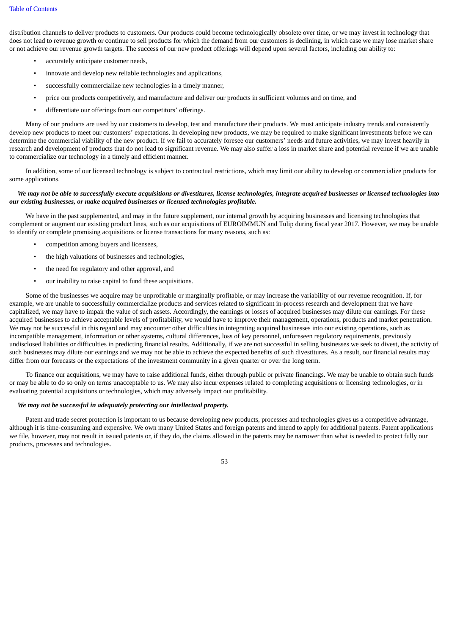distribution channels to deliver products to customers. Our products could become technologically obsolete over time, or we may invest in technology that does not lead to revenue growth or continue to sell products for which the demand from our customers is declining, in which case we may lose market share or not achieve our revenue growth targets. The success of our new product offerings will depend upon several factors, including our ability to:

- accurately anticipate customer needs,
- innovate and develop new reliable technologies and applications,
- successfully commercialize new technologies in a timely manner,
- price our products competitively, and manufacture and deliver our products in sufficient volumes and on time, and
- differentiate our offerings from our competitors' offerings.

Many of our products are used by our customers to develop, test and manufacture their products. We must anticipate industry trends and consistently develop new products to meet our customers' expectations. In developing new products, we may be required to make significant investments before we can determine the commercial viability of the new product. If we fail to accurately foresee our customers' needs and future activities, we may invest heavily in research and development of products that do not lead to significant revenue. We may also suffer a loss in market share and potential revenue if we are unable to commercialize our technology in a timely and efficient manner.

In addition, some of our licensed technology is subject to contractual restrictions, which may limit our ability to develop or commercialize products for some applications.

# We may not be able to successfully execute acquisitions or divestitures, license technologies, integrate acquired businesses or licensed technologies into *our existing businesses, or make acquired businesses or licensed technologies profitable.*

We have in the past supplemented, and may in the future supplement, our internal growth by acquiring businesses and licensing technologies that complement or augment our existing product lines, such as our acquisitions of EUROIMMUN and Tulip during fiscal year 2017. However, we may be unable to identify or complete promising acquisitions or license transactions for many reasons, such as:

- competition among buyers and licensees,
- the high valuations of businesses and technologies,
- the need for regulatory and other approval, and
- our inability to raise capital to fund these acquisitions.

Some of the businesses we acquire may be unprofitable or marginally profitable, or may increase the variability of our revenue recognition. If, for example, we are unable to successfully commercialize products and services related to significant in-process research and development that we have capitalized, we may have to impair the value of such assets. Accordingly, the earnings or losses of acquired businesses may dilute our earnings. For these acquired businesses to achieve acceptable levels of profitability, we would have to improve their management, operations, products and market penetration. We may not be successful in this regard and may encounter other difficulties in integrating acquired businesses into our existing operations, such as incompatible management, information or other systems, cultural differences, loss of key personnel, unforeseen regulatory requirements, previously undisclosed liabilities or difficulties in predicting financial results. Additionally, if we are not successful in selling businesses we seek to divest, the activity of such businesses may dilute our earnings and we may not be able to achieve the expected benefits of such divestitures. As a result, our financial results may differ from our forecasts or the expectations of the investment community in a given quarter or over the long term.

To finance our acquisitions, we may have to raise additional funds, either through public or private financings. We may be unable to obtain such funds or may be able to do so only on terms unacceptable to us. We may also incur expenses related to completing acquisitions or licensing technologies, or in evaluating potential acquisitions or technologies, which may adversely impact our profitability.

### *We may not be successful in adequately protecting our intellectual property.*

Patent and trade secret protection is important to us because developing new products, processes and technologies gives us a competitive advantage, although it is time-consuming and expensive. We own many United States and foreign patents and intend to apply for additional patents. Patent applications we file, however, may not result in issued patents or, if they do, the claims allowed in the patents may be narrower than what is needed to protect fully our products, processes and technologies.

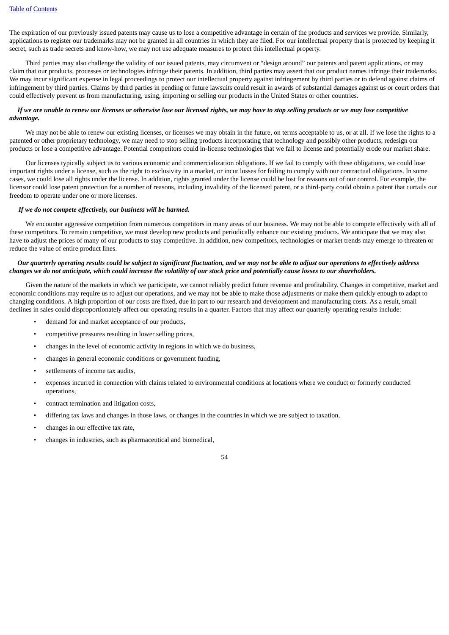The expiration of our previously issued patents may cause us to lose a competitive advantage in certain of the products and services we provide. Similarly, applications to register our trademarks may not be granted in all countries in which they are filed. For our intellectual property that is protected by keeping it secret, such as trade secrets and know-how, we may not use adequate measures to protect this intellectual property.

Third parties may also challenge the validity of our issued patents, may circumvent or "design around" our patents and patent applications, or may claim that our products, processes or technologies infringe their patents. In addition, third parties may assert that our product names infringe their trademarks. We may incur significant expense in legal proceedings to protect our intellectual property against infringement by third parties or to defend against claims of infringement by third parties. Claims by third parties in pending or future lawsuits could result in awards of substantial damages against us or court orders that could effectively prevent us from manufacturing, using, importing or selling our products in the United States or other countries.

## If we are unable to renew our licenses or otherwise lose our licensed rights, we may have to stop selling products or we may lose competitive *advantage.*

We may not be able to renew our existing licenses, or licenses we may obtain in the future, on terms acceptable to us, or at all. If we lose the rights to a patented or other proprietary technology, we may need to stop selling products incorporating that technology and possibly other products, redesign our products or lose a competitive advantage. Potential competitors could in-license technologies that we fail to license and potentially erode our market share.

Our licenses typically subject us to various economic and commercialization obligations. If we fail to comply with these obligations, we could lose important rights under a license, such as the right to exclusivity in a market, or incur losses for failing to comply with our contractual obligations. In some cases, we could lose all rights under the license. In addition, rights granted under the license could be lost for reasons out of our control. For example, the licensor could lose patent protection for a number of reasons, including invalidity of the licensed patent, or a third-party could obtain a patent that curtails our freedom to operate under one or more licenses.

# *If we do not compete effectively, our business will be harmed.*

We encounter aggressive competition from numerous competitors in many areas of our business. We may not be able to compete effectively with all of these competitors. To remain competitive, we must develop new products and periodically enhance our existing products. We anticipate that we may also have to adjust the prices of many of our products to stay competitive. In addition, new competitors, technologies or market trends may emerge to threaten or reduce the value of entire product lines.

## Our quarterly operating results could be subject to significant fluctuation, and we may not be able to adjust our operations to effectively address changes we do not anticipate, which could increase the volatility of our stock price and potentially cause losses to our shareholders.

Given the nature of the markets in which we participate, we cannot reliably predict future revenue and profitability. Changes in competitive, market and economic conditions may require us to adjust our operations, and we may not be able to make those adjustments or make them quickly enough to adapt to changing conditions. A high proportion of our costs are fixed, due in part to our research and development and manufacturing costs. As a result, small declines in sales could disproportionately affect our operating results in a quarter. Factors that may affect our quarterly operating results include:

- demand for and market acceptance of our products,
- competitive pressures resulting in lower selling prices,
- changes in the level of economic activity in regions in which we do business,
- changes in general economic conditions or government funding,
- settlements of income tax audits,
- expenses incurred in connection with claims related to environmental conditions at locations where we conduct or formerly conducted operations,
- contract termination and litigation costs,
- differing tax laws and changes in those laws, or changes in the countries in which we are subject to taxation,
- changes in our effective tax rate,
- changes in industries, such as pharmaceutical and biomedical,

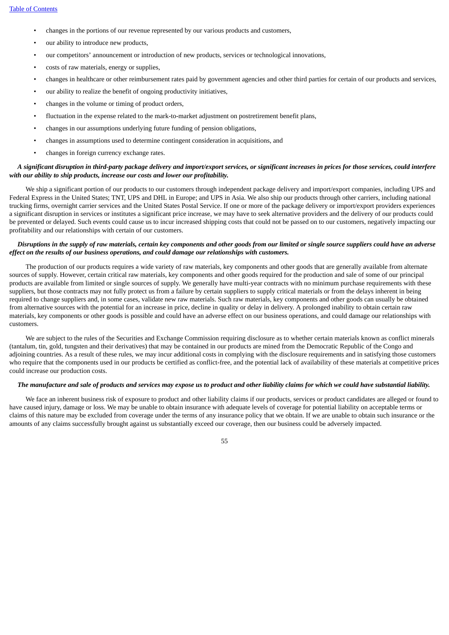- changes in the portions of our revenue represented by our various products and customers,
- our ability to introduce new products,
- our competitors' announcement or introduction of new products, services or technological innovations,
- costs of raw materials, energy or supplies,
- changes in healthcare or other reimbursement rates paid by government agencies and other third parties for certain of our products and services,
- our ability to realize the benefit of ongoing productivity initiatives,
- changes in the volume or timing of product orders,
- fluctuation in the expense related to the mark-to-market adjustment on postretirement benefit plans,
- changes in our assumptions underlying future funding of pension obligations,
- changes in assumptions used to determine contingent consideration in acquisitions, and
- changes in foreign currency exchange rates.

# A significant disruption in third-party package delivery and import/export services, or significant increases in prices for those services, could interfere *with our ability to ship products, increase our costs and lower our profitability.*

We ship a significant portion of our products to our customers through independent package delivery and import/export companies, including UPS and Federal Express in the United States; TNT, UPS and DHL in Europe; and UPS in Asia. We also ship our products through other carriers, including national trucking firms, overnight carrier services and the United States Postal Service. If one or more of the package delivery or import/export providers experiences a significant disruption in services or institutes a significant price increase, we may have to seek alternative providers and the delivery of our products could be prevented or delayed. Such events could cause us to incur increased shipping costs that could not be passed on to our customers, negatively impacting our profitability and our relationships with certain of our customers.

# Disruptions in the supply of raw materials, certain key components and other goods from our limited or single source suppliers could have an adverse *effect on the results of our business operations, and could damage our relationships with customers.*

The production of our products requires a wide variety of raw materials, key components and other goods that are generally available from alternate sources of supply. However, certain critical raw materials, key components and other goods required for the production and sale of some of our principal products are available from limited or single sources of supply. We generally have multi-year contracts with no minimum purchase requirements with these suppliers, but those contracts may not fully protect us from a failure by certain suppliers to supply critical materials or from the delays inherent in being required to change suppliers and, in some cases, validate new raw materials. Such raw materials, key components and other goods can usually be obtained from alternative sources with the potential for an increase in price, decline in quality or delay in delivery. A prolonged inability to obtain certain raw materials, key components or other goods is possible and could have an adverse effect on our business operations, and could damage our relationships with customers.

We are subject to the rules of the Securities and Exchange Commission requiring disclosure as to whether certain materials known as conflict minerals (tantalum, tin, gold, tungsten and their derivatives) that may be contained in our products are mined from the Democratic Republic of the Congo and adjoining countries. As a result of these rules, we may incur additional costs in complying with the disclosure requirements and in satisfying those customers who require that the components used in our products be certified as conflict-free, and the potential lack of availability of these materials at competitive prices could increase our production costs.

# The manufacture and sale of products and services may expose us to product and other liability claims for which we could have substantial liability.

We face an inherent business risk of exposure to product and other liability claims if our products, services or product candidates are alleged or found to have caused injury, damage or loss. We may be unable to obtain insurance with adequate levels of coverage for potential liability on acceptable terms or claims of this nature may be excluded from coverage under the terms of any insurance policy that we obtain. If we are unable to obtain such insurance or the amounts of any claims successfully brought against us substantially exceed our coverage, then our business could be adversely impacted.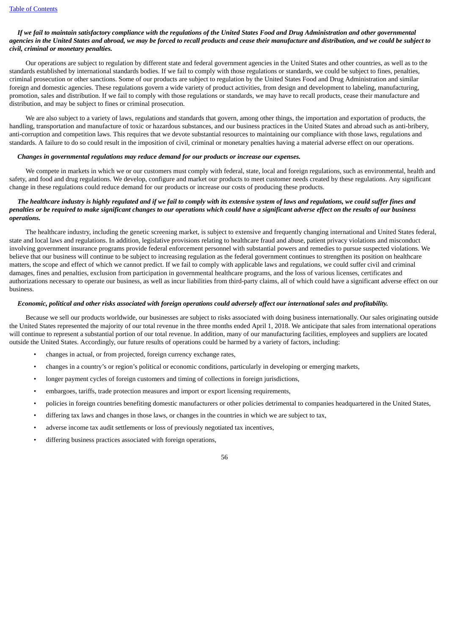## If we fail to maintain satisfactory compliance with the regulations of the United States Food and Drug Administration and other governmental agencies in the United States and abroad, we may be forced to recall products and cease their manufacture and distribution, and we could be subject to *civil, criminal or monetary penalties.*

Our operations are subject to regulation by different state and federal government agencies in the United States and other countries, as well as to the standards established by international standards bodies. If we fail to comply with those regulations or standards, we could be subject to fines, penalties, criminal prosecution or other sanctions. Some of our products are subject to regulation by the United States Food and Drug Administration and similar foreign and domestic agencies. These regulations govern a wide variety of product activities, from design and development to labeling, manufacturing, promotion, sales and distribution. If we fail to comply with those regulations or standards, we may have to recall products, cease their manufacture and distribution, and may be subject to fines or criminal prosecution.

We are also subject to a variety of laws, regulations and standards that govern, among other things, the importation and exportation of products, the handling, transportation and manufacture of toxic or hazardous substances, and our business practices in the United States and abroad such as anti-bribery, anti-corruption and competition laws. This requires that we devote substantial resources to maintaining our compliance with those laws, regulations and standards. A failure to do so could result in the imposition of civil, criminal or monetary penalties having a material adverse effect on our operations.

### *Changes in governmental regulations may reduce demand for our products or increase our expenses.*

We compete in markets in which we or our customers must comply with federal, state, local and foreign regulations, such as environmental, health and safety, and food and drug regulations. We develop, configure and market our products to meet customer needs created by these regulations. Any significant change in these regulations could reduce demand for our products or increase our costs of producing these products.

## The healthcare industry is highly regulated and if we fail to comply with its extensive system of laws and regulations, we could suffer fines and penalties or be required to make significant changes to our operations which could have a significant adverse effect on the results of our business *operations.*

The healthcare industry, including the genetic screening market, is subject to extensive and frequently changing international and United States federal, state and local laws and regulations. In addition, legislative provisions relating to healthcare fraud and abuse, patient privacy violations and misconduct involving government insurance programs provide federal enforcement personnel with substantial powers and remedies to pursue suspected violations. We believe that our business will continue to be subject to increasing regulation as the federal government continues to strengthen its position on healthcare matters, the scope and effect of which we cannot predict. If we fail to comply with applicable laws and regulations, we could suffer civil and criminal damages, fines and penalties, exclusion from participation in governmental healthcare programs, and the loss of various licenses, certificates and authorizations necessary to operate our business, as well as incur liabilities from third-party claims, all of which could have a significant adverse effect on our business.

### Economic, political and other risks associated with foreign operations could adversely affect our international sales and profitability.

Because we sell our products worldwide, our businesses are subject to risks associated with doing business internationally. Our sales originating outside the United States represented the majority of our total revenue in the three months ended April 1, 2018. We anticipate that sales from international operations will continue to represent a substantial portion of our total revenue. In addition, many of our manufacturing facilities, employees and suppliers are located outside the United States. Accordingly, our future results of operations could be harmed by a variety of factors, including:

- changes in actual, or from projected, foreign currency exchange rates,
- changes in a country's or region's political or economic conditions, particularly in developing or emerging markets,
- longer payment cycles of foreign customers and timing of collections in foreign jurisdictions,
- embargoes, tariffs, trade protection measures and import or export licensing requirements,
- policies in foreign countries benefiting domestic manufacturers or other policies detrimental to companies headquartered in the United States,
- differing tax laws and changes in those laws, or changes in the countries in which we are subject to tax,
- adverse income tax audit settlements or loss of previously negotiated tax incentives,
- differing business practices associated with foreign operations,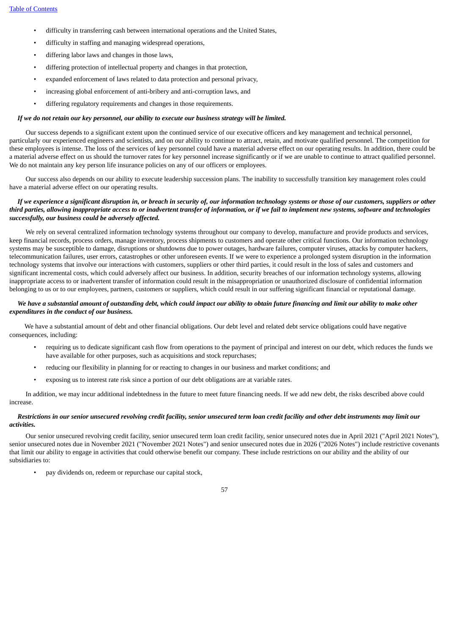- difficulty in transferring cash between international operations and the United States,
- difficulty in staffing and managing widespread operations,
- differing labor laws and changes in those laws,
- differing protection of intellectual property and changes in that protection,
- expanded enforcement of laws related to data protection and personal privacy,
- increasing global enforcement of anti-bribery and anti-corruption laws, and
- differing regulatory requirements and changes in those requirements.

# If we do not retain our key personnel, our ability to execute our business strategy will be limited.

Our success depends to a significant extent upon the continued service of our executive officers and key management and technical personnel, particularly our experienced engineers and scientists, and on our ability to continue to attract, retain, and motivate qualified personnel. The competition for these employees is intense. The loss of the services of key personnel could have a material adverse effect on our operating results. In addition, there could be a material adverse effect on us should the turnover rates for key personnel increase significantly or if we are unable to continue to attract qualified personnel. We do not maintain any key person life insurance policies on any of our officers or employees.

Our success also depends on our ability to execute leadership succession plans. The inability to successfully transition key management roles could have a material adverse effect on our operating results.

# If we experience a significant disruption in, or breach in security of, our information technology systems or those of our customers, suppliers or other third parties, allowing inappropriate access to or inadvertent transfer of information, or if we fail to implement new systems, software and technologies *successfully, our business could be adversely affected.*

We rely on several centralized information technology systems throughout our company to develop, manufacture and provide products and services, keep financial records, process orders, manage inventory, process shipments to customers and operate other critical functions. Our information technology systems may be susceptible to damage, disruptions or shutdowns due to power outages, hardware failures, computer viruses, attacks by computer hackers, telecommunication failures, user errors, catastrophes or other unforeseen events. If we were to experience a prolonged system disruption in the information technology systems that involve our interactions with customers, suppliers or other third parties, it could result in the loss of sales and customers and significant incremental costs, which could adversely affect our business. In addition, security breaches of our information technology systems, allowing inappropriate access to or inadvertent transfer of information could result in the misappropriation or unauthorized disclosure of confidential information belonging to us or to our employees, partners, customers or suppliers, which could result in our suffering significant financial or reputational damage.

# We have a substantial amount of outstanding debt, which could impact our ability to obtain future financing and limit our ability to make other *expenditures in the conduct of our business.*

We have a substantial amount of debt and other financial obligations. Our debt level and related debt service obligations could have negative consequences, including:

- requiring us to dedicate significant cash flow from operations to the payment of principal and interest on our debt, which reduces the funds we have available for other purposes, such as acquisitions and stock repurchases;
- reducing our flexibility in planning for or reacting to changes in our business and market conditions; and
- exposing us to interest rate risk since a portion of our debt obligations are at variable rates.

In addition, we may incur additional indebtedness in the future to meet future financing needs. If we add new debt, the risks described above could increase.

# Restrictions in our senior unsecured revolving credit facility, senior unsecured term loan credit facility and other debt instruments may limit our *activities.*

Our senior unsecured revolving credit facility, senior unsecured term loan credit facility, senior unsecured notes due in April 2021 ("April 2021 Notes"), senior unsecured notes due in November 2021 ("November 2021 Notes") and senior unsecured notes due in 2026 ("2026 Notes") include restrictive covenants that limit our ability to engage in activities that could otherwise benefit our company. These include restrictions on our ability and the ability of our subsidiaries to:

• pay dividends on, redeem or repurchase our capital stock,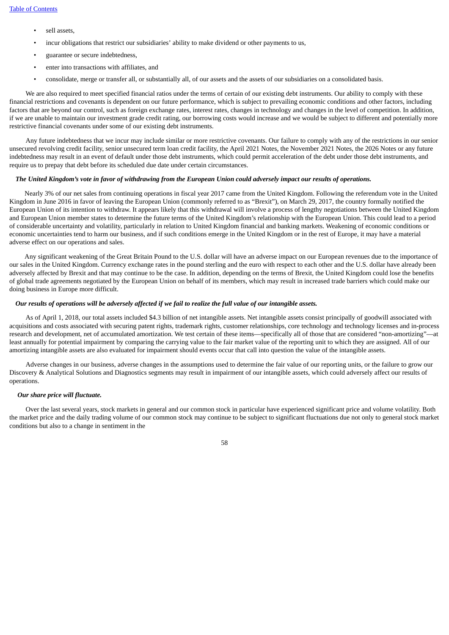- sell assets.
- incur obligations that restrict our subsidiaries' ability to make dividend or other payments to us,
- guarantee or secure indebtedness,
- enter into transactions with affiliates, and
- consolidate, merge or transfer all, or substantially all, of our assets and the assets of our subsidiaries on a consolidated basis.

We are also required to meet specified financial ratios under the terms of certain of our existing debt instruments. Our ability to comply with these financial restrictions and covenants is dependent on our future performance, which is subject to prevailing economic conditions and other factors, including factors that are beyond our control, such as foreign exchange rates, interest rates, changes in technology and changes in the level of competition. In addition, if we are unable to maintain our investment grade credit rating, our borrowing costs would increase and we would be subject to different and potentially more restrictive financial covenants under some of our existing debt instruments.

Any future indebtedness that we incur may include similar or more restrictive covenants. Our failure to comply with any of the restrictions in our senior unsecured revolving credit facility, senior unsecured term loan credit facility, the April 2021 Notes, the November 2021 Notes, the 2026 Notes or any future indebtedness may result in an event of default under those debt instruments, which could permit acceleration of the debt under those debt instruments, and require us to prepay that debt before its scheduled due date under certain circumstances.

#### The United Kingdom's vote in favor of withdrawing from the European Union could adversely impact our results of operations.

Nearly 3% of our net sales from continuing operations in fiscal year 2017 came from the United Kingdom. Following the referendum vote in the United Kingdom in June 2016 in favor of leaving the European Union (commonly referred to as "Brexit"), on March 29, 2017, the country formally notified the European Union of its intention to withdraw. It appears likely that this withdrawal will involve a process of lengthy negotiations between the United Kingdom and European Union member states to determine the future terms of the United Kingdom's relationship with the European Union. This could lead to a period of considerable uncertainty and volatility, particularly in relation to United Kingdom financial and banking markets. Weakening of economic conditions or economic uncertainties tend to harm our business, and if such conditions emerge in the United Kingdom or in the rest of Europe, it may have a material adverse effect on our operations and sales.

Any significant weakening of the Great Britain Pound to the U.S. dollar will have an adverse impact on our European revenues due to the importance of our sales in the United Kingdom. Currency exchange rates in the pound sterling and the euro with respect to each other and the U.S. dollar have already been adversely affected by Brexit and that may continue to be the case. In addition, depending on the terms of Brexit, the United Kingdom could lose the benefits of global trade agreements negotiated by the European Union on behalf of its members, which may result in increased trade barriers which could make our doing business in Europe more difficult.

## Our results of operations will be adversely affected if we fail to realize the full value of our intangible assets.

As of April 1, 2018, our total assets included \$4.3 billion of net intangible assets. Net intangible assets consist principally of goodwill associated with acquisitions and costs associated with securing patent rights, trademark rights, customer relationships, core technology and technology licenses and in-process research and development, net of accumulated amortization. We test certain of these items—specifically all of those that are considered "non-amortizing"—at least annually for potential impairment by comparing the carrying value to the fair market value of the reporting unit to which they are assigned. All of our amortizing intangible assets are also evaluated for impairment should events occur that call into question the value of the intangible assets.

Adverse changes in our business, adverse changes in the assumptions used to determine the fair value of our reporting units, or the failure to grow our Discovery & Analytical Solutions and Diagnostics segments may result in impairment of our intangible assets, which could adversely affect our results of operations.

#### *Our share price will fluctuate.*

Over the last several years, stock markets in general and our common stock in particular have experienced significant price and volume volatility. Both the market price and the daily trading volume of our common stock may continue to be subject to significant fluctuations due not only to general stock market conditions but also to a change in sentiment in the

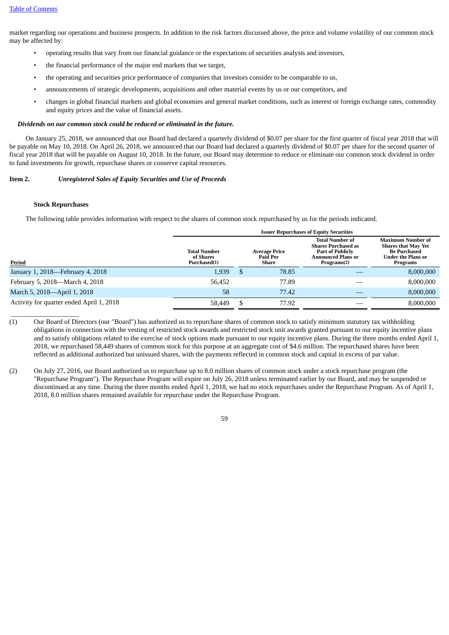market regarding our operations and business prospects. In addition to the risk factors discussed above, the price and volume volatility of our common stock may be affected by:

- operating results that vary from our financial guidance or the expectations of securities analysts and investors,
- the financial performance of the major end markets that we target,
- the operating and securities price performance of companies that investors consider to be comparable to us,
- announcements of strategic developments, acquisitions and other material events by us or our competitors, and
- changes in global financial markets and global economies and general market conditions, such as interest or foreign exchange rates, commodity and equity prices and the value of financial assets.

#### *Dividends on our common stock could be reduced or eliminated in the future.*

On January 25, 2018, we announced that our Board had declared a quarterly dividend of \$0.07 per share for the first quarter of fiscal year 2018 that will be payable on May 10, 2018. On April 26, 2018, we announced that our Board had declared a quarterly dividend of \$0.07 per share for the second quarter of fiscal year 2018 that will be payable on August 10, 2018. In the future, our Board may determine to reduce or eliminate our common stock dividend in order to fund investments for growth, repurchase shares or conserve capital resources.

### **Item 2.** *Unregistered Sales of Equity Securities and Use of Proceeds*

### **Stock Repurchases**

 $\_$ 

The following table provides information with respect to the shares of common stock repurchased by us for the periods indicated.

|                                          | <b>Issuer Repurchases of Equity Securities</b>   |    |                                                  |                                                                                                                                         |                                                                                                                 |  |  |
|------------------------------------------|--------------------------------------------------|----|--------------------------------------------------|-----------------------------------------------------------------------------------------------------------------------------------------|-----------------------------------------------------------------------------------------------------------------|--|--|
| <b>Period</b>                            | <b>Total Number</b><br>of Shares<br>Purchased(1) |    | <b>Average Price</b><br><b>Paid Per</b><br>Share | <b>Total Number of</b><br><b>Shares Purchased as</b><br><b>Part of Publicly</b><br><b>Announced Plans or</b><br>Programs <sup>(2)</sup> | <b>Maximum Number of</b><br><b>Shares that May Yet</b><br><b>Be Purchased</b><br>Under the Plans or<br>Programs |  |  |
| January 1, 2018—February 4, 2018         | 1,939                                            | -S | 78.85                                            |                                                                                                                                         | 8,000,000                                                                                                       |  |  |
| February 5, 2018—March 4, 2018           | 56.452                                           |    | 77.89                                            |                                                                                                                                         | 8,000,000                                                                                                       |  |  |
| March 5, 2018—April 1, 2018              | 58                                               |    | 77.42                                            |                                                                                                                                         | 8,000,000                                                                                                       |  |  |
| Activity for quarter ended April 1, 2018 | 58.449                                           | -S | 77.92                                            |                                                                                                                                         | 8,000,000                                                                                                       |  |  |

(1) Our Board of Directors (our "Board") has authorized us to repurchase shares of common stock to satisfy minimum statutory tax withholding obligations in connection with the vesting of restricted stock awards and restricted stock unit awards granted pursuant to our equity incentive plans and to satisfy obligations related to the exercise of stock options made pursuant to our equity incentive plans. During the three months ended April 1, 2018, we repurchased 58,449 shares of common stock for this purpose at an aggregate cost of \$4.6 million. The repurchased shares have been reflected as additional authorized but unissued shares, with the payments reflected in common stock and capital in excess of par value.

(2) On July 27, 2016, our Board authorized us to repurchase up to 8.0 million shares of common stock under a stock repurchase program (the "Repurchase Program"). The Repurchase Program will expire on July 26, 2018 unless terminated earlier by our Board, and may be suspended or discontinued at any time. During the three months ended April 1, 2018, we had no stock repurchases under the Repurchase Program. As of April 1, 2018, 8.0 million shares remained available for repurchase under the Repurchase Program.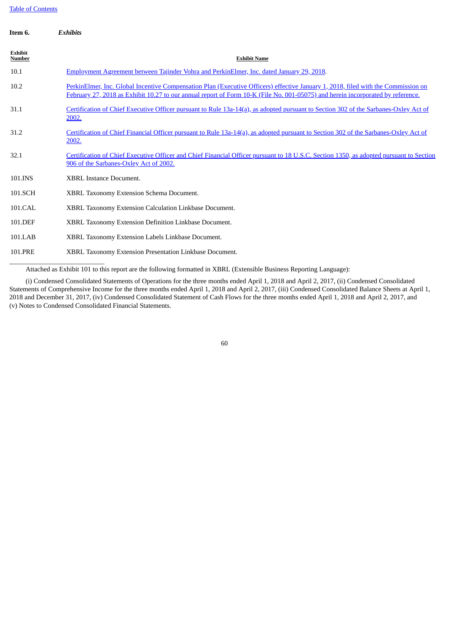# Table of [Contents](#page-1-0)

| Item 6.           | <b>Exhibits</b>                                                                                                                                                                                                                                                      |
|-------------------|----------------------------------------------------------------------------------------------------------------------------------------------------------------------------------------------------------------------------------------------------------------------|
| Exhibit<br>Number | <b>Exhibit Name</b>                                                                                                                                                                                                                                                  |
| 10.1              | Employment Agreement between Tajinder Vohra and PerkinElmer, Inc. dated January 29, 2018.                                                                                                                                                                            |
| 10.2              | PerkinElmer, Inc. Global Incentive Compensation Plan (Executive Officers) effective January 1, 2018, filed with the Commission on<br>February 27, 2018 as Exhibit 10.27 to our annual report of Form 10-K (File No. 001-05075) and herein incorporated by reference. |
| 31.1              | Certification of Chief Executive Officer pursuant to Rule 13a-14(a), as adopted pursuant to Section 302 of the Sarbanes-Oxley Act of<br>2002.                                                                                                                        |
| 31.2              | Certification of Chief Financial Officer pursuant to Rule 13a-14(a), as adopted pursuant to Section 302 of the Sarbanes-Oxley Act of<br>2002.                                                                                                                        |
| 32.1              | Certification of Chief Executive Officer and Chief Financial Officer pursuant to 18 U.S.C. Section 1350, as adopted pursuant to Section<br>906 of the Sarbanes-Oxley Act of 2002.                                                                                    |
| 101.INS           | <b>XBRL Instance Document.</b>                                                                                                                                                                                                                                       |
| 101.SCH           | XBRL Taxonomy Extension Schema Document.                                                                                                                                                                                                                             |
| 101.CAL           | XBRL Taxonomy Extension Calculation Linkbase Document.                                                                                                                                                                                                               |
| 101.DEF           | XBRL Taxonomy Extension Definition Linkbase Document.                                                                                                                                                                                                                |
| 101.LAB           | XBRL Taxonomy Extension Labels Linkbase Document.                                                                                                                                                                                                                    |
| 101.PRE           | XBRL Taxonomy Extension Presentation Linkbase Document.                                                                                                                                                                                                              |
|                   | Attached as Exhibit 101 to this report are the following formatted in XBRL (Extensible Business Reporting Language):                                                                                                                                                 |

(i) Condensed Consolidated Statements of Operations for the three months ended April 1, 2018 and April 2, 2017, (ii) Condensed Consolidated Statements of Comprehensive Income for the three months ended April 1, 2018 and April 2, 2017, (iii) Condensed Consolidated Balance Sheets at April 1, 2018 and December 31, 2017, (iv) Condensed Consolidated Statement of Cash Flows for the three months ended April 1, 2018 and April 2, 2017, and (v) Notes to Condensed Consolidated Financial Statements.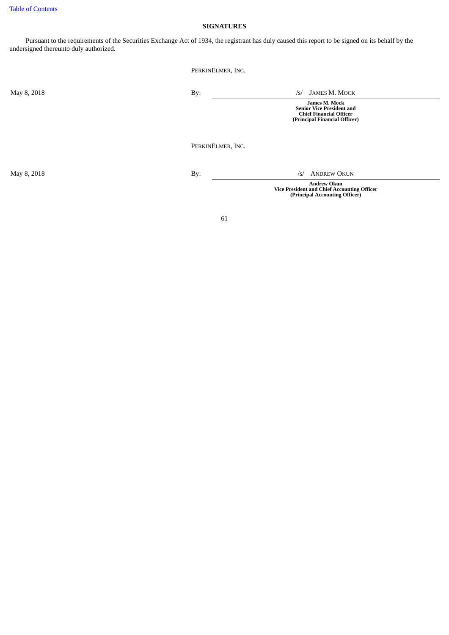## **SIGNATURES**

Pursuant to the requirements of the Securities Exchange Act of 1934, the registrant has duly caused this report to be signed on its behalf by the undersigned thereunto duly authorized.

PERKINELMER, INC.

May 8, 2018 **By:** By: *Islamic Bullary By: By: Islamic Bullary By: Islamic Bullary By: Islamic Bullary By: Islamic Bullary By: Islamic Bullary By: Islamic Bullary By: Islamic Bullary By: Islamic Bullary B* 

**James M. Mock Senior Vice President and Chief Financial Officer (Principal Financial Officer)**

PERKINELMER, INC.

61

May 8, 2018 **By:** *By: Islaming*  $\frac{1}{s}$  *ANDREW OKUN* 

**Andrew Okun Vice President and Chief Accounting Officer (Principal Accounting Officer)**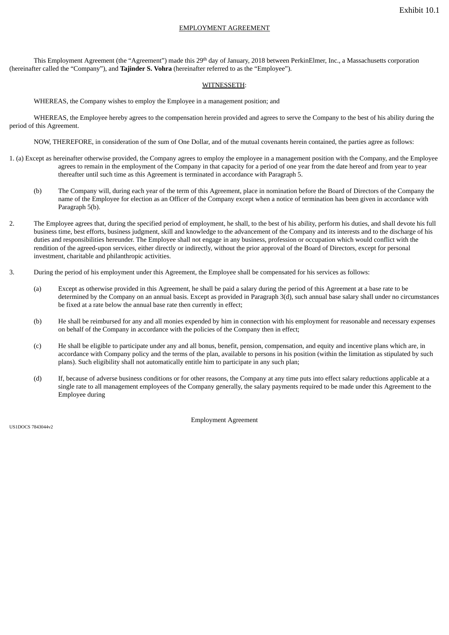## EMPLOYMENT AGREEMENT

<span id="page-62-0"></span>This Employment Agreement (the "Agreement") made this 29<sup>th</sup> day of January, 2018 between PerkinElmer, Inc., a Massachusetts corporation (hereinafter called the "Company"), and **Tajinder S. Vohra** (hereinafter referred to as the "Employee").

### WITNESSETH:

WHEREAS, the Company wishes to employ the Employee in a management position; and

WHEREAS, the Employee hereby agrees to the compensation herein provided and agrees to serve the Company to the best of his ability during the period of this Agreement.

NOW, THEREFORE, in consideration of the sum of One Dollar, and of the mutual covenants herein contained, the parties agree as follows:

- 1. (a) Except as hereinafter otherwise provided, the Company agrees to employ the employee in a management position with the Company, and the Employee agrees to remain in the employment of the Company in that capacity for a period of one year from the date hereof and from year to year thereafter until such time as this Agreement is terminated in accordance with Paragraph 5.
	- (b) The Company will, during each year of the term of this Agreement, place in nomination before the Board of Directors of the Company the name of the Employee for election as an Officer of the Company except when a notice of termination has been given in accordance with Paragraph 5(b).
- 2. The Employee agrees that, during the specified period of employment, he shall, to the best of his ability, perform his duties, and shall devote his full business time, best efforts, business judgment, skill and knowledge to the advancement of the Company and its interests and to the discharge of his duties and responsibilities hereunder. The Employee shall not engage in any business, profession or occupation which would conflict with the rendition of the agreed-upon services, either directly or indirectly, without the prior approval of the Board of Directors, except for personal investment, charitable and philanthropic activities.
- 3. During the period of his employment under this Agreement, the Employee shall be compensated for his services as follows:
	- (a) Except as otherwise provided in this Agreement, he shall be paid a salary during the period of this Agreement at a base rate to be determined by the Company on an annual basis. Except as provided in Paragraph 3(d), such annual base salary shall under no circumstances be fixed at a rate below the annual base rate then currently in effect;
	- (b) He shall be reimbursed for any and all monies expended by him in connection with his employment for reasonable and necessary expenses on behalf of the Company in accordance with the policies of the Company then in effect;
	- (c) He shall be eligible to participate under any and all bonus, benefit, pension, compensation, and equity and incentive plans which are, in accordance with Company policy and the terms of the plan, available to persons in his position (within the limitation as stipulated by such plans). Such eligibility shall not automatically entitle him to participate in any such plan;
	- (d) If, because of adverse business conditions or for other reasons, the Company at any time puts into effect salary reductions applicable at a single rate to all management employees of the Company generally, the salary payments required to be made under this Agreement to the Employee during

US1DOCS 7843044v2

Employment Agreement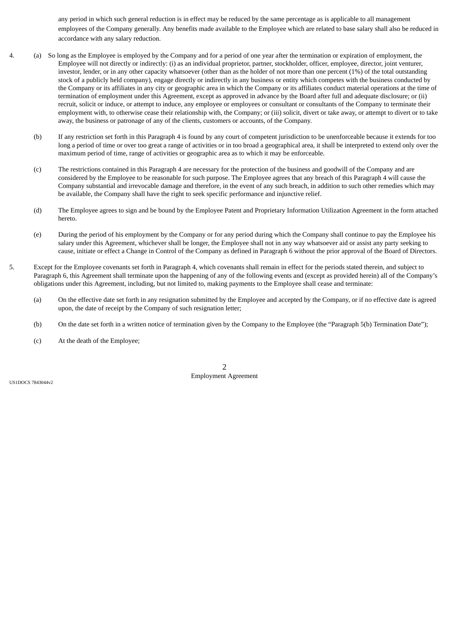any period in which such general reduction is in effect may be reduced by the same percentage as is applicable to all management employees of the Company generally. Any benefits made available to the Employee which are related to base salary shall also be reduced in accordance with any salary reduction.

- 4. (a) So long as the Employee is employed by the Company and for a period of one year after the termination or expiration of employment, the Employee will not directly or indirectly: (i) as an individual proprietor, partner, stockholder, officer, employee, director, joint venturer, investor, lender, or in any other capacity whatsoever (other than as the holder of not more than one percent (1%) of the total outstanding stock of a publicly held company), engage directly or indirectly in any business or entity which competes with the business conducted by the Company or its affiliates in any city or geographic area in which the Company or its affiliates conduct material operations at the time of termination of employment under this Agreement, except as approved in advance by the Board after full and adequate disclosure; or (ii) recruit, solicit or induce, or attempt to induce, any employee or employees or consultant or consultants of the Company to terminate their employment with, to otherwise cease their relationship with, the Company; or (iii) solicit, divert or take away, or attempt to divert or to take away, the business or patronage of any of the clients, customers or accounts, of the Company.
	- (b) If any restriction set forth in this Paragraph 4 is found by any court of competent jurisdiction to be unenforceable because it extends for too long a period of time or over too great a range of activities or in too broad a geographical area, it shall be interpreted to extend only over the maximum period of time, range of activities or geographic area as to which it may be enforceable.
	- (c) The restrictions contained in this Paragraph 4 are necessary for the protection of the business and goodwill of the Company and are considered by the Employee to be reasonable for such purpose. The Employee agrees that any breach of this Paragraph 4 will cause the Company substantial and irrevocable damage and therefore, in the event of any such breach, in addition to such other remedies which may be available, the Company shall have the right to seek specific performance and injunctive relief.
	- (d) The Employee agrees to sign and be bound by the Employee Patent and Proprietary Information Utilization Agreement in the form attached hereto.
	- (e) During the period of his employment by the Company or for any period during which the Company shall continue to pay the Employee his salary under this Agreement, whichever shall be longer, the Employee shall not in any way whatsoever aid or assist any party seeking to cause, initiate or effect a Change in Control of the Company as defined in Paragraph 6 without the prior approval of the Board of Directors.
- 5. Except for the Employee covenants set forth in Paragraph 4, which covenants shall remain in effect for the periods stated therein, and subject to Paragraph 6, this Agreement shall terminate upon the happening of any of the following events and (except as provided herein) all of the Company's obligations under this Agreement, including, but not limited to, making payments to the Employee shall cease and terminate:
	- (a) On the effective date set forth in any resignation submitted by the Employee and accepted by the Company, or if no effective date is agreed upon, the date of receipt by the Company of such resignation letter;
	- (b) On the date set forth in a written notice of termination given by the Company to the Employee (the "Paragraph 5(b) Termination Date");
	- (c) At the death of the Employee;

2 Employment Agreement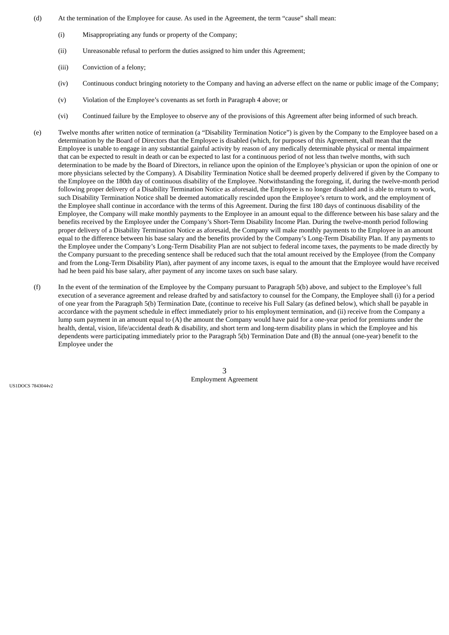- (d) At the termination of the Employee for cause. As used in the Agreement, the term "cause" shall mean:
	- (i) Misappropriating any funds or property of the Company;
	- (ii) Unreasonable refusal to perform the duties assigned to him under this Agreement;
	- (iii) Conviction of a felony;
	- (iv) Continuous conduct bringing notoriety to the Company and having an adverse effect on the name or public image of the Company;
	- (v) Violation of the Employee's covenants as set forth in Paragraph 4 above; or
	- (vi) Continued failure by the Employee to observe any of the provisions of this Agreement after being informed of such breach.
- (e) Twelve months after written notice of termination (a "Disability Termination Notice") is given by the Company to the Employee based on a determination by the Board of Directors that the Employee is disabled (which, for purposes of this Agreement, shall mean that the Employee is unable to engage in any substantial gainful activity by reason of any medically determinable physical or mental impairment that can be expected to result in death or can be expected to last for a continuous period of not less than twelve months, with such determination to be made by the Board of Directors, in reliance upon the opinion of the Employee's physician or upon the opinion of one or more physicians selected by the Company). A Disability Termination Notice shall be deemed properly delivered if given by the Company to the Employee on the 180th day of continuous disability of the Employee. Notwithstanding the foregoing, if, during the twelve-month period following proper delivery of a Disability Termination Notice as aforesaid, the Employee is no longer disabled and is able to return to work, such Disability Termination Notice shall be deemed automatically rescinded upon the Employee's return to work, and the employment of the Employee shall continue in accordance with the terms of this Agreement. During the first 180 days of continuous disability of the Employee, the Company will make monthly payments to the Employee in an amount equal to the difference between his base salary and the benefits received by the Employee under the Company's Short-Term Disability Income Plan. During the twelve-month period following proper delivery of a Disability Termination Notice as aforesaid, the Company will make monthly payments to the Employee in an amount equal to the difference between his base salary and the benefits provided by the Company's Long-Term Disability Plan. If any payments to the Employee under the Company's Long-Term Disability Plan are not subject to federal income taxes, the payments to be made directly by the Company pursuant to the preceding sentence shall be reduced such that the total amount received by the Employee (from the Company and from the Long-Term Disability Plan), after payment of any income taxes, is equal to the amount that the Employee would have received had he been paid his base salary, after payment of any income taxes on such base salary.
- (f) In the event of the termination of the Employee by the Company pursuant to Paragraph 5(b) above, and subject to the Employee's full execution of a severance agreement and release drafted by and satisfactory to counsel for the Company, the Employee shall (i) for a period of one year from the Paragraph 5(b) Termination Date, (continue to receive his Full Salary (as defined below), which shall be payable in accordance with the payment schedule in effect immediately prior to his employment termination, and (ii) receive from the Company a lump sum payment in an amount equal to (A) the amount the Company would have paid for a one-year period for premiums under the health, dental, vision, life/accidental death & disability, and short term and long-term disability plans in which the Employee and his dependents were participating immediately prior to the Paragraph 5(b) Termination Date and (B) the annual (one-year) benefit to the Employee under the

US1DOCS 7843044v2

3 Employment Agreement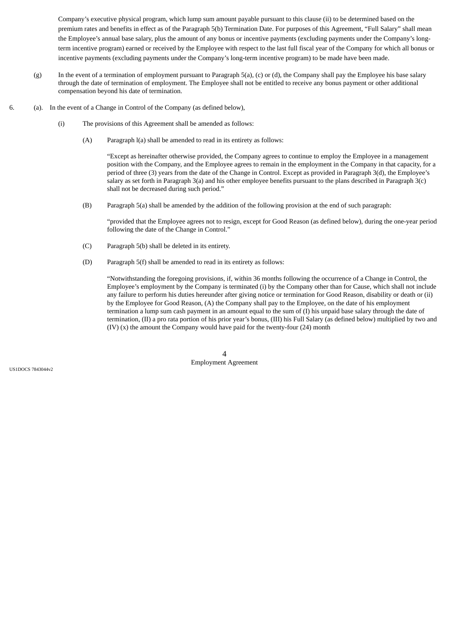Company's executive physical program, which lump sum amount payable pursuant to this clause (ii) to be determined based on the premium rates and benefits in effect as of the Paragraph 5(b) Termination Date. For purposes of this Agreement, "Full Salary" shall mean the Employee's annual base salary, plus the amount of any bonus or incentive payments (excluding payments under the Company's longterm incentive program) earned or received by the Employee with respect to the last full fiscal year of the Company for which all bonus or incentive payments (excluding payments under the Company's long-term incentive program) to be made have been made.

- (g) In the event of a termination of employment pursuant to Paragraph 5(a), (c) or (d), the Company shall pay the Employee his base salary through the date of termination of employment. The Employee shall not be entitled to receive any bonus payment or other additional compensation beyond his date of termination.
- 6. (a). In the event of a Change in Control of the Company (as defined below),
	- (i) The provisions of this Agreement shall be amended as follows:
		- (A) Paragraph l(a) shall be amended to read in its entirety as follows:

"Except as hereinafter otherwise provided, the Company agrees to continue to employ the Employee in a management position with the Company, and the Employee agrees to remain in the employment in the Company in that capacity, for a period of three (3) years from the date of the Change in Control. Except as provided in Paragraph 3(d), the Employee's salary as set forth in Paragraph 3(a) and his other employee benefits pursuant to the plans described in Paragraph 3(c) shall not be decreased during such period."

(B) Paragraph 5(a) shall be amended by the addition of the following provision at the end of such paragraph:

"provided that the Employee agrees not to resign, except for Good Reason (as defined below), during the one-year period following the date of the Change in Control."

- (C) Paragraph 5(b) shall be deleted in its entirety.
- (D) Paragraph 5(f) shall be amended to read in its entirety as follows:

"Notwithstanding the foregoing provisions, if, within 36 months following the occurrence of a Change in Control, the Employee's employment by the Company is terminated (i) by the Company other than for Cause, which shall not include any failure to perform his duties hereunder after giving notice or termination for Good Reason, disability or death or (ii) by the Employee for Good Reason, (A) the Company shall pay to the Employee, on the date of his employment termination a lump sum cash payment in an amount equal to the sum of (I) his unpaid base salary through the date of termination, (II) a pro rata portion of his prior year's bonus, (III) his Full Salary (as defined below) multiplied by two and (IV) (x) the amount the Company would have paid for the twenty-four (24) month

> 4 Employment Agreement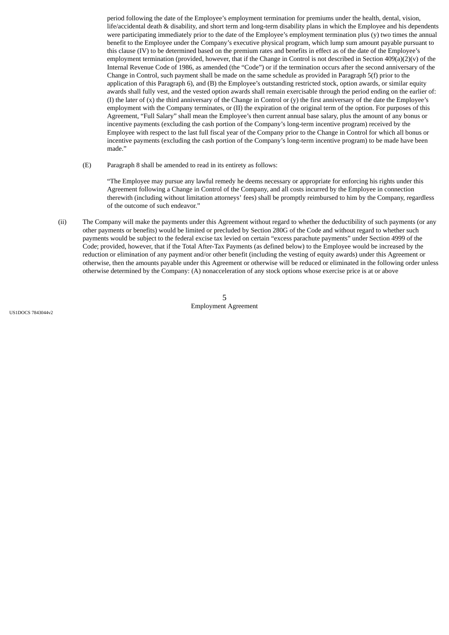period following the date of the Employee's employment termination for premiums under the health, dental, vision, life/accidental death & disability, and short term and long-term disability plans in which the Employee and his dependents were participating immediately prior to the date of the Employee's employment termination plus (y) two times the annual benefit to the Employee under the Company's executive physical program, which lump sum amount payable pursuant to this clause (IV) to be determined based on the premium rates and benefits in effect as of the date of the Employee's employment termination (provided, however, that if the Change in Control is not described in Section 409(a)(2)(v) of the Internal Revenue Code of 1986, as amended (the "Code") or if the termination occurs after the second anniversary of the Change in Control, such payment shall be made on the same schedule as provided in Paragraph 5(f) prior to the application of this Paragraph 6), and (B) the Employee's outstanding restricted stock, option awards, or similar equity awards shall fully vest, and the vested option awards shall remain exercisable through the period ending on the earlier of: (I) the later of (x) the third anniversary of the Change in Control or (y) the first anniversary of the date the Employee's employment with the Company terminates, or (II) the expiration of the original term of the option. For purposes of this Agreement, "Full Salary" shall mean the Employee's then current annual base salary, plus the amount of any bonus or incentive payments (excluding the cash portion of the Company's long-term incentive program) received by the Employee with respect to the last full fiscal year of the Company prior to the Change in Control for which all bonus or incentive payments (excluding the cash portion of the Company's long-term incentive program) to be made have been made."

(E) Paragraph 8 shall be amended to read in its entirety as follows:

"The Employee may pursue any lawful remedy he deems necessary or appropriate for enforcing his rights under this Agreement following a Change in Control of the Company, and all costs incurred by the Employee in connection therewith (including without limitation attorneys' fees) shall be promptly reimbursed to him by the Company, regardless of the outcome of such endeavor."

(ii) The Company will make the payments under this Agreement without regard to whether the deductibility of such payments (or any other payments or benefits) would be limited or precluded by Section 280G of the Code and without regard to whether such payments would be subject to the federal excise tax levied on certain "excess parachute payments" under Section 4999 of the Code; provided, however, that if the Total After-Tax Payments (as defined below) to the Employee would be increased by the reduction or elimination of any payment and/or other benefit (including the vesting of equity awards) under this Agreement or otherwise, then the amounts payable under this Agreement or otherwise will be reduced or eliminated in the following order unless otherwise determined by the Company: (A) nonacceleration of any stock options whose exercise price is at or above

> 5 Employment Agreement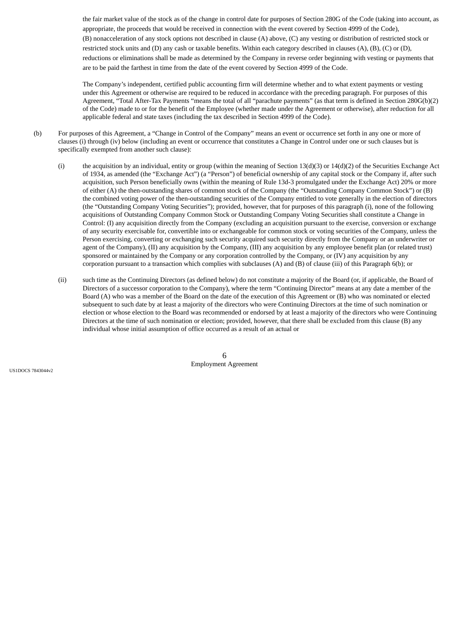the fair market value of the stock as of the change in control date for purposes of Section 280G of the Code (taking into account, as appropriate, the proceeds that would be received in connection with the event covered by Section 4999 of the Code), (B) nonacceleration of any stock options not described in clause (A) above, (C) any vesting or distribution of restricted stock or restricted stock units and (D) any cash or taxable benefits. Within each category described in clauses (A), (B), (C) or (D), reductions or eliminations shall be made as determined by the Company in reverse order beginning with vesting or payments that are to be paid the farthest in time from the date of the event covered by Section 4999 of the Code.

The Company's independent, certified public accounting firm will determine whether and to what extent payments or vesting under this Agreement or otherwise are required to be reduced in accordance with the preceding paragraph. For purposes of this Agreement, "Total After-Tax Payments "means the total of all "parachute payments" (as that term is defined in Section 280G(b)(2) of the Code) made to or for the benefit of the Employee (whether made under the Agreement or otherwise), after reduction for all applicable federal and state taxes (including the tax described in Section 4999 of the Code).

- (b) For purposes of this Agreement, a "Change in Control of the Company" means an event or occurrence set forth in any one or more of clauses (i) through (iv) below (including an event or occurrence that constitutes a Change in Control under one or such clauses but is specifically exempted from another such clause):
	- (i) the acquisition by an individual, entity or group (within the meaning of Section 13(d)(3) or 14(d)(2) of the Securities Exchange Act of 1934, as amended (the "Exchange Act") (a "Person") of beneficial ownership of any capital stock or the Company if, after such acquisition, such Person beneficially owns (within the meaning of Rule 13d-3 promulgated under the Exchange Act) 20% or more of either (A) the then-outstanding shares of common stock of the Company (the "Outstanding Company Common Stock") or (B) the combined voting power of the then-outstanding securities of the Company entitled to vote generally in the election of directors (the "Outstanding Company Voting Securities"); provided, however, that for purposes of this paragraph (i), none of the following acquisitions of Outstanding Company Common Stock or Outstanding Company Voting Securities shall constitute a Change in Control: (I) any acquisition directly from the Company (excluding an acquisition pursuant to the exercise, conversion or exchange of any security exercisable for, convertible into or exchangeable for common stock or voting securities of the Company, unless the Person exercising, converting or exchanging such security acquired such security directly from the Company or an underwriter or agent of the Company), (II) any acquisition by the Company, (III) any acquisition by any employee benefit plan (or related trust) sponsored or maintained by the Company or any corporation controlled by the Company, or (IV) any acquisition by any corporation pursuant to a transaction which complies with subclauses (A) and (B) of clause (iii) of this Paragraph 6(b); or
	- (ii) such time as the Continuing Directors (as defined below) do not constitute a majority of the Board (or, if applicable, the Board of Directors of a successor corporation to the Company), where the term "Continuing Director" means at any date a member of the Board (A) who was a member of the Board on the date of the execution of this Agreement or (B) who was nominated or elected subsequent to such date by at least a majority of the directors who were Continuing Directors at the time of such nomination or election or whose election to the Board was recommended or endorsed by at least a majority of the directors who were Continuing Directors at the time of such nomination or election; provided, however, that there shall be excluded from this clause (B) any individual whose initial assumption of office occurred as a result of an actual or

6 Employment Agreement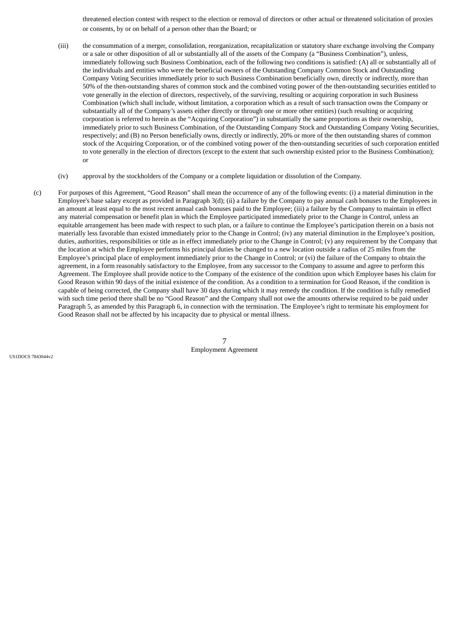threatened election contest with respect to the election or removal of directors or other actual or threatened solicitation of proxies or consents, by or on behalf of a person other than the Board; or

- (iii) the consummation of a merger, consolidation, reorganization, recapitalization or statutory share exchange involving the Company or a sale or other disposition of all or substantially all of the assets of the Company (a "Business Combination"), unless, immediately following such Business Combination, each of the following two conditions is satisfied: (A) all or substantially all of the individuals and entities who were the beneficial owners of the Outstanding Company Common Stock and Outstanding Company Voting Securities immediately prior to such Business Combination beneficially own, directly or indirectly, more than 50% of the then-outstanding shares of common stock and the combined voting power of the then-outstanding securities entitled to vote generally in the election of directors, respectively, of the surviving, resulting or acquiring corporation in such Business Combination (which shall include, without limitation, a corporation which as a result of such transaction owns the Company or substantially all of the Company's assets either directly or through one or more other entities) (such resulting or acquiring corporation is referred to herein as the "Acquiring Corporation") in substantially the same proportions as their ownership, immediately prior to such Business Combination, of the Outstanding Company Stock and Outstanding Company Voting Securities, respectively; and (B) no Person beneficially owns, directly or indirectly, 20% or more of the then outstanding shares of common stock of the Acquiring Corporation, or of the combined voting power of the then-outstanding securities of such corporation entitled to vote generally in the election of directors (except to the extent that such ownership existed prior to the Business Combination); or
- (iv) approval by the stockholders of the Company or a complete liquidation or dissolution of the Company.
- (c) For purposes of this Agreement, "Good Reason" shall mean the occurrence of any of the following events: (i) a material diminution in the Employee's base salary except as provided in Paragraph 3(d); (ii) a failure by the Company to pay annual cash bonuses to the Employees in an amount at least equal to the most recent annual cash bonuses paid to the Employee; (iii) a failure by the Company to maintain in effect any material compensation or benefit plan in which the Employee participated immediately prior to the Change in Control, unless an equitable arrangement has been made with respect to such plan, or a failure to continue the Employee's participation therein on a basis not materially less favorable than existed immediately prior to the Change in Control; (iv) any material diminution in the Employee's position, duties, authorities, responsibilities or title as in effect immediately prior to the Change in Control; (v) any requirement by the Company that the location at which the Employee performs his principal duties be changed to a new location outside a radius of 25 miles from the Employee's principal place of employment immediately prior to the Change in Control; or (vi) the failure of the Company to obtain the agreement, in a form reasonably satisfactory to the Employee, from any successor to the Company to assume and agree to perform this Agreement. The Employee shall provide notice to the Company of the existence of the condition upon which Employee bases his claim for Good Reason within 90 days of the initial existence of the condition. As a condition to a termination for Good Reason, if the condition is capable of being corrected, the Company shall have 30 days during which it may remedy the condition. If the condition is fully remedied with such time period there shall be no "Good Reason" and the Company shall not owe the amounts otherwise required to be paid under Paragraph 5, as amended by this Paragraph 6, in connection with the termination. The Employee's right to terminate his employment for Good Reason shall not be affected by his incapacity due to physical or mental illness.

7 Employment Agreement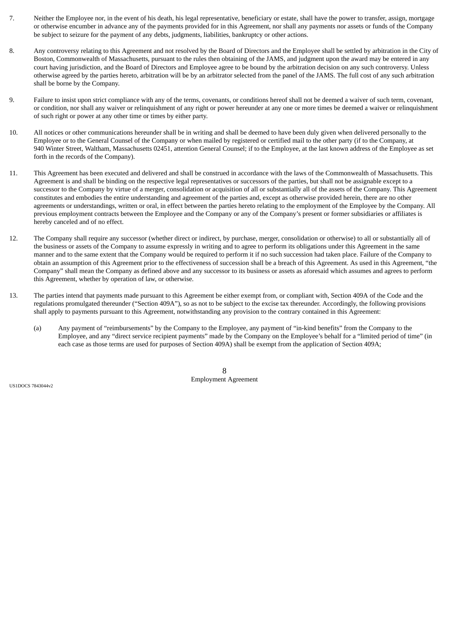- 7. Neither the Employee nor, in the event of his death, his legal representative, beneficiary or estate, shall have the power to transfer, assign, mortgage or otherwise encumber in advance any of the payments provided for in this Agreement, nor shall any payments nor assets or funds of the Company be subject to seizure for the payment of any debts, judgments, liabilities, bankruptcy or other actions.
- 8. Any controversy relating to this Agreement and not resolved by the Board of Directors and the Employee shall be settled by arbitration in the City of Boston, Commonwealth of Massachusetts, pursuant to the rules then obtaining of the JAMS, and judgment upon the award may be entered in any court having jurisdiction, and the Board of Directors and Employee agree to be bound by the arbitration decision on any such controversy. Unless otherwise agreed by the parties hereto, arbitration will be by an arbitrator selected from the panel of the JAMS. The full cost of any such arbitration shall be borne by the Company.
- 9. Failure to insist upon strict compliance with any of the terms, covenants, or conditions hereof shall not be deemed a waiver of such term, covenant, or condition, nor shall any waiver or relinquishment of any right or power hereunder at any one or more times be deemed a waiver or relinquishment of such right or power at any other time or times by either party.
- 10. All notices or other communications hereunder shall be in writing and shall be deemed to have been duly given when delivered personally to the Employee or to the General Counsel of the Company or when mailed by registered or certified mail to the other party (if to the Company, at 940 Winter Street, Waltham, Massachusetts 02451, attention General Counsel; if to the Employee, at the last known address of the Employee as set forth in the records of the Company).
- 11. This Agreement has been executed and delivered and shall be construed in accordance with the laws of the Commonwealth of Massachusetts. This Agreement is and shall be binding on the respective legal representatives or successors of the parties, but shall not be assignable except to a successor to the Company by virtue of a merger, consolidation or acquisition of all or substantially all of the assets of the Company. This Agreement constitutes and embodies the entire understanding and agreement of the parties and, except as otherwise provided herein, there are no other agreements or understandings, written or oral, in effect between the parties hereto relating to the employment of the Employee by the Company. All previous employment contracts between the Employee and the Company or any of the Company's present or former subsidiaries or affiliates is hereby canceled and of no effect.
- 12. The Company shall require any successor (whether direct or indirect, by purchase, merger, consolidation or otherwise) to all or substantially all of the business or assets of the Company to assume expressly in writing and to agree to perform its obligations under this Agreement in the same manner and to the same extent that the Company would be required to perform it if no such succession had taken place. Failure of the Company to obtain an assumption of this Agreement prior to the effectiveness of succession shall be a breach of this Agreement. As used in this Agreement, "the Company" shall mean the Company as defined above and any successor to its business or assets as aforesaid which assumes and agrees to perform this Agreement, whether by operation of law, or otherwise.
- 13. The parties intend that payments made pursuant to this Agreement be either exempt from, or compliant with, Section 409A of the Code and the regulations promulgated thereunder ("Section 409A"), so as not to be subject to the excise tax thereunder. Accordingly, the following provisions shall apply to payments pursuant to this Agreement, notwithstanding any provision to the contrary contained in this Agreement:
	- (a) Any payment of "reimbursements" by the Company to the Employee, any payment of "in-kind benefits" from the Company to the Employee, and any "direct service recipient payments" made by the Company on the Employee's behalf for a "limited period of time" (in each case as those terms are used for purposes of Section 409A) shall be exempt from the application of Section 409A;

US1DOCS 7843044v2

8 Employment Agreement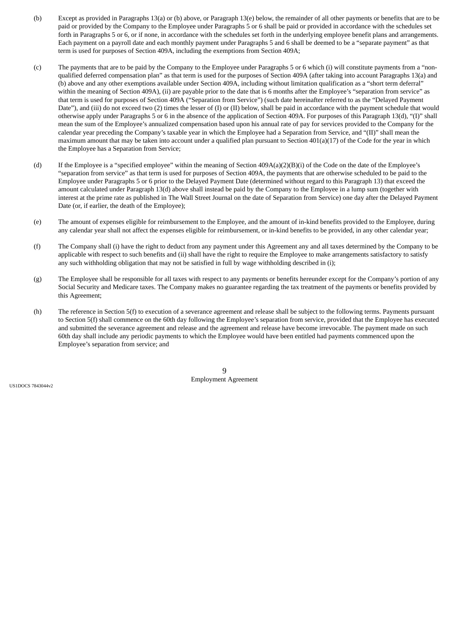- (b) Except as provided in Paragraphs 13(a) or (b) above, or Paragraph 13(e) below, the remainder of all other payments or benefits that are to be paid or provided by the Company to the Employee under Paragraphs 5 or 6 shall be paid or provided in accordance with the schedules set forth in Paragraphs 5 or 6, or if none, in accordance with the schedules set forth in the underlying employee benefit plans and arrangements. Each payment on a payroll date and each monthly payment under Paragraphs 5 and 6 shall be deemed to be a "separate payment" as that term is used for purposes of Section 409A, including the exemptions from Section 409A;
- (c) The payments that are to be paid by the Company to the Employee under Paragraphs 5 or 6 which (i) will constitute payments from a "nonqualified deferred compensation plan" as that term is used for the purposes of Section 409A (after taking into account Paragraphs 13(a) and (b) above and any other exemptions available under Section 409A, including without limitation qualification as a "short term deferral" within the meaning of Section 409A), (ii) are payable prior to the date that is 6 months after the Employee's "separation from service" as that term is used for purposes of Section 409A ("Separation from Service") (such date hereinafter referred to as the "Delayed Payment Date"), and (iii) do not exceed two (2) times the lesser of (I) or (II) below, shall be paid in accordance with the payment schedule that would otherwise apply under Paragraphs 5 or 6 in the absence of the application of Section 409A. For purposes of this Paragraph 13(d), "(I)" shall mean the sum of the Employee's annualized compensation based upon his annual rate of pay for services provided to the Company for the calendar year preceding the Company's taxable year in which the Employee had a Separation from Service, and "(II)" shall mean the maximum amount that may be taken into account under a qualified plan pursuant to Section 401(a)(17) of the Code for the year in which the Employee has a Separation from Service;
- (d) If the Employee is a "specified employee" within the meaning of Section 409A(a)(2)(B)(i) of the Code on the date of the Employee's "separation from service" as that term is used for purposes of Section 409A, the payments that are otherwise scheduled to be paid to the Employee under Paragraphs 5 or 6 prior to the Delayed Payment Date (determined without regard to this Paragraph 13) that exceed the amount calculated under Paragraph 13(d) above shall instead be paid by the Company to the Employee in a lump sum (together with interest at the prime rate as published in The Wall Street Journal on the date of Separation from Service) one day after the Delayed Payment Date (or, if earlier, the death of the Employee);
- (e) The amount of expenses eligible for reimbursement to the Employee, and the amount of in-kind benefits provided to the Employee, during any calendar year shall not affect the expenses eligible for reimbursement, or in-kind benefits to be provided, in any other calendar year;
- (f) The Company shall (i) have the right to deduct from any payment under this Agreement any and all taxes determined by the Company to be applicable with respect to such benefits and (ii) shall have the right to require the Employee to make arrangements satisfactory to satisfy any such withholding obligation that may not be satisfied in full by wage withholding described in (i);
- (g) The Employee shall be responsible for all taxes with respect to any payments or benefits hereunder except for the Company's portion of any Social Security and Medicare taxes. The Company makes no guarantee regarding the tax treatment of the payments or benefits provided by this Agreement;
- (h) The reference in Section 5(f) to execution of a severance agreement and release shall be subject to the following terms. Payments pursuant to Section 5(f) shall commence on the 60th day following the Employee's separation from service, provided that the Employee has executed and submitted the severance agreement and release and the agreement and release have become irrevocable. The payment made on such 60th day shall include any periodic payments to which the Employee would have been entitled had payments commenced upon the Employee's separation from service; and

US1DOCS 7843044v2

9 Employment Agreement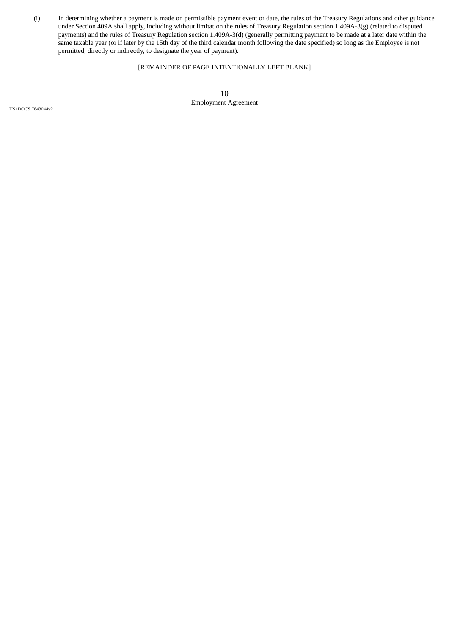(i) In determining whether a payment is made on permissible payment event or date, the rules of the Treasury Regulations and other guidance under Section 409A shall apply, including without limitation the rules of Treasury Regulation section 1.409A-3(g) (related to disputed payments) and the rules of Treasury Regulation section 1.409A-3(d) (generally permitting payment to be made at a later date within the same taxable year (or if later by the 15th day of the third calendar month following the date specified) so long as the Employee is not permitted, directly or indirectly, to designate the year of payment).

## [REMAINDER OF PAGE INTENTIONALLY LEFT BLANK]

10 Employment Agreement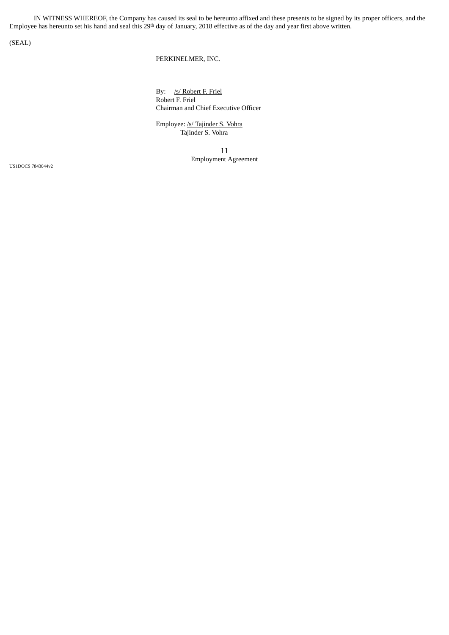IN WITNESS WHEREOF, the Company has caused its seal to be hereunto affixed and these presents to be signed by its proper officers, and the Employee has hereunto set his hand and seal this 29<sup>th</sup> day of January, 2018 effective as of the day and year first above written.

(SEAL)

## PERKINELMER, INC.

By: /s/ Robert F. Friel Robert F. Friel Chairman and Chief Executive Officer

Employee: /s/ Tajinder S. Vohra Tajinder S. Vohra

> 11 Employment Agreement

US1DOCS 7843044v2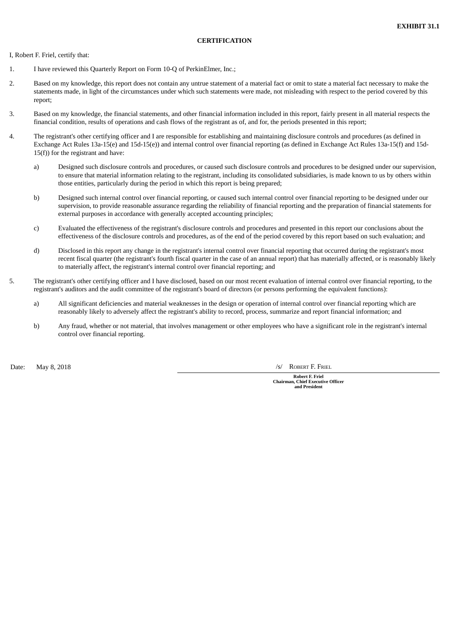## **CERTIFICATION**

I, Robert F. Friel, certify that:

- 1. I have reviewed this Quarterly Report on Form 10-Q of PerkinElmer, Inc.;
- 2. Based on my knowledge, this report does not contain any untrue statement of a material fact or omit to state a material fact necessary to make the statements made, in light of the circumstances under which such statements were made, not misleading with respect to the period covered by this report;
- 3. Based on my knowledge, the financial statements, and other financial information included in this report, fairly present in all material respects the financial condition, results of operations and cash flows of the registrant as of, and for, the periods presented in this report;
- 4. The registrant's other certifying officer and I are responsible for establishing and maintaining disclosure controls and procedures (as defined in Exchange Act Rules 13a-15(e) and 15d-15(e)) and internal control over financial reporting (as defined in Exchange Act Rules 13a-15(f) and 15d-15(f)) for the registrant and have:
	- a) Designed such disclosure controls and procedures, or caused such disclosure controls and procedures to be designed under our supervision, to ensure that material information relating to the registrant, including its consolidated subsidiaries, is made known to us by others within those entities, particularly during the period in which this report is being prepared;
	- b) Designed such internal control over financial reporting, or caused such internal control over financial reporting to be designed under our supervision, to provide reasonable assurance regarding the reliability of financial reporting and the preparation of financial statements for external purposes in accordance with generally accepted accounting principles;
	- c) Evaluated the effectiveness of the registrant's disclosure controls and procedures and presented in this report our conclusions about the effectiveness of the disclosure controls and procedures, as of the end of the period covered by this report based on such evaluation; and
	- d) Disclosed in this report any change in the registrant's internal control over financial reporting that occurred during the registrant's most recent fiscal quarter (the registrant's fourth fiscal quarter in the case of an annual report) that has materially affected, or is reasonably likely to materially affect, the registrant's internal control over financial reporting; and
- 5. The registrant's other certifying officer and I have disclosed, based on our most recent evaluation of internal control over financial reporting, to the registrant's auditors and the audit committee of the registrant's board of directors (or persons performing the equivalent functions):
	- a) All significant deficiencies and material weaknesses in the design or operation of internal control over financial reporting which are reasonably likely to adversely affect the registrant's ability to record, process, summarize and report financial information; and
	- b) Any fraud, whether or not material, that involves management or other employees who have a significant role in the registrant's internal control over financial reporting.

Date: May 8, 2018 */s/ ROBERT F. FRIEL* 

**Robert F. Friel Chairman, Chief Executive Officer and President**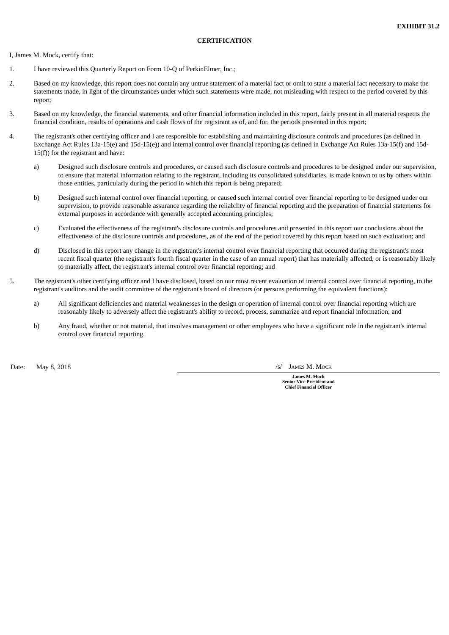## **CERTIFICATION**

I, James M. Mock, certify that:

- 1. I have reviewed this Quarterly Report on Form 10-Q of PerkinElmer, Inc.;
- 2. Based on my knowledge, this report does not contain any untrue statement of a material fact or omit to state a material fact necessary to make the statements made, in light of the circumstances under which such statements were made, not misleading with respect to the period covered by this report;
- 3. Based on my knowledge, the financial statements, and other financial information included in this report, fairly present in all material respects the financial condition, results of operations and cash flows of the registrant as of, and for, the periods presented in this report;
- 4. The registrant's other certifying officer and I are responsible for establishing and maintaining disclosure controls and procedures (as defined in Exchange Act Rules 13a-15(e) and 15d-15(e)) and internal control over financial reporting (as defined in Exchange Act Rules 13a-15(f) and 15d-15(f)) for the registrant and have:
	- a) Designed such disclosure controls and procedures, or caused such disclosure controls and procedures to be designed under our supervision, to ensure that material information relating to the registrant, including its consolidated subsidiaries, is made known to us by others within those entities, particularly during the period in which this report is being prepared;
	- b) Designed such internal control over financial reporting, or caused such internal control over financial reporting to be designed under our supervision, to provide reasonable assurance regarding the reliability of financial reporting and the preparation of financial statements for external purposes in accordance with generally accepted accounting principles;
	- c) Evaluated the effectiveness of the registrant's disclosure controls and procedures and presented in this report our conclusions about the effectiveness of the disclosure controls and procedures, as of the end of the period covered by this report based on such evaluation; and
	- d) Disclosed in this report any change in the registrant's internal control over financial reporting that occurred during the registrant's most recent fiscal quarter (the registrant's fourth fiscal quarter in the case of an annual report) that has materially affected, or is reasonably likely to materially affect, the registrant's internal control over financial reporting; and
- 5. The registrant's other certifying officer and I have disclosed, based on our most recent evaluation of internal control over financial reporting, to the registrant's auditors and the audit committee of the registrant's board of directors (or persons performing the equivalent functions):
	- a) All significant deficiencies and material weaknesses in the design or operation of internal control over financial reporting which are reasonably likely to adversely affect the registrant's ability to record, process, summarize and report financial information; and
	- b) Any fraud, whether or not material, that involves management or other employees who have a significant role in the registrant's internal control over financial reporting.

Date: May 8, 2018 *Internal according to the May 8*, 2018 *Internal according to the May 8*, 2018

**James M. Mock Senior Vice President and Chief Financial Officer**